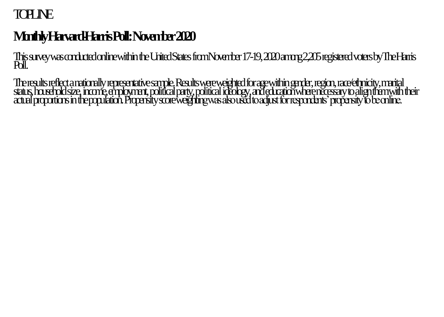# **TOPLINE**

# Mo**nthly Harvard-Harris Poll: November 2020**

This survey was conducted online within the United States fromNovember17-19, 2020among 2,205registered voters by The Harris Poll.

The results reflect a nationally representative sample. Results were weighted for age within gender, region, race/ethnicity, marital status, household size, income, employment, political party, political ideology, and education where necessary to align them with their actualproportions in the population. Propensity score weighting was also used to adjust for respondents' propensity to be online.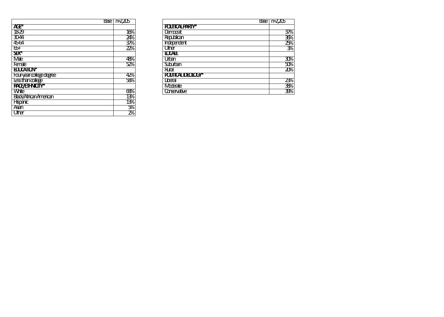|                                 | $Base$ $r=2205$ |                          | Base | $n = 205$     |
|---------------------------------|-----------------|--------------------------|------|---------------|
| АŒ*                             |                 | <b>POLITICALPARTY*</b>   |      |               |
| 1829                            | 16%             | Damorat                  |      | $3\%$         |
| 3044                            | 24%             | Republican               |      | 36%           |
| 4564                            | 37%             | Independent              |      | 25%           |
| சு                              | $2\%$           | Other                    |      | $\frac{2}{5}$ |
| $\mathbf{F}$                    |                 | <b>LOCALE</b>            |      |               |
| Male                            | 48%             | Utban                    |      | 30%           |
| Female                          | 52%             | Suburban                 |      | 50%           |
| <b>EUCATION*</b>                |                 | Rual                     |      | 20%           |
| <b>Four-year college degree</b> | 42%             | <b>POUTICAL DEOLOGY*</b> |      |               |
| Lesstrancollege                 | 58%             | Liberal                  |      | 23%           |
| RACE/ETHNOTY*                   |                 | Moderate                 |      | 38%           |
| <b>White</b>                    | 68%             | Conservative             |      | 39%           |
| $\sim$ $\sim$ $\sim$            | $\sim$          |                          |      |               |

|                               | F2205<br>Base <sup>1</sup> |                          |
|-------------------------------|----------------------------|--------------------------|
| <b>A</b> <sub>T</sub> *       |                            | <b>POLITICALPARTY*</b>   |
| 18-29                         | 16%                        | Damorat                  |
| 3044                          | 24%                        | Republican               |
| 4564                          | $3\%$                      | Independent              |
| சு                            | $2\%$                      | Other                    |
| $\mathbf{R}^*$                |                            | <b>LOCALE</b>            |
| <b>Male</b>                   | 48%                        | Utban                    |
| Female                        | 52%                        | Suburban                 |
| EUCATION*                     |                            | <b>Rual</b>              |
| Fouryearcollege degree        | 42%                        | <b>POUTICAL DEOLOGY*</b> |
| Lessthancollege               | 58%                        | Liberal                  |
| RACE/ETHNOTY*                 |                            | Moderate                 |
| <b>White</b>                  | 68%                        | Conservative             |
| <b>Black/Atrican American</b> | 13%                        |                          |
| Hispanic                      | 13%                        |                          |
| Asian                         | $\frac{1}{2}$              |                          |
| Other                         | $2\%$                      |                          |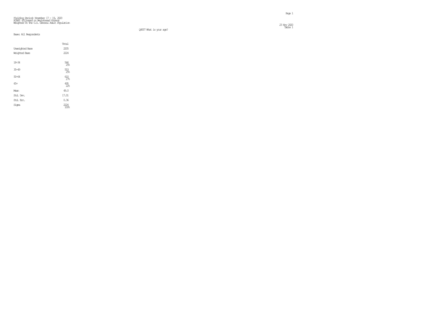Total Unweighted Base 2205 Weighted Base 2224 18-34 25% 35-49 25%  $50 - 64$  $\frac{610}{27}$ % 65+ 495 22% Mean 49.0 Std. Dev. 17.01 Std. Err. 0.36 Sigma  $\frac{2224}{100}$ 

 $23$  Nov 2020  $-$ 23 Nov 2020<br>Table 1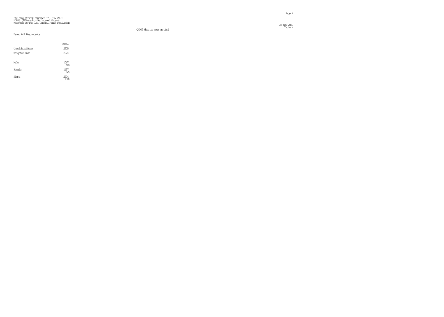$\frac{23}{20}$  Nov 2020  $\frac{202}{20}$ 23 Nov 2020<br>Table 2

# Fielding Period: November 17 - 19, 2020 HCAPS (Filtered on Registered Voters) Weighted To The U.S. General Adult Population

Q4005 What is your gender?

|                        | Total                                           |
|------------------------|-------------------------------------------------|
| <b>Unveighted Base</b> | 2205                                            |
| Weighted Base          | 2224                                            |
|                        |                                                 |
| Male                   | $\begin{array}{c} 1067 \\ 48^\circ \end{array}$ |
| Female                 | $\frac{1157}{52\%}$                             |
| Signa                  | 2224<br>100%                                    |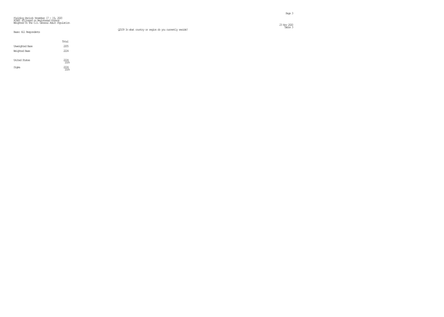Q2109 In what country or region do you currently reside?

 $\frac{23 \text{ N\textsc{}}}{23 \text{ N\textsc{}}\sqrt{202}}$ 23 Nov 2020<br>Table 3

|                        | Total                     |
|------------------------|---------------------------|
| <b>Unveighted Base</b> | 2205                      |
| Weighted Base          | 2224                      |
|                        |                           |
| <b>United States</b>   | 2224<br>100%              |
| Signa                  | 222.4<br>100 <sub>k</sub> |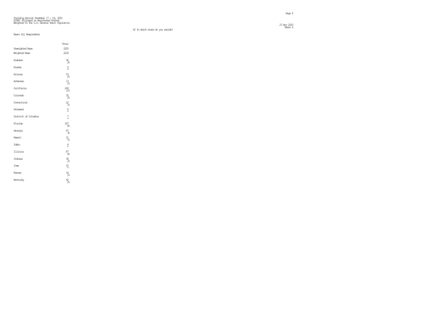#### S2 In which state do you reside?

 $\frac{23}{20}$  Nov 2020  $\frac{200}{20}$ 23 Nov 2020<br>Table 4

#### Base: All Respondents

Total

| Unveighted Base      | 2205              |
|----------------------|-------------------|
| Weighted Base        | 2224              |
| Alabama              | $\frac{36}{26}$   |
| Alaska               | $\frac{6}{x}$     |
| Arizona              | $\frac{53}{28}$   |
| Arkansas             | $13 \atop 18$     |
| Califomia            | $^{249}_{11\%}$   |
| Colorado             | $\frac{35}{28}$   |
| Correcticut          | $\frac{22}{1\%}$  |
| Delaware             | $\frac{6}{x}$     |
| District of Columbia | $7 \times$        |
| Florida              | $^{187}_{-8\%}$   |
| Georgia              | 67<br>38          |
| Hawaii               | $21_{18}$         |
| Idaho                | $\frac{4}{\star}$ |
| Illinois             | $\frac{87}{48}$   |
| Indiana              | $\frac{34}{28}$   |
| Iowa                 | $^{10}_{\star}$   |
| Kansas               | $^{14}_{1\%}$     |
| Kentucky             | $\frac{42}{28}$   |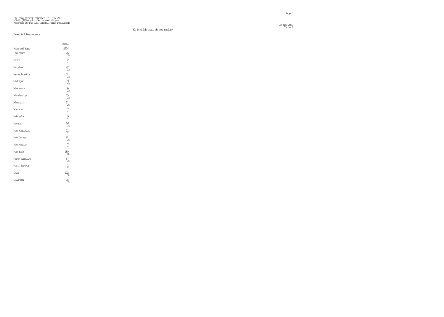Total Weighted Base 2224 Louisiana 26  $^{26}_{1%}$ Maine  $\frac{2}{x}$ \* Maryland  $\frac{42}{26}$ Massachusetts 31  $\frac{31}{1\%}$ Michigan  $^{79}_{4%}$ Minnesota  $\frac{36}{26}$ Mississippi 15 1% Missouri 51  $\frac{51}{2\%}$ Montana 7 (1992)<br>1986 - Paul Barbara, papa yang bermula pada 1988 (1992)<br>1988 - Paul Barbara, pada 2008 (1992) \* Nebraska 9 \* Nevada  $^{26}_{1%}$ New Hampshire  $11 \atop x$  $11 \over \star$ New Jersey  $\frac{61}{36}$ New Mexico 7 \* New York 8% North Carolina 87  $\frac{87}{4%}$ North Dakota 2 \* Ohio 102  $\frac{102}{5\%}$ Oklahoma 15  $\frac{15}{1\%}$ 

 $\frac{23}{20}$  Nov 2020  $\frac{200}{20}$ 23 Nov 2020<br>Table 4

S2 In which state do you reside?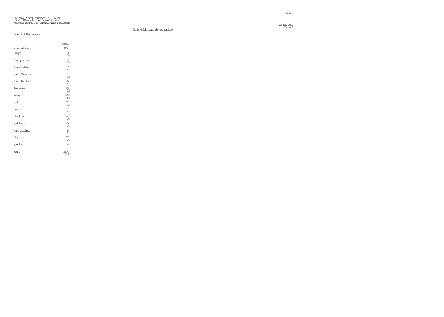S2 In which state do you reside?

#### Base: All Respondents

|                      | Total                    |
|----------------------|--------------------------|
| <b>Weighted Base</b> | 2224                     |
| Oregon               | 30 <sub>1%</sub>         |
| Pennsylvania         | $\frac{77}{36}$          |
| Rhode Island         | $7 \times$               |
| South Carolina       | $\frac{31}{18}$          |
| South Dakota         | $\frac{6}{x}$            |
| Ternessee            | $^{40}_{28}$             |
| Texas                | 168                      |
| Utah                 | $\frac{12}{18}$          |
| Vermant              | $\star$<br>$\star$       |
| Virginia             | 64<br>R                  |
| Washington           | $^{40}_{28}$             |
| West Virginia        | $\frac{6}{x}$            |
| Wisconsin            | $^{57}_{38}$             |
| Wyaming              | $\overline{\phantom{a}}$ |
| Signa                |                          |

 $\frac{23}{20}$  Nov 2020  $\frac{200}{20}$  $\sim$  Table 4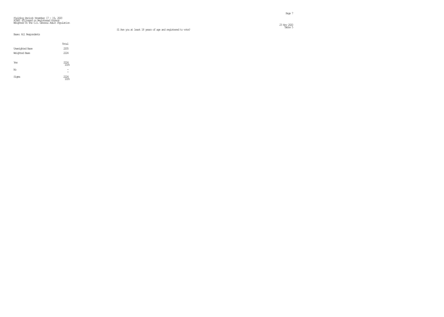Table 5 S1 Are you at least 18 years of age and registered to vote?

 $\frac{23 \text{ N\}}{23 \text{ N\}}$  2020  $\frac{202}{25 \text{ N\}}$  2020  $\frac{202}{25 \text{ N\}}$  2020  $\frac{202}{25 \text{ N\}}$  2020  $\frac{202}{25 \text{ N\}}$  2020  $\frac{202}{25 \text{ N\}}$  2020  $\frac{202}{25 \text{ N\}}$  2020  $\frac{202}{25 \text{ N\}}$  2020  $\frac{202}{25 \text{ N\}}$  2020  $\frac{202}{2$ 

|                        | Total        |
|------------------------|--------------|
| <b>Unveighted Base</b> | 2205         |
| Weighted Base          | 2224         |
|                        |              |
| Yes                    | 2224<br>100% |
| No                     |              |
| Signa                  |              |
|                        |              |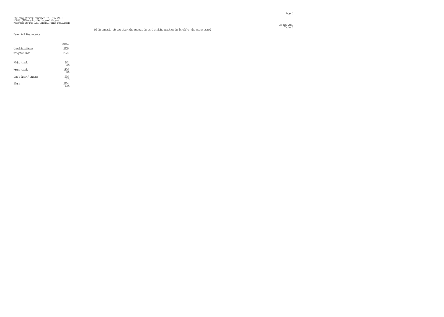#### Fielding Period: November 17 - 19, 2020 HCAPS (Filtered on Registered Voters) Weighted To The U.S. General Adult Population  $\frac{23 \text{ N\textsc{}}}{23 \text{ N\textsc{}}}\frac{220}{2}$

|                        | Total           |
|------------------------|-----------------|
| <b>Unveighted Base</b> | 2205            |
| Weighted Base          | 2224            |
|                        |                 |
| Right track            | 662<br>30%      |
|                        |                 |
| Wirong track           | 1326            |
| Don't know / Unsure    | $^{236}_{11\%}$ |
|                        |                 |
| Sioma                  | 22.4            |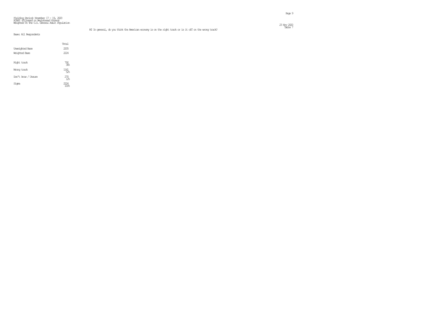#### Fielding Period: November 17 - 19, 2020 HCAPS (Filtered on Registered Voters) Weighted To The U.S. General Adult Population  $\frac{23 \text{ N\}}{23 \text{ N\}}$  2020  $\frac{202}{25 \text{ N\}}$  2020  $\frac{202}{25 \text{ N\}}$  2020  $\frac{202}{25 \text{ N\}}$  2020  $\frac{202}{25 \text{ N\}}$  2020  $\frac{202}{25 \text{ N\}}$  2020  $\frac{202}{25 \text{ N\}}$  2020  $\frac{202}{25 \text{ N\}}$  2020  $\frac{202}{25 \text{ N\}}$  2020  $\frac{202}{2$

Table 7 M2 In general, do you think the American economy is on the right track or is it off on the wrong track?

|                        | Total             |
|------------------------|-------------------|
| <b>Unveighted Base</b> | 2205              |
| Weichted Base          | 2224              |
|                        |                   |
| Right track            | $\frac{792}{366}$ |
|                        |                   |
| Wirong track           | 1161<br>52%       |
| Don't know / Unsure    | $^{270}_{12}$     |
|                        |                   |
| Sioma                  |                   |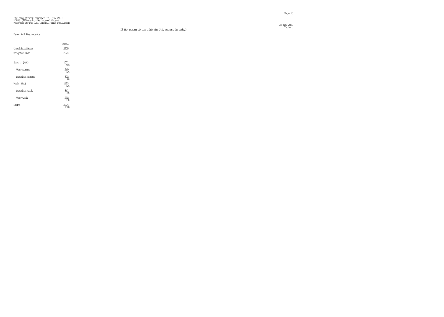$\frac{23}{2}$  Nov 2020  $\frac{202}{2}$ 23 Nov 2020<br>Table 8

|                        | Total         |
|------------------------|---------------|
| <b>Unveighted Base</b> | 2205          |
| Weighted Base          | 2224          |
| Strang (Net)           | 1071<br>48%   |
| Very strong            | $^{269}_{12}$ |
| Somewhat strong        | 802<br>36%    |
| Weak (Net)             | 1153<br>52%   |
| Somewhat weak          | 861<br>39%    |
| Very weak              | 292<br>$1\%$  |
| Sioma                  |               |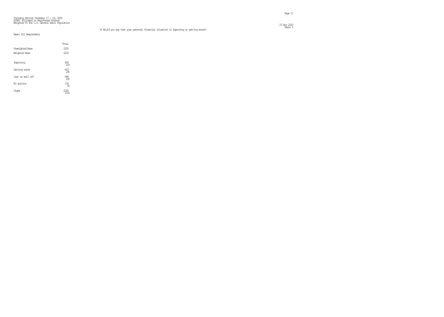#### Fielding Period: November 17 - 19, 2020 HCAPS (Filtered on Registered Voters) Weighted To The U.S. General Adult Population  $\frac{23 \text{ N\textsc{}}}{23 \text{ N\textsc{}}\sqrt{200}}$

#### Table 9 I4 Would you say that your personal financial situation is improving or getting worse?

|                        | Total              |  |
|------------------------|--------------------|--|
| <b>Unveighted Base</b> | 2205               |  |
| Weichted Base          | 2224               |  |
|                        |                    |  |
| Improving              | $^{493}_{22\%}$    |  |
| Getting worse          | 643<br>29%         |  |
| Just as well off       | $\frac{948}{43\%}$ |  |
| No opinion             | 139<br>68          |  |
| Sioma                  |                    |  |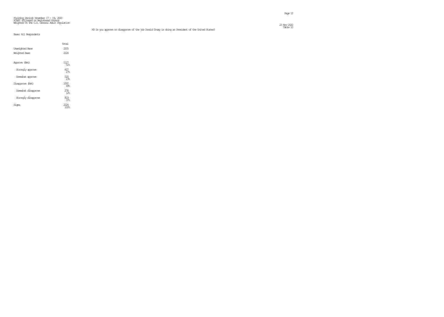|                        | Total                  |
|------------------------|------------------------|
| <b>Unveighted Base</b> | 2205                   |
| Weighted Base          | 2224                   |
| Approve (Net)          | 1127<br>51%            |
| Strongly approve       | $\frac{607}{27}$       |
| Somewhat approve       | 520                    |
| Disapprove (Net)       | 1097<br>49.5           |
| Sorrewhat disapprove   | 278<br>12 <sup>°</sup> |
| Strangly disapprove    | 819<br>$37$ %          |
| Sioma                  |                        |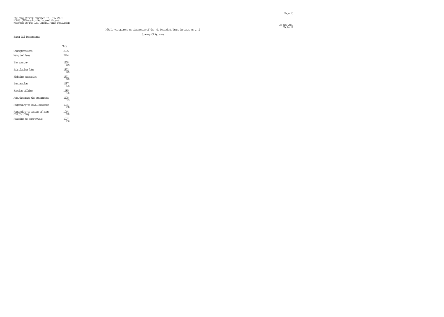#### Fielding Period: November 17 - 19, 2020 HCAPS (Filtered on Registered Voters) Weighted To The U.S. General Adult Population  $23 \text{ Ny}$  220  $\text{Ny}$  220  $\text{Ny}$  220  $\text{Nz}$  220  $\text{Nz}$  230  $\text{Nz}$  230  $\text{Nz}$  230  $\text{Nz}$  230  $\text{Nz}$  230  $\text{Nz}$  230  $\text{Nz}$  230  $\text{Nz}$  230  $\text{Nz}$  230  $\text{Nz}$  230  $\text{Nz}$  230  $\text{Nz}$  230  $\text{Nz}$  23

Summary Of Approve

|  |  | Base: All Respondents |  |
|--|--|-----------------------|--|
|--|--|-----------------------|--|

|                                              | Total                   |
|----------------------------------------------|-------------------------|
| <b>Unveighted Base</b>                       | 2205                    |
| Weighted Base                                | 2224                    |
| The economy                                  | 1338<br>608             |
| Stimulating jobs                             | 1332<br>60%             |
| Fighting terrorism                           | 1331<br>60%             |
| Immigration                                  | 1187<br>53%             |
| Foreign affairs                              | 1185<br>53%             |
| Administering the government                 | 1128<br>51%             |
| Responding to civil disorder                 | 1091<br>49%             |
| Responding to issues of race<br>and policing | 1064<br>48 <sub>6</sub> |
| Reacting to coronavirus                      | 1007<br>45%             |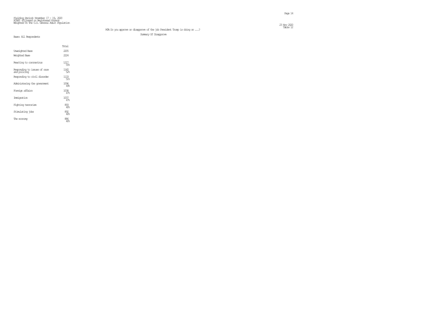Summary Of Disapprove

|                                              | Total       |
|----------------------------------------------|-------------|
| <b>Unveighted Base</b>                       | 2205        |
| Weighted Base                                | 2224        |
| Reacting to coronavirus                      | 1217<br>55% |
| Responding to issues of race<br>and policing | 1160<br>52% |
| Responding to civil disorder                 | 1133<br>51% |
| Administering the opverment                  | 1096<br>49% |
| Foreign affairs                              | 1038<br>47% |
| Immigration                                  | 1037<br>47% |
| Fighting terrorism                           | 893<br>40%  |
| Stimulating jobs                             | 892<br>40%  |
| The economy                                  | 886<br>40%  |

## M3A Do you approve or disapprove of the job President Trump is doing on ...?<br>M3A Do you approve or disapprove of the job President Trump is doing on ...?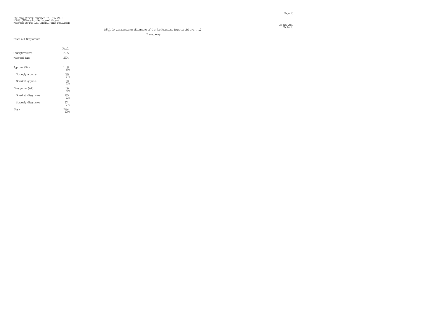#### M3A\_1 Do you approve or disapprove of the job President Trump is doing on ...?

The economy

|                        | Total             |
|------------------------|-------------------|
| <b>Unveighted Base</b> | 2205              |
| Weichted Base          | 2224              |
| Approve (Net)          | 1338<br>60%       |
| Strangly approve       | 820<br>37%        |
| Somewhat approve       | $\frac{518}{236}$ |
| Disapprove (Net)       | 886<br>40%        |
| Sorrewhat disapprove   | $285$<br>$13$     |
| Strangly disapprove    | 601<br>$27$ %     |
| Siqna                  | 100%              |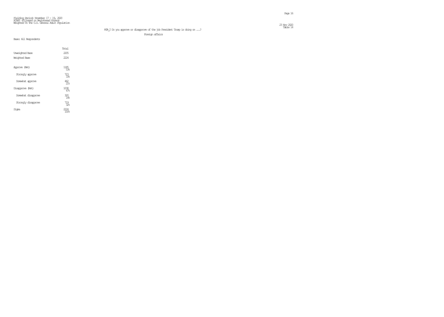#### $23 \text{ Ny}$  2020  $\text{Ny}$  2020  $\text{Nz}$  2020  $\text{Nz}$  2020  $\text{Nz}$  2020  $\text{Nz}$  2020  $\text{Nz}$  2020  $\text{Nz}$  2020  $\text{Nz}$  2020  $\text{Nz}$  2020  $\text{Nz}$  2020  $\text{Nz}$  2020  $\text{Nz}$  2020  $\text{Nz}$  2020  $\text{Nz}$  2020  $\text{Nz}$

#### M3A\_2 Do you approve or disapprove of the job President Trump is doing on ...?<br>M3A\_2 Do you approve or disapprove of the job President Trump is doing on ...? Foreign affairs

|                        | Total                  |
|------------------------|------------------------|
| <b>Unveighted Base</b> | 2205                   |
| Weighted Base          | 2224                   |
| Approve (Net)          | 1185<br>53%            |
| Strangly approve       | 723<br>3%              |
| Somewhat approve       | 462<br>$21$ %          |
| Disapprove (Net)       | 1038<br>47%            |
| Smewhat disapprove     | 320<br>14%             |
| Strangly disapprove    | 719<br>32 <sub>5</sub> |
| Sioma                  | 100%                   |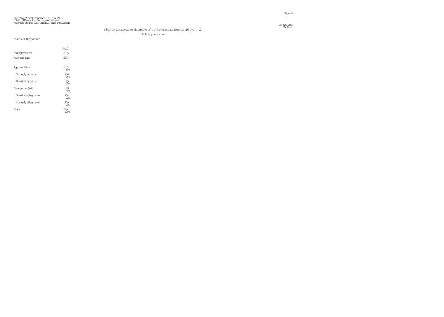#### Fielding Period: November 17 - 19, 2020 HCAPS (Filtered on Registered Voters) Weighted To The U.S. General Adult Population  $23 \text{ Ny}$  2020  $20 \text{ Ny}$  2020  $20 \text{ Ny}$  2020  $20 \text{ Ny}$  2020  $20 \text{ Ny}$  2020  $20 \text{ Ny}$  2020  $20 \text{ Ny}$  2020  $20 \text{ Ny}$  2020  $20 \text{ Ny}$  2020  $20 \text{ Ny}$  2020  $20 \text{ Ny}$  2020  $20 \text{ Ny}$  2020  $20 \text{ Ny}$  2020  $20 \text{ Ny}$  20

M3A\_3 Do you approve or disapprove of the job President Trump is doing on ...?<br>M3A\_3 Do you approve or disapprove of the job President Trump is doing on ...?

Fighting terrorism

|                      | Total                  |
|----------------------|------------------------|
| Unveighted Base      | 2205                   |
| Weichted Base        | 2224                   |
| Approve (Net)        | 1331<br>60%            |
| Strangly approve     | 786<br>35%             |
| Somewhat approve     | 545<br>25%             |
| Disapprove (Net)     | 893<br>40%             |
| Sorrewhat disapprove | $274 \atop 123$        |
| Strangly disapprove  | 619<br>$\overline{28}$ |
| Siqna                | 1በበዬ                   |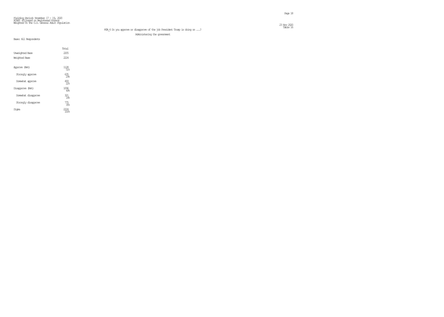#### Fielding Period: November 17 - 19, 2020 HCAPS (Filtered on Registered Voters) Weighted To The U.S. General Adult Population  $23 \text{ Ny}$  2020  $\text{Ny}$  2020  $\text{Nz}$  2020  $\text{Nz}$  2020  $\text{Nz}$  2020  $\text{Nz}$  2020  $\text{Nz}$  2020  $\text{Nz}$  2020  $\text{Nz}$  2020  $\text{Nz}$  2020  $\text{Nz}$  2020  $\text{Nz}$  2020  $\text{Nz}$  2020  $\text{Nz}$  2020  $\text{Nz}$  2020  $\text{Nz}$

#### M3A\_4 Do you approve or disapprove of the job President Trump is doing on  $\ldots$ ? Administering the government

### Base: All Respondents

|                        | Total             |
|------------------------|-------------------|
| <b>Unveichted Base</b> | 2205              |
| Weichted Base          | 222.4             |
| Approve (Net)          | 1128<br>51%       |
| Strangly approve       | 635<br>298        |
| Somewhat approve       | $\frac{493}{228}$ |
| Disapprove (Net)       | 1096<br>4%        |
| Sorrewhat disapprove   | 321<br>14%        |
| Strangly disapprove    | 775<br>35%        |
| Sioma                  |                   |

## 23 Nov 2020<br>Table 16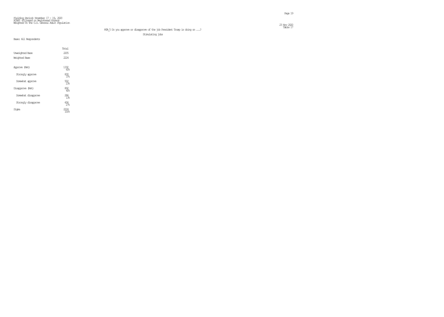#### Fielding Period: November 17 - 19, 2020 HCAPS (Filtered on Registered Voters) Weighted To The U.S. General Adult Population  $23 \text{ Ny}$  2020  $20 \text{ Ny}$  2020  $20 \text{ Ny}$  2020  $20 \text{ Ny}$  2020  $20 \text{ Ny}$  2020  $20 \text{ Ny}$  2020  $20 \text{ Ny}$  2020  $20 \text{ Ny}$  2020  $20 \text{ Ny}$  2020  $20 \text{ Ny}$  2020  $20 \text{ Ny}$  2020  $20 \text{ Ny}$  2020  $20 \text{ Ny}$  2020  $20 \text{ Ny}$  20

M3A\_5 Do you approve or disapprove of the job President Trump is doing on ...?<br>M3A\_5 Do you approve or disapprove of the job President Trump is doing on ...? Stimulating jobs

|                        | Total            |
|------------------------|------------------|
| <b>Unveighted Base</b> | 2205             |
| Weichted Base          | 222.4            |
| Approve (Net)          | 1332<br>60%      |
| Strangly approve       | 830<br>37.5      |
| Somewhat approve       | 502<br>238       |
| Disapprove (Net)       | $\frac{892}{40}$ |
| Sorrewhat disapprove   | 286<br>13%       |
| Strangly disapprove    | 606<br>$27$ %    |
| Signa                  |                  |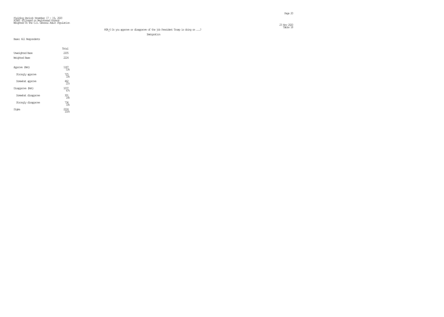# M3A\_6 Do you approve or disapprove of the job President Trump is doing on ...?<br>M3A\_6 Do you approve or disapprove of the job President Trump is doing on ...?

Immigration

|                        | Total                |
|------------------------|----------------------|
| <b>Unveichted Base</b> | 2205                 |
| Weichted Base          | 2224                 |
| Approve (Net)          | 1187<br>53%          |
| Strangly approve       | 725<br>33%           |
| Somewhat approve       | 462<br>21%           |
| Disapprove (Net)       | 1037<br>47%          |
| Sorrewhat disapprove   | 301<br>14%           |
| Strangly disapprove    | 736<br>33%           |
| Siqna                  | <i>777</i> 4<br>100% |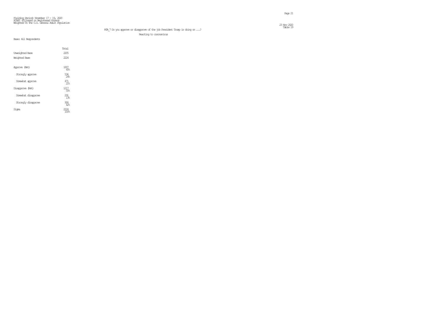23 Nov 2020<br>Table 19

M3A\_7 Do you approve or disapprove of the job President Trump is doing on  $\ldots$  ? Reacting to coronavirus

|                        | Total          |
|------------------------|----------------|
| <b>Unveighted Base</b> | 2205           |
| Weichted Base          | 2224           |
| Approve (Net)          | 1007<br>45%    |
| Strangly approve       | 536<br>24%     |
| Somewhat approve       | 471<br>21      |
| Disapprove (Net)       | 1217<br>55%    |
| Sorrewhat disapprove   | $^{291}_{138}$ |
| Strangly disapprove    | 926<br>42%     |
| Signa                  | 100%           |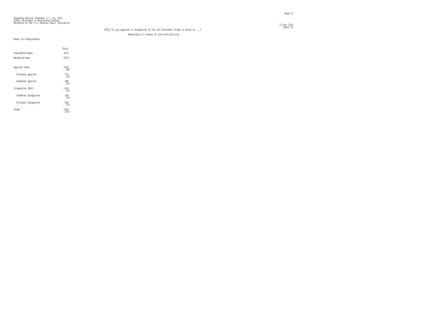#### M3A\_8 Do you approve or disapprove of the job President Trump is doing on ...?<br>M3A\_8 Do you approve or disapprove of the job President Trump is doing on ...? Responding to issues of race and policing

|                        | Total         |
|------------------------|---------------|
| <b>Unveighted Base</b> | 2205          |
| Weichted Base          | 222.4         |
| Approve (Net)          | 1064<br>48%   |
| Strangly approve       | 576<br>26     |
| Somewhat approve       | $^{488}_{22}$ |
| Disapprove (Net)       | 1160<br>52%   |
| Smewhat disapprove     | 344<br>15%    |
| Strangly disapprove    | 816<br>37%    |
| Siqna                  |               |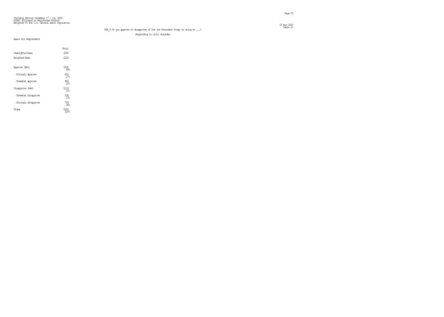#### Fielding Period: November 17 - 19, 2020 HCAPS (Filtered on Registered Voters) Weighted To The U.S. General Adult Population  $23 \text{ Ny}$  2220  $\text{Ny}$  2220  $\text{Ny}$  2220  $\text{Ny}$  2220  $\text{Ny}$  2320  $\text{Ny}$  2320  $\text{Ny}$  2320  $\text{Ny}$  2320  $\text{Ny}$  2320  $\text{Ny}$  2320  $\text{Ny}$  2320  $\text{Ny}$  2320  $\text{Ny}$  2320  $\text{Ny}$  2320  $\text{Ny}$  2320  $\text{Ny}$

M3A\_9 Do you approve or disapprove of the job President Trump is doing on ...?

Responding to civil disorder

|                        | Total             |
|------------------------|-------------------|
| <b>Unveighted Base</b> | 2205              |
| Weichted Base          | 2224              |
| Approve (Net)          | 1091<br>4%        |
| Strangly approve       | 602<br>27.8       |
| Somewhat approve       | $\frac{489}{228}$ |
| Disapprove (Net)       | 1133<br>51%       |
| Sorrewhat disapprove   | 334<br>15%        |
| Strangly disapprove    | 799<br>36         |
| Signa                  | 100%              |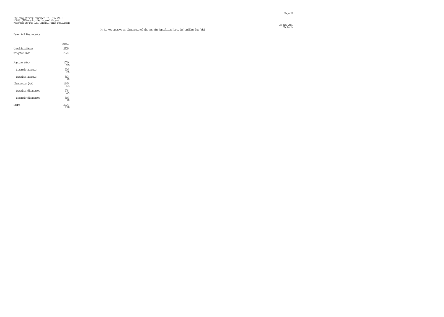|                        | Total                  |
|------------------------|------------------------|
| <b>Unveighted Base</b> | 2205                   |
| Weighted Base          | 2224                   |
| Approve (Net)          | 1079<br>49.5           |
| Strangly approve       | 416<br>19.5            |
| Somewhat approve       | 663<br>30 <sub>5</sub> |
| Disapprove (Net)       | 1145<br>$51\%$         |
| Somewhat disapprove    | 478<br>22 <sup>°</sup> |
| Strangly disapprove    | 666<br>30%             |
| Sioma                  | 7774<br>100%           |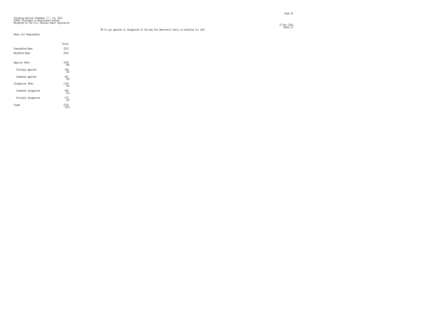|                        | Total                  |
|------------------------|------------------------|
| <b>Unveighted Base</b> | 2205                   |
| Weighted Base          | 222.4                  |
| Approve (Net)          | 1068<br>48%            |
| Strangly approve       | 408<br>18 <sup>°</sup> |
| Somewhat approve       | 661<br>308             |
| Disapprove (Net)       | 1156<br>52%            |
| Somewhat disapprove    | 482<br>22 <sub>6</sub> |
| Strangly disapprove    | 673<br>30 <sub>5</sub> |
| Sioma                  | 2224<br>100%           |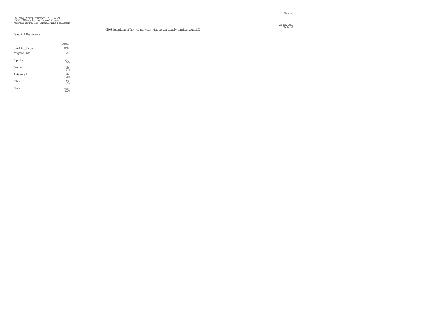$23 \text{ Ny}$  220  $\text{Ny}$  220  $\text{Ny}$  220  $\text{Nz}$  230  $\text{Nz}$  230  $\text{Nz}$  230  $\text{Nz}$  230  $\text{Nz}$  230  $\text{Nz}$  230  $\text{Nz}$  230  $\text{Nz}$  230  $\text{Nz}$  230  $\text{Nz}$  230  $\text{Nz}$  230  $\text{Nz}$  230  $\text{Nz}$  230  $\text{Nz}$  23

|                        | Total              |  |
|------------------------|--------------------|--|
| <b>Unveighted Base</b> | 2205               |  |
| Weighted Base          | 2224               |  |
| Republican             | $\frac{794}{366}$  |  |
| Democrat               | $\frac{816}{37}$   |  |
| Independent            | $\frac{546}{25\%}$ |  |
| Other                  | $\frac{68}{36}$    |  |
| Signa                  |                    |  |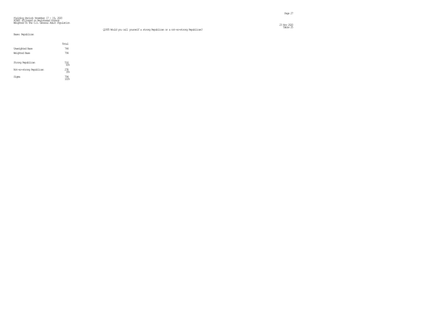Table 25 Q1905 Would you call yourself a strong Republican or a not-so-strong Republican?

#### Fielding Period: November 17 – 19, 2020<br>HCAPS (Filtered on Registered Voters)<br>Weighted To The U.S. General Adult Population  $\frac{23 \text{ Ny}}{220}$

#### Base: Republican

|                          | Total            |
|--------------------------|------------------|
| <b>Unveichted Base</b>   | 744              |
| Weichted Base            | 794              |
| Strong Republican        | $\frac{516}{65}$ |
| Not-so-strong Republican | $278 \atop 35\%$ |
| Signa                    | 794              |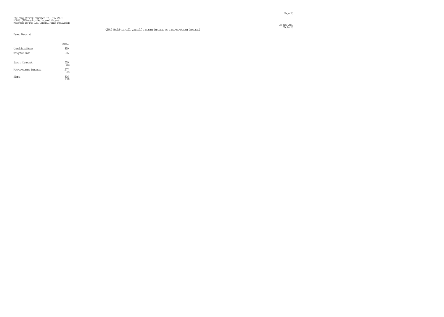Q1910 Would you call yourself a strong Democrat or a not-so-strong Democrat?

 $\frac{23 \text{ Ny}}{220}$ 23 Nov 2020<br>Table 26

#### Base: Democrat

|                        | Total            |
|------------------------|------------------|
| <b>Unveichted Base</b> | 859              |
| Weighted Base          | 816              |
| Strong Democrat        | 539<br>66%       |
| Not-so-strong Democrat | $\frac{277}{34}$ |
| Sioma                  | 816              |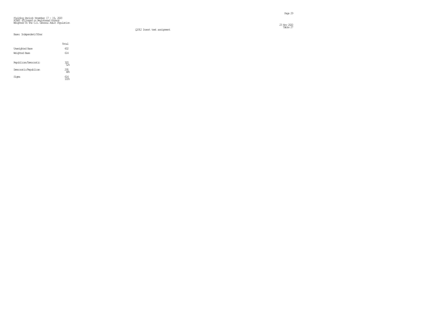$23 \text{ Ny}$  2220  $\text{Ny}$  2020  $\text{Nz}$  2020  $\text{Nz}$  2020  $\text{Nz}$  2020  $\text{Nz}$  2020  $\text{Nz}$  2020  $\text{Nz}$  2020  $\text{Nz}$  2020  $\text{Nz}$  2020  $\text{Nz}$  2020  $\text{Nz}$  2020  $\text{Nz}$  2020  $\text{Nz}$  2020  $\text{Nz}$  2020  $\text{Nz}$   $\sim$  Table 27

# Fielding Period: November 17 - 19, 2020 HCAPS (Filtered on Registered Voters) Weighted To The U.S. General Adult Population

Q1912 Insert text assignment

#### Base: Independent/Other

|                        | Total          |
|------------------------|----------------|
| <b>Unveichted Base</b> | 602            |
| Weichted Base          | 614            |
| Republican/Democratic  | 320<br>52%     |
| Democratic/Republican  | $^{295}_{48}$  |
| Sioma                  | $614$<br>$100$ |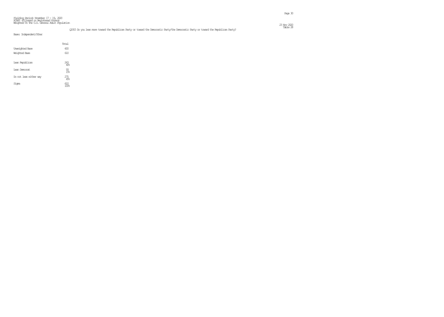Sigma

en de la provincia de la provincia de la provincia de la provincia de la provincia de la provincia de la provi<br>Page 30

| Base: Independent/Other |                 |  |
|-------------------------|-----------------|--|
|                         | Total           |  |
| <b>Unveighted Base</b>  | 600             |  |
| Weighted Base           | 610             |  |
|                         |                 |  |
| Lean Republican         | 243<br>40%      |  |
| <b>Lean Democrat</b>    |                 |  |
|                         | $\frac{93}{15}$ |  |
| Do not lean either way  | 275<br>45%      |  |
|                         |                 |  |

 $\begin{array}{l} 610 \\ 100\end{array}$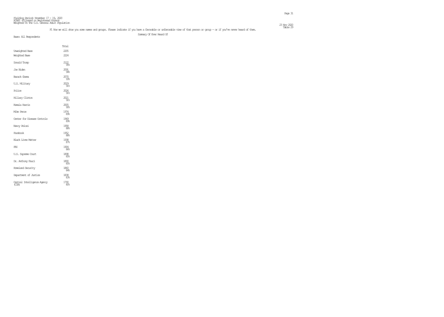| Fielding Period: November 17 – 19, 2020<br>HCAPS (Filtered on Pegistered Voters)<br>Weighted To The U.S. General Adult Population |                                                                                                                                                                        |                         |
|-----------------------------------------------------------------------------------------------------------------------------------|------------------------------------------------------------------------------------------------------------------------------------------------------------------------|-------------------------|
|                                                                                                                                   | F1 Now we will show you some names and oroups. Please indicate if you have a favorable or unfavorable view of that person or oroup – or if you've never heard of them, | 23 Nov 2020<br>Table 29 |
| Base: All Rescondents                                                                                                             | Summary Of Ever Heard Of                                                                                                                                               |                         |
|                                                                                                                                   |                                                                                                                                                                        |                         |

Total

Unweighted Base 2205 Weighted Base 2224 Donald Trump 95% Joe Biden 2091 94% Barack Chama 93% U.S. Military 2029<br>91%  $Policé$ 2026<br>91% Hillary Clinton 2021<br>91% Kamala Harris 90% Mike Pence 89% Center for Disease Controls 1969 89% Nancy Pelosi 1958<br>88% Facebook 1952<br>88% Black Lives Matter 1938<br>87% FBI 1904 86% U.S. Supreme Court 1898 85% Dr. Anthony Fauci 85% Homeland Security 84% Department of Justice 1838 83% Central Intelligence Agency 1790 (CIA) 80%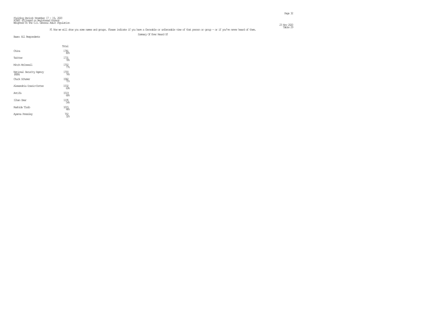23 Nov 2020<br>Table 29

| Fielding Period: November 17 – 19, 2020<br>HCAPS (Filtered on Pegistered Voters)<br>Weighted To The U.S. General Adult Population |                    |                                                                                                                                                                        |                         |
|-----------------------------------------------------------------------------------------------------------------------------------|--------------------|------------------------------------------------------------------------------------------------------------------------------------------------------------------------|-------------------------|
|                                                                                                                                   |                    | F1 Now we will show you some names and groups. Please indicate if you have a favorable or unfavorable view of that person or group - or if you've never heard of them. | 23 Nov 2020<br>Table 29 |
| Base: All Respondents                                                                                                             |                    | Summary Of Even Heard Of                                                                                                                                               |                         |
|                                                                                                                                   | Total              |                                                                                                                                                                        |                         |
|                                                                                                                                   |                    |                                                                                                                                                                        |                         |
| China                                                                                                                             | 1781<br>80%        |                                                                                                                                                                        |                         |
| Twitter                                                                                                                           | $\frac{1731}{786}$ |                                                                                                                                                                        |                         |
| Mitch McCornell                                                                                                                   | $\frac{1702}{77}$  |                                                                                                                                                                        |                         |
| National Security Agency<br>(NSA)                                                                                                 | 1700<br>76%        |                                                                                                                                                                        |                         |
| Chuck Schurren                                                                                                                    | $^{1582}_{-71\%}$  |                                                                                                                                                                        |                         |
| Alexandria Ocasio-Cortez                                                                                                          | 1532<br>698        |                                                                                                                                                                        |                         |
| Antifa                                                                                                                            | 1519<br>68%        |                                                                                                                                                                        |                         |
| Ilhan Orar                                                                                                                        | 1195<br>54%        |                                                                                                                                                                        |                         |

Rashida Tlaib

Ayanna Pressley

 $\frac{1015}{46}$ 

32%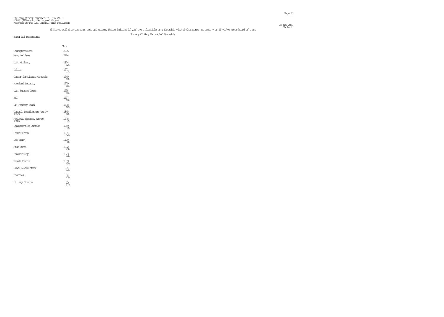| Fielding Peniad; November $17 - 19$ , $2020$                                          |              |
|---------------------------------------------------------------------------------------|--------------|
| HAPS (Filtered on Registered Voters)<br>Weighted To The U.S. General Adult Ropulation |              |
|                                                                                       |              |
|                                                                                       | 23 Nov. 2020 |

|                                      | Total              |  |
|--------------------------------------|--------------------|--|
| <b>Unreighted Base</b>               | 2205               |  |
| <b>Weighted Base</b>                 | 2224               |  |
| U.S. Military                        | 1814<br>82%        |  |
| Police                               | 1571<br>71%        |  |
| Center for Disease Controls          | 1540<br>698        |  |
| <b>Horeland Security</b>             | 1479<br>66%        |  |
| U.S. Supreme Court                   | 1438<br>65%        |  |
| FBI                                  | 1437<br>65%        |  |
| Dr. Anthony Fauci                    | 1378<br>62%        |  |
| Central Intelligence Agency<br>(CIA) | 1345<br>60%        |  |
| National Seourity Agency<br>(NSA)    | $\frac{1278}{576}$ |  |
| Department of Justice                | $\frac{1259}{576}$ |  |
| Barack Cbarra                        | 1204<br>54%        |  |
| Joe Biden                            | 1109<br>50%        |  |
| Mike Pence                           | 1082<br>49%        |  |
| Donald Trump                         | 1023<br>46%        |  |
| Kanala Harris                        | 1009<br>45%        |  |
| Black Lives Matter                   | 984<br>44%         |  |
| Facebook                             | 954<br>43%         |  |
| Hillary Clinton                      | 815<br>378         |  |
|                                      |                    |  |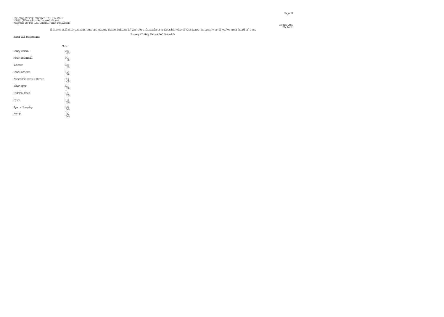| Fielding Period: November $17 - 19$ , 2020                                            |             |
|---------------------------------------------------------------------------------------|-------------|
| HAPS (Filtered on Registered Voters)<br>Weighted To The U.S. General Adult Ropulation |             |
|                                                                                       |             |
|                                                                                       | 23 Nov 2020 |

#### F1 Now we will show you some names and groups. Please indicate if you have a favorable or unfavorable view of that person or group – or if you've never heard of them. This is the made 30 Summary Of Very Favorable/ Favorable

|                          | Total                  |  |
|--------------------------|------------------------|--|
| Nancy Pelosi             | 755<br>34%             |  |
| Mitch McConnell          | 741<br>33%             |  |
| Twitter                  | 693<br>31%             |  |
| Chuck Schurren           | 672<br>30 <sub>6</sub> |  |
| Alexandria Ocasio-Cortez | 643<br>29.5            |  |
| Ilhan Omar               | 421<br>19%             |  |
| Rashida Tlaib            | $\frac{384}{178}$      |  |
| China                    | 333<br>15%             |  |
| Ayanna Pressley          | 320<br>14%             |  |
| Antifa                   | 306<br>14%             |  |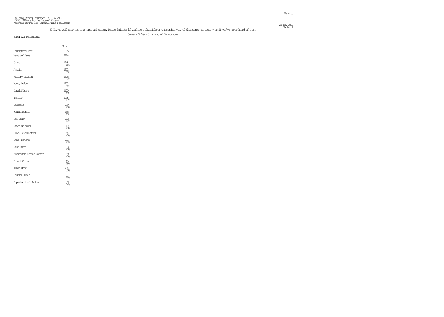| Fielding Period: November $17 - 19$ , 2020                                           |              |
|--------------------------------------------------------------------------------------|--------------|
| HOPS (Filtered on Registered Voters)<br>Weichted To The U.S. General Adult Roulation |              |
|                                                                                      |              |
|                                                                                      | 23 Nov. 2020 |

|                           | Total              |  |
|---------------------------|--------------------|--|
| <b>Unveighted Base</b>    | 2205               |  |
| Weighted Base             | 2224               |  |
| China                     | 1448<br>65%        |  |
| Antifa                    | 1213<br>55%        |  |
| <b>Hillary Clinton</b>    | 1206<br>54%        |  |
| Nancy Pelosi              | 1203<br>54%        |  |
| Donald Trump              | $\frac{1100}{496}$ |  |
| Twitter                   | $\frac{1038}{478}$ |  |
| Facebook                  | 999<br>45%         |  |
| Kamala Harris             | 996<br>45%         |  |
| Joe Biden                 | 982<br>44%         |  |
| Mitch McConnell           | 960<br>43%         |  |
| <b>Black Lives Matter</b> | 954<br>43%         |  |
| Chuck Schurren            | 911<br>41%         |  |
| Mike Pence                | $\frac{893}{40%}$  |  |
| Alexandria Ocasio-Cortez  | 889<br>40%         |  |
| Barack Cbarra             | 865<br>398         |  |
| Ilhan Orar                | 774<br>35%         |  |
| Rashida Tlaib             | <u>යැ</u><br>28    |  |
| Department of Justice     | 579<br>268         |  |
|                           |                    |  |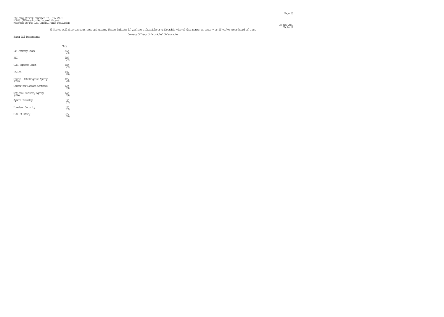| Fielding Period: November $17 - 19$ , 2020                                            |             |
|---------------------------------------------------------------------------------------|-------------|
| HAPS (Filtered on Registered Voters)<br>Weighted To The U.S. General Adult Ropulation |             |
|                                                                                       |             |
|                                                                                       | 23 Nov 2020 |

|                                      | Total                  |
|--------------------------------------|------------------------|
| Dr. Anthony Fauci                    | 5 <u>12</u><br>238     |
| FBI                                  | 466<br>21%             |
| U.S. Supreme Court                   | 460<br>21%             |
| Police                               | 456<br>20 <sub>6</sub> |
| Central Intelligence Agency<br>(CIA) | 445<br>20 <sub>6</sub> |
| Center for Disease Controls          | 429<br>1%              |
| National Security Agency<br>(NSA)    | $\frac{422}{196}$      |
| Ayanna Pressley                      | $\frac{382}{178}$      |
| <b>Horeland Security</b>             | $\frac{382}{17}$       |
| U.S. Military                        | 215<br>10%             |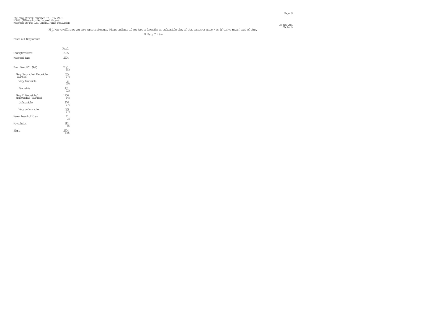#### F1\_1 Now we will show you some names and groups. Please indicate if you have a favorable or unfavorable view of that person or group – or if you've never heard of them. This is the made of the made of the made of the made

Hillary Clinton

|                                            | Total                  |
|--------------------------------------------|------------------------|
| Unveighted Base                            | 2205                   |
| Weighted Base                              | 222.4                  |
| Ever Heard Of (Net)                        | 2021<br>91%            |
| Very Favorable/ Favorable<br>(Sub-Net)     | 815<br>37%             |
| Very favorable                             | 334<br>15%             |
| Favorable                                  | $\frac{481}{228}$      |
| Very Unfavorable/<br>Unfavorable (Sub-Net) | 1206<br>54%            |
| <b>Unfavorable</b>                         | 376<br>17 <sup>°</sup> |
| Very unfavorable                           | 829<br>37 <sup>°</sup> |
| Never heard of them                        | 21<br>$1\%$            |
| No opinion                                 | 182<br>୫               |
| Signa                                      | 100%                   |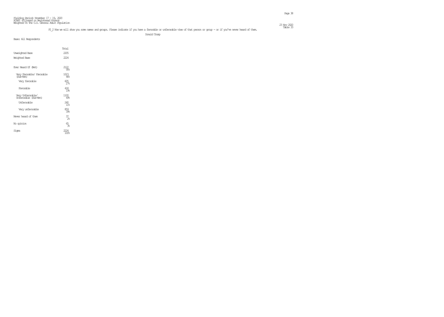| Fielding Period: November 17 – 19, 2020                                               |              |
|---------------------------------------------------------------------------------------|--------------|
| HOPS (Filtered on Registered Voters)<br>Weighted To The U.S. General Adult Ropulation |              |
|                                                                                       |              |
|                                                                                       | 23 Nov. 2020 |

#### F1\_2 Now we will show you some names and groups. Please indicate if you have a favorable or unfavorable view of that person or group – or if you've never heard of them. This is the made of the made of them.

Donald Trump

|                                            | Total           |
|--------------------------------------------|-----------------|
| Unveighted Base                            | 2205            |
| Weighted Base                              | 222.4           |
| Ever Heard Of (Net)                        | 2122<br>95%     |
| Very Favorable/ Favorable<br>(Sub-Net)     | 1023<br>46%     |
| Very favorable                             | 605<br>278      |
| Favorable                                  | 418<br>19.5     |
| Very Unfavorable/<br>Unfavorable (Sub-Net) | 1100<br>4%      |
| <b>Unfavorable</b>                         | 240<br>11%      |
| Very unfavorable                           | 859<br>39%      |
| Never heard of them                        | $\frac{37}{26}$ |
| No opinion                                 | 65<br>3%        |
| Signa                                      |                 |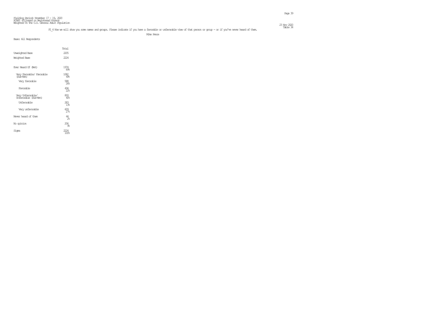| Fielding Period: November 17 – 19, 2020<br>HOPS (Filtered on Pegistered Voters)<br>Weighted To The U.S. General Adult Population |              |
|----------------------------------------------------------------------------------------------------------------------------------|--------------|
|                                                                                                                                  |              |
|                                                                                                                                  |              |
|                                                                                                                                  | 23 Nov. 2020 |

#### F1\_4 Now we will show you some names and groups. Please indicate if you have a favorable or unfavorable view of that person or group – or if you've never heard of them. This is the Dable 34

Mike Pence

|                                            | Total                |  |
|--------------------------------------------|----------------------|--|
| Unveighted Base                            | 2205                 |  |
| Weighted Base                              | 222.4                |  |
| Ever Heard Of (Net)                        | 1974<br>89%          |  |
| Very Favorable/ Favorable<br>(Sub-Net)     | 1082<br>4%           |  |
| Very favorable                             | 588<br>268           |  |
| Favorable                                  | $^{494}_{22}$        |  |
| Very Unfavorable/<br>Unfavorable (Sub-Net) | 893<br>40%           |  |
| Unfavorable                                | 283<br>13%           |  |
| Very unfavorable                           | 609<br>27            |  |
| Never heard of them                        | 44<br>2 <sup>°</sup> |  |
| No opinion                                 | 206<br>98            |  |
| Siqna                                      |                      |  |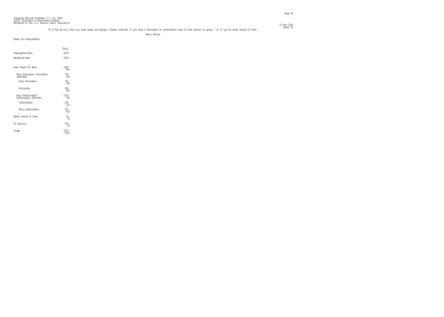| Fielding Period: November 17 – 19, 2020<br>HOPS (Filtered on Pegistered Voters)<br>Weighted To The U.S. General Adult Population |              |
|----------------------------------------------------------------------------------------------------------------------------------|--------------|
|                                                                                                                                  |              |
|                                                                                                                                  |              |
|                                                                                                                                  | 23 Nov. 2020 |

#### F1\_9 Now we will show you some names and groups. Please indicate if you have a favorable or unfavorable view of that person or group – or if you've never heard of them. This is then indicate if is volve a favorable or unfa

Nancy Pelosi

|                                            | Total            |  |
|--------------------------------------------|------------------|--|
| Unveighted Base                            | 2205             |  |
| Weighted Base                              | 222.4            |  |
|                                            |                  |  |
| Ever Heard Of (Net)                        | 1958<br>88%      |  |
| Very Favorable/ Favorable<br>(Sub-Net)     | 755<br>34%       |  |
| Very favorable                             | 302<br>14%       |  |
| Favorable                                  | $\frac{452}{20}$ |  |
| Very Unfavorable/<br>Unfavorable (Sub-Net) | 1203<br>54%      |  |
| <b>Unfavorable</b>                         | 291<br>13%       |  |
| Very unfavorable                           | 912<br>41%       |  |
| Never heard of them                        | 60<br>3%         |  |
| No opinion                                 | 206<br>98        |  |
| Signa                                      | 100‱             |  |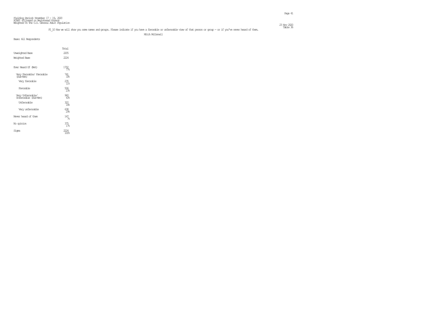| Fielding Period: November 17 – 19, 2020                                               |              |
|---------------------------------------------------------------------------------------|--------------|
| HOPS (Filtered on Registered Voters)<br>Weighted To The U.S. General Adult Ropulation |              |
|                                                                                       |              |
|                                                                                       | 23 Nov. 2020 |

#### F1\_10 Now we will show you some names and groups. Please indicate if you have a favorable or unfavorable view of that person or group – or if you've never heard of them. This is the made 36

Mitch McConnell

|                                            | Total                  |
|--------------------------------------------|------------------------|
| <b>Unreighted Base</b>                     | 2205                   |
| Weighted Base                              | 222.4                  |
| Ever Heard Of (Net)                        | 1702<br>77%            |
| Very Favorable/ Favorable<br>(Sub-Net)     | 741<br>33%             |
| Very favorable                             | $235 \atop 11\%$       |
| Favorable                                  | 506<br>23%             |
| Very Unfavorable/<br>Unfavorable (Sub-Net) | 960<br>4.3%            |
| Unfavorable                                | 322<br>$\overline{14}$ |
| Very unfavorable                           | 638<br>29.             |
| Never heard of them                        | 147<br>7 <sup>°</sup>  |
| No opinion                                 | 375<br>17 <sup>°</sup> |
| Sioma                                      | 100%                   |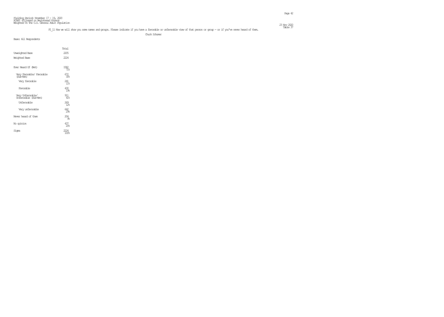| Fielding Period: November 17 – 19, 2020                                               |             |
|---------------------------------------------------------------------------------------|-------------|
| HOPS (Filtered on Registered Voters)<br>Weighted To The U.S. General Adult Ropulation |             |
|                                                                                       |             |
|                                                                                       | 23 Nov 2020 |

#### F1\_11 Now we will show you some names and groups. Please indicate if you have a favorable or unfavorable view of that person or group – or if you've never heard of them. This is the model of the multiple of the multiple of

Chuck Schumer

|                                            | Total                  |
|--------------------------------------------|------------------------|
| Unveighted Base                            | 2205                   |
| Weighted Base                              | 222.4                  |
|                                            |                        |
| Ever Heard Of (Net)                        | 1582<br>71%            |
| Very Favorable/ Favorable<br>(Sub-Net)     | 672<br>30%             |
| Very favorable                             | 241<br>11 <sup>°</sup> |
| Favorable                                  | 430<br>19.5            |
| Very Unfavorable/<br>Unfavorable (Sub-Net) | 911<br>41%             |
| Unfavorable                                | 269<br>12 <sup>°</sup> |
| Very unfavorable                           | 642<br>29%             |
| Never heard of them                        | 204<br>98              |
| No opinion                                 | 437<br>20 <sub>6</sub> |
| Siqna                                      | 100%                   |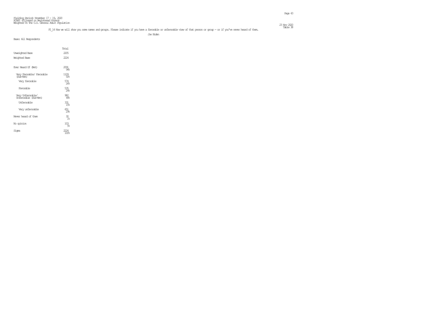| Fielding Period: November 17 – 19, 2020                                               |             |
|---------------------------------------------------------------------------------------|-------------|
| HOPS (Filtered on Registered Voters)<br>Weighted To The U.S. General Adult Ropulation |             |
|                                                                                       |             |
|                                                                                       | 23 Nov 2020 |

#### F1\_14 Now we will show you some names and groups. Please indicate if you have a favorable or unfavorable view of that person or group – or if you've never heard of them. This is the made 38

Joe Biden

|                                            | Total                |  |
|--------------------------------------------|----------------------|--|
| Unveighted Base                            | 2205                 |  |
| Weighted Base                              | 2224                 |  |
| Ever Heard Of (Net)                        | 2091<br>94%          |  |
| Very Favorable/ Favorable<br>(Sub-Net)     | 1109<br>50%          |  |
| Very favorable                             | 574<br>268           |  |
| Favorable                                  | 535<br>24%           |  |
| Very Unfavorable/<br>Unfavorable (Sub-Net) | 982<br>44%           |  |
| Unfavorable                                | 331<br>15%           |  |
| Very unfavorable                           | 651<br>298           |  |
| Never heard of them                        | 30<br>1 <sup>°</sup> |  |
| No opinion                                 | 103<br>5%            |  |
| Siqna                                      | 100‱                 |  |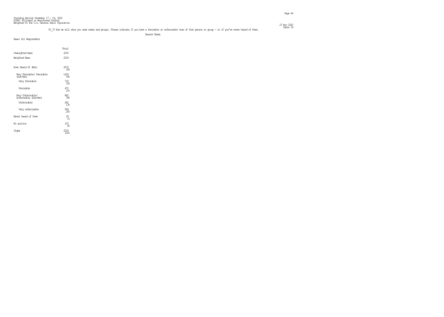| Fielding Period: November 17 – 19, 2020                                               |             |
|---------------------------------------------------------------------------------------|-------------|
| HOPS (Filtered on Registered Voters)<br>Weighted To The U.S. General Adult Ropulation |             |
|                                                                                       |             |
|                                                                                       | 23 Nov 2020 |

#### F1\_37 Now we will show you some names and groups. Please indicate if you have a favorable or unfavorable view of that person or group – or if you've never heard of them. This is the made 39

Barack Obama

|                                            | Total             |
|--------------------------------------------|-------------------|
| Unveighted Base                            | 2205              |
| Weighted Base                              | 2224              |
| Ever Heard Of (Net)                        | 2070<br>93%       |
| Very Favorable/ Favorable<br>(Sub-Net)     | 1204<br>54%       |
| Very favorable                             | 733<br>.33%       |
| Favorable                                  | $\frac{472}{218}$ |
| Very Unfavorable/<br>Unfavorable (Sub-Net) | 865<br>398        |
| Unfavorable                                | 282<br>13.5       |
| Very unfavorable                           | 584<br>26%        |
| Never heard of them                        | $^{29}_{18}$      |
| No opinion                                 | 125<br>୫          |
| Siqna                                      | 100%              |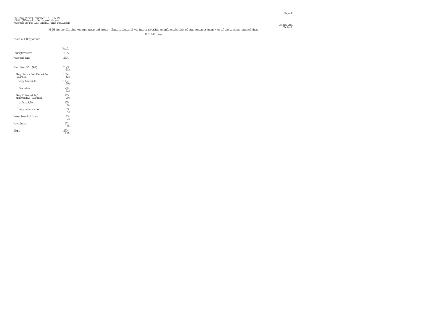#### Table 40 F1\_53 Now we will show you some names and groups. Please indicate if you have a favorable or unfavorable view of that person or group - or if you've never heard of them.

U.S. Military

|                                            | Total          |  |
|--------------------------------------------|----------------|--|
| <b>Unveighted Base</b>                     | 2205           |  |
| Weighted Base                              | 2224           |  |
| Ever Heard Of (Net)                        | 2029<br>91%    |  |
| Very Favorable/ Favorable<br>(Sub-Net)     | 1814<br>$82\%$ |  |
| Very favorable                             | 1104<br>50%    |  |
| Favorable                                  | 710<br>32%     |  |
| Very Unfavorable/<br>Unfavorable (Sub-Net) | $^{215}_{10}$  |  |
| <b>Unfavorable</b>                         | 135<br>୫       |  |
| Very unfavorable                           | 79<br>4%       |  |
| Never heard of them                        | $^{23}_{1\%}$  |  |
| No opinion                                 | 172.<br>8%     |  |
| Signa                                      | 100%           |  |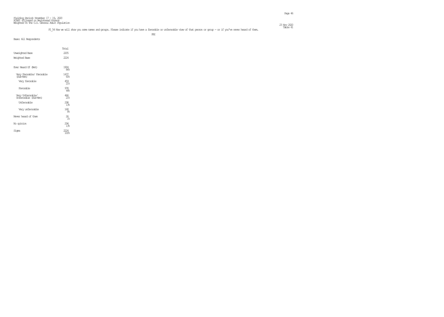#### F1\_54 Now we will show you some names and groups. Please indicate if you have a favorable or unfavorable view of that person or group – or if you've never heard of them. This example 41

FRIDADE STATE STATE OF THE STATE OF THE STATE OF THE STATE OF THE STATE OF THE STATE OF THE STATE OF THE STATE OF THE STATE OF THE STATE OF THE STATE OF THE STATE OF THE STATE OF THE STATE OF THE STATE OF THE STATE OF THE

|  | Base: All Respondents |
|--|-----------------------|

|                                            | Total             |
|--------------------------------------------|-------------------|
| Unveighted Base                            | 2205              |
| Weighted Base                              | 222.4             |
| Ever Heard Of (Net)                        | 1904<br>86%       |
| Very Favorable/ Favorable<br>(Sub-Net)     | 1437<br>65%       |
| Very favorable                             | $\frac{459}{218}$ |
| Favorable                                  | 978<br>44%        |
| Very Unfavorable/<br>Unfavorable (Sub-Net) | 466<br>21%        |
| Unfavorable                                | 298<br>1.38       |
| Very unfavorable                           | 168<br>8%         |
| Never heard of them                        | 26<br>$1\%$       |
| No opinion                                 | 294<br>1.3%       |
| Signa                                      | 100%              |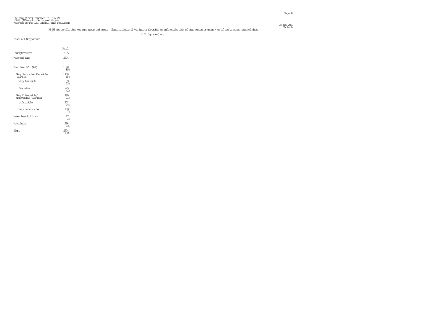| Fielding Period: November 17 – 19, 2020<br>HOPS (Filtered on Pegistered Voters)<br>Weighted To The U.S. General Adult Population |              |
|----------------------------------------------------------------------------------------------------------------------------------|--------------|
|                                                                                                                                  |              |
|                                                                                                                                  |              |
|                                                                                                                                  | 23 Nov. 2020 |

#### Table 42 F1\_55 Now we will show you some names and groups. Please indicate if you have a favorable or unfavorable view of that person or group - or if you've never heard of them.

U.S. Supreme Court

|                                            | Total                |
|--------------------------------------------|----------------------|
| Unveighted Base                            | 2205                 |
| Weighted Base                              | 222.4                |
| Ever Heard Of (Net)                        | 1898<br>85%          |
| Very Favorable/ Favorable<br>(Sub-Net)     | 1438<br>65%          |
| Very favorable                             | 09<br>238            |
| Favorable                                  | 929<br>42%           |
| Very Unfavorable/<br>Unfavorable (Sub-Net) | $^{460}_{21\%}$      |
| Unfavorable                                | 302<br>14%           |
| Very unfavorable                           | <u> 159</u><br>7%    |
| Never heard of them                        | 27<br>1 <sup>°</sup> |
| No opinion                                 | 298<br>1 양           |
| Siqna                                      | 100%                 |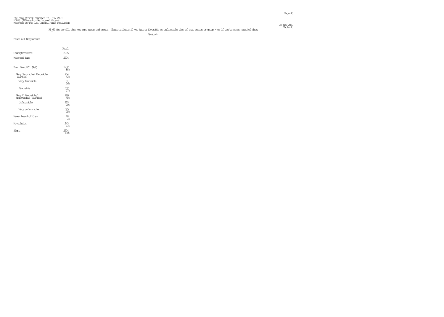| Fielding Period: November 17 – 19, 2020                                               |              |
|---------------------------------------------------------------------------------------|--------------|
| HOPS (Filtered on Registered Voters)<br>Weighted To The U.S. General Adult Ropulation |              |
|                                                                                       |              |
|                                                                                       | 23 Nov. 2020 |

#### F1\_60 Now we will show you some names and groups. Please indicate if you have a favorable or unfavorable view of that person or group – or if you've never heard of them. This explicit is would be made the made of the made

range is a strong of the control of the control of the control of the control of the control of the control of

|                                            | Total                  |
|--------------------------------------------|------------------------|
| Unveighted Base                            | 2205                   |
| Weighted Base                              | 222.4                  |
| Ever Heard Of (Net)                        | 1952<br>88%            |
| Very Favorable/ Favorable<br>(Sub-Net)     | 954<br>4.3%            |
| Very favorable                             | 351<br>168             |
| Favorable                                  | 602<br>273             |
| Very Unfavorable/<br>Unfavorable (Sub-Net) | 999<br>45%             |
| Unfavorable                                | 453<br>20 <sub>6</sub> |
| Very unfavorable                           | 545<br>25%             |
| Never heard of them                        | 28<br>1 <sup>°</sup>   |
| No opinion                                 | 243<br>11 <sup>°</sup> |
| Signa                                      | 100%                   |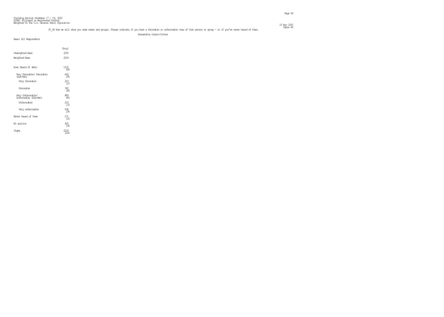| Fielding Peniad; November $17 - 19$ , $2020$                                          |              |
|---------------------------------------------------------------------------------------|--------------|
| HAPS (Filtered on Registered Voters)<br>Weighted To The U.S. General Adult Ropulation |              |
|                                                                                       |              |
|                                                                                       | 23 Nov. 2020 |

#### F1\_66 Now we will show you some names and groups. Please indicate if you have a favorable or unfavorable view of that person or group – or if you've never heard of them. This explicit 44

Alexandria Ocasio-Cortez

|                                            | Total                  |
|--------------------------------------------|------------------------|
| Unveighted Base                            | 2205                   |
| Weighted Base                              | 222.4                  |
|                                            |                        |
| Ever Heard Of (Net)                        | 1532<br>69.5           |
| Very Favorable/ Favorable<br>(Sub-Net)     | 643<br>29.5            |
| Very favorable                             | $253 \atop 118$        |
| Favorable                                  | 390<br>18%             |
| Very Unfavorable/<br>Unfavorable (Sub-Net) | $\frac{889}{40}$       |
| Unfavorable                                | 253<br>11%             |
| Very unfavorable                           | 636<br>29.5            |
| Never heard of them                        | 271<br>12 <sup>°</sup> |
| No opinion                                 | 420<br>19%             |
| Signa                                      | 100 <sub>k</sub>       |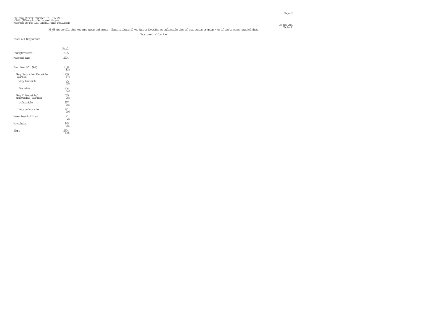| Fielding Period: November 17 – 19, 2020<br>HOPS (Filtered on Pegistered Voters)<br>Weighted To The U.S. General Adult Population |              |
|----------------------------------------------------------------------------------------------------------------------------------|--------------|
|                                                                                                                                  |              |
|                                                                                                                                  |              |
|                                                                                                                                  | 23 Nov. 2020 |

#### F1\_68 Now we will show you some names and groups. Please indicate if you have a favorable or unfavorable view of that person or group – or if you've never heard of them. This explicit 45

Department of Justice

|                                            | Total                   |
|--------------------------------------------|-------------------------|
| <b>Unreighted Base</b>                     | 2205                    |
| Weighted Base                              | 222.4                   |
| Ever Heard Of (Net)                        | 1838<br>83%             |
| Very Favorable/ Favorable<br>(Sub-Net)     | 1259<br>57 <sub>6</sub> |
| Very favorable                             | 325<br>152              |
| Favorable                                  | 934<br>42%              |
| Very Unfavorable/<br>Unfavorable (Sub-Net) | 579<br>268              |
| Unfavorable                                | 357<br>16%              |
| Very unfavorable                           | 221<br>10 <sub>5</sub>  |
| Never heard of them                        | 41.<br>$\mathcal{P}_n$  |
| No opinion                                 | 345<br>16%              |
| Sioma                                      | 100%                    |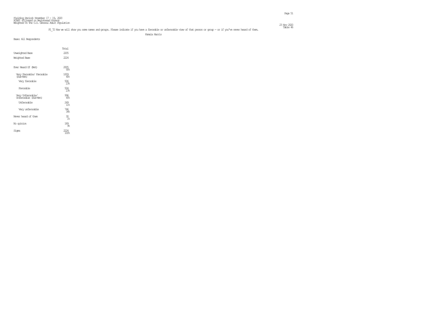| Fielding Period: November $17 - 19$ , 2020                                            |              |
|---------------------------------------------------------------------------------------|--------------|
| HOPS (Filtered on Registered Voters)<br>Weighted To The U.S. General Adult Ropulation |              |
|                                                                                       |              |
|                                                                                       | 23 Nov. 2020 |

#### F1\_72 Now we will show you some names and groups. Please indicate if you have a favorable or unfavorable view of that person or group – or if you've never heard of them. This explicit 46

Kamala Harris

|                                            | Total                |
|--------------------------------------------|----------------------|
| Unveighted Base                            | 2205                 |
| Weighted Base                              | 222.4                |
| Ever Heard Of (Net)                        | 2005<br>$90\%$       |
| Very Favorable/ Favorable<br>(Sub-Net)     | 1009<br>45%          |
| Very favorable                             | 506<br>238           |
| Favorable                                  | 504<br>23%           |
| Very Unfavorable/<br>Unfavorable (Sub-Net) | 996<br>45%           |
| Unfavorable                                | 249<br>11%           |
| Very unfavorable                           | 746<br>34%           |
| Never heard of them                        | 30<br>1 <sup>°</sup> |
| No opinion                                 | 189<br>98            |
| Sioma                                      | 100%                 |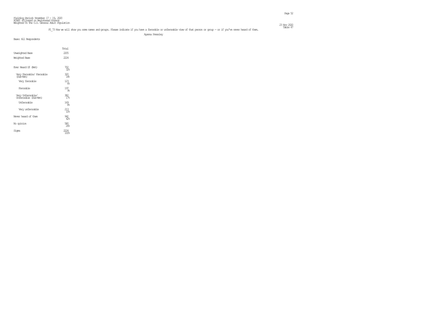| Fielding Period: November 17 – 19, 2020<br>HOPS (Filtered on Pegistered Voters)<br>Weighted To The U.S. General Adult Population |              |
|----------------------------------------------------------------------------------------------------------------------------------|--------------|
|                                                                                                                                  |              |
|                                                                                                                                  |              |
|                                                                                                                                  | 23 Nov. 2020 |

#### Table 47 F1\_73 Now we will show you some names and groups. Please indicate if you have a favorable or unfavorable view of that person or group - or if you've never heard of them.

Ayanna Pressley

|                                            | Total                       |
|--------------------------------------------|-----------------------------|
| Unveighted Base                            | 2205                        |
| Weighted Base                              | 2224                        |
| Ever Heard Of (Net)                        | 702<br>32%                  |
| Very Favorable/ Favorable<br>(Sub-Net)     | 320<br>14%                  |
| Very favorable                             | $\frac{23}{66}$             |
| Favorable                                  | $^{197}_{\phantom{1}9\!\%}$ |
| Very Unfavorable/<br>Unfavorable (Sub-Net) |                             |
| Unfavorable                                | 169<br>୫                    |
| Very unfavorable                           | 213<br>10%                  |
| Never heard of them                        | 942<br>42%                  |
| No opinion                                 | 580<br>26                   |
| Siqna                                      | 100%                        |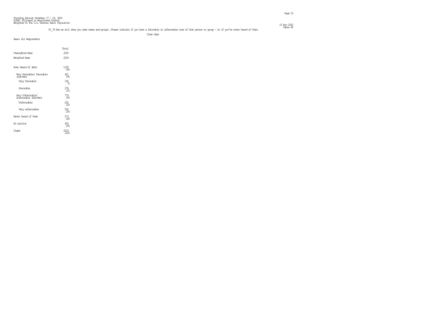| Fielding Period: November 17 – 19, 2020                                               |              |
|---------------------------------------------------------------------------------------|--------------|
| HOPS (Filtered on Registered Voters)<br>Weighted To The U.S. General Adult Ropulation |              |
|                                                                                       |              |
|                                                                                       | 23 Nov. 2020 |

#### F1\_74 Now we will show you some names and groups. Please indicate if you have a favorable or unfavorable view of that person or group – or if you've never heard of them. This explicit 48

Ilhan Omar

|                                            | Total                  |
|--------------------------------------------|------------------------|
| Unveighted Base                            | 2205                   |
| Weighted Base                              | 2224                   |
| Ever Heard Of (Net)                        | 1195<br>54%            |
| Very Favorable/ Favorable<br>(Sub-Net)     | 421<br>19%             |
| Very favorable                             | $\frac{145}{76}$       |
| Favorable                                  | $^{276}_{12}$          |
| Very Unfavorable/<br>Unfavorable (Sub-Net) | 774<br>35%             |
| <b>Unfavorable</b>                         | 220<br>10 <sub>5</sub> |
| Very unfavorable                           | 555<br>25%             |
| Never heard of them                        | 573<br>26              |
| No opinion                                 | 455<br>20 <sub>6</sub> |
| Signa                                      | 100%                   |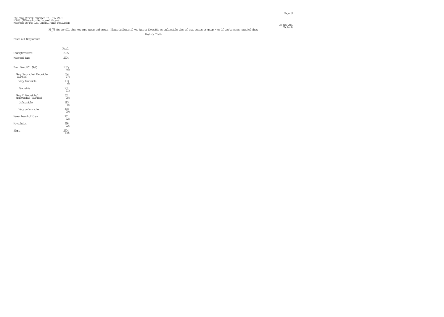| Fielding Period: November 17 – 19, 2020                                               |              |
|---------------------------------------------------------------------------------------|--------------|
| HOPS (Filtered on Registered Voters)<br>Weighted To The U.S. General Adult Ropulation |              |
|                                                                                       |              |
|                                                                                       | 23 Nov. 2020 |

#### F1\_75 Now we will show you some names and groups. Please indicate if you have a favorable or unfavorable view of that person or group – or if you've never heard of them. This is the maximal of them.

Rashida Tlaib

|                                            | Total                  |
|--------------------------------------------|------------------------|
| <b>Unreighted Base</b>                     | 2205                   |
| Weighted Base                              | 222.4                  |
| Ever Heard Of (Net)                        | 1015<br>46%            |
| Very Favorable/ Favorable<br>(Sub-Net)     | 384<br>17 <sub>6</sub> |
| Very favorable                             | $^{133}_{68}$          |
| Favorable                                  | 251<br>11%             |
| Very Unfavorable/<br>Unfavorable (Sub-Net) | 631<br>288             |
| Unfavorable                                | 183<br>8%              |
| Very unfavorable                           | 448<br>20 <sub>6</sub> |
| Never heard of them                        | 711<br>32 <sub>5</sub> |
| No opinion                                 | 498<br>22              |
| Sioma                                      | 100%                   |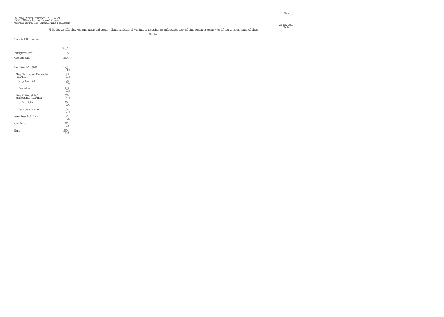| Fielding Period: November $17 - 19$ , 2020                                            |             |
|---------------------------------------------------------------------------------------|-------------|
| HOPS (Filtered on Registered Voters)<br>Weighted To The U.S. General Adult Ropulation |             |
|                                                                                       |             |
|                                                                                       | 23 Nov 2020 |

#### F1\_81 Now we will show you some names and groups. Please indicate if you have a favorable or unfavorable view of that person or group – or if you've never heard of them. This is the model of the multiple of the multiple or

**The Contract of the Contract of the Contract of the Contract of Twitter Twitter** 

| Base: All Respondents                      |                  |  |
|--------------------------------------------|------------------|--|
|                                            | Total            |  |
| <b>Unreighted Base</b>                     | 2205             |  |
| Weighted Base                              | 222.4            |  |
| Ever Heard Of (Net)                        | 1731<br>78%      |  |
| Very Favorable/ Favorable<br>(Sub-Net)     | 693<br>31%       |  |
| Very favorable                             | $^{220}_{10}$    |  |
| Favorable                                  | $^{473}_{21\%}$  |  |
| Very Unfavorable/<br>Unfavorable (Sub-Net) | 1038             |  |
| Unfavorable                                | $^{434}_{20\%}$  |  |
| Very unfavorable                           | $^{604}_{278}$   |  |
| Never heard of them                        | $\frac{42}{26}$  |  |
| No opinion                                 | $\frac{452}{20}$ |  |
| Signa                                      | 100%             |  |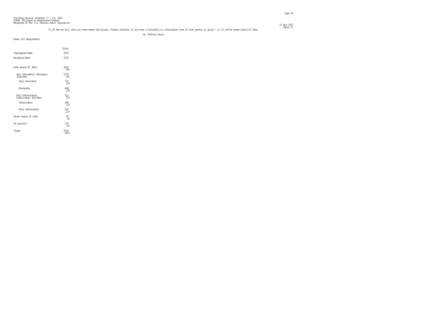#### F1\_90 Now we will show you some names and groups. Please indicate if you have a favorable or unfavorable view of that person or group – or if you've never heard of them. The state 51

Dr. Anthony Fauci

|                                            | Total                  |
|--------------------------------------------|------------------------|
| Unveighted Base                            | 2205                   |
| Weighted Base                              | 222.4                  |
| Ever Heard Of (Net)                        | 1890<br>85%            |
| Very Favorable/ Favorable<br>(Sub-Net)     | 1378<br>62%            |
| Very favorable                             | 338                    |
| Favorable                                  | 646<br>298             |
| Very Unfavorable/<br>Unfavorable (Sub-Net) | 23.                    |
| Unfavorable                                | 268<br>12 <sup>°</sup> |
| Very unfavorable                           | 243<br>11%             |
| Never heard of them                        | 95<br>4%               |
| No opinion                                 | 239<br>11 <sup>°</sup> |
| Signa                                      | 100%                   |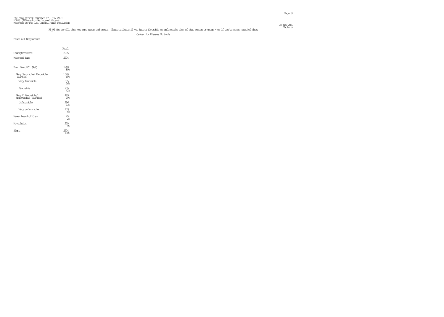| Fielding Period: November $17 - 19$ , 2020                                            |              |
|---------------------------------------------------------------------------------------|--------------|
| HOPS (Filtered on Registered Voters)<br>Weighted To The U.S. General Adult Ropulation |              |
|                                                                                       |              |
|                                                                                       | 23 Nov. 2020 |

#### F1\_94 Now we will show you some names and groups. Please indicate if you have a favorable or unfavorable view of that person or group – or if you've never heard of them. This is the model of the multiple of the multiple or

Center for Disease Controls

|                                            | Total        |  |
|--------------------------------------------|--------------|--|
| Unveighted Base                            | 2205         |  |
| Weighted Base                              | 2224         |  |
| Ever Heard Of (Net)                        | 1969<br>8%   |  |
| Very Favorable/ Favorable<br>(Sub-Net)     | 1540<br>69%  |  |
| Very favorable                             | 585<br>268   |  |
| Favorable                                  | 955<br>43%   |  |
| Very Unfavorable/<br>Unfavorable (Sub-Net) | 10€          |  |
| Unfavorable                                | 296<br>138   |  |
| Very unfavorable                           | 133<br>୫     |  |
| Never heard of them                        | $^{45}_{28}$ |  |
| No opinion                                 | 210<br>98    |  |
| Siqna                                      |              |  |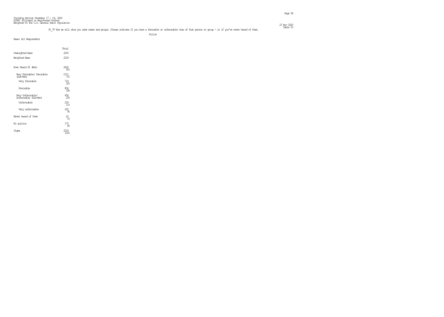| Fielding Period: November 17 – 19, 2020                                               |             |
|---------------------------------------------------------------------------------------|-------------|
| HOPS (Filtered on Registered Voters)<br>Weighted To The U.S. General Adult Ropulation |             |
|                                                                                       |             |
|                                                                                       | 23 Nov 2020 |

#### F1\_97 Now we will show you some names and groups. Please indicate if you have a favorable or unfavorable view of that person or group – or if you've never heard of them. This is the model of the model of the model of the m

e de la provincia de la provincia de la provincia de la provincia de la provincia de la provincia de la provincia de la provincia de la provincia de la provincia de la provincia de la provincia de la provincia de la provin

| Base: All Respondents                      |                                           |
|--------------------------------------------|-------------------------------------------|
|                                            |                                           |
|                                            | Total                                     |
| Unveighted Base                            | 2205                                      |
| Weighted Base                              | 2224                                      |
|                                            |                                           |
| Ever Heard Of (Net)                        | $\frac{2026}{91\%}$                       |
| Very Favorable/ Favorable<br>(Sub-Net)     | $\underset{\mathcal{7}{18}}{1571}$        |
| Very favorable                             | $\frac{714}{328}$                         |
| Favorable                                  | 856<br>398                                |
| Very Unfavorable/<br>Unfavorable (Sub-Net) | $\overset{456}{\textbf{20}}\textbf{8}$    |
| Unfavorable                                | $\underset{11\%}{^{254}}$                 |
| Very unfavorable                           | $\overset{\text{202}}{\text{g}_\text{6}}$ |
| Never heard of them                        | $22\atop 1\%$                             |
| No opinion                                 | $^{175}_{\phantom{1}8\%}$                 |
| Signa                                      | $^{2224}_{100\%}$                         |
|                                            |                                           |
|                                            |                                           |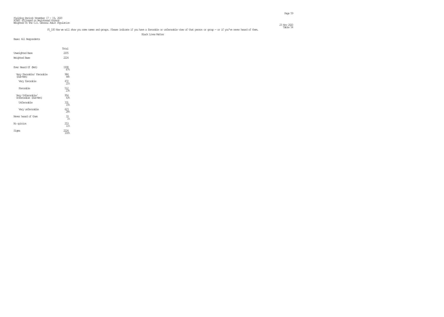| Fielding Period: November 17 – 19, 2020<br>HOPS (Filtered on Pegistered Voters)<br>Weighted To The U.S. General Adult Population |              |
|----------------------------------------------------------------------------------------------------------------------------------|--------------|
|                                                                                                                                  |              |
|                                                                                                                                  |              |
|                                                                                                                                  | 23 Nov. 2020 |

#### Table 54 F1\_100 Now we will show you some names and groups. Please indicate if you have a favorable or unfavorable view of that person or group - or if you've never heard of them.

Black Lives Matter

|                                            | Total                |
|--------------------------------------------|----------------------|
| Unveighted Base                            | 2205                 |
| Weighted Base                              | 2224                 |
|                                            |                      |
| Ever Heard Of (Net)                        | 1938<br>87%          |
| Very Favorable/ Favorable<br>(Sub-Net)     | 984<br>44%           |
| Very favorable                             | $^{472}_{21\%}$      |
| Favorable                                  | 5 <u>12</u><br>23%   |
| Very Unfavorable/<br>Unfavorable (Sub-Net) | 954<br>43%           |
| Unfavorable                                | 331<br>15%           |
| Very unfavorable                           | 623<br>28%           |
| Never heard of them                        | 33<br>1 <sup>°</sup> |
| No opinion                                 | 253<br>$11$ %        |
| Signa                                      | 100%                 |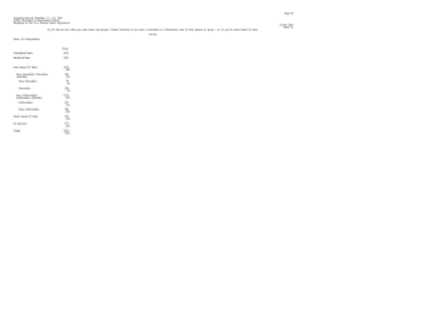and the control of the control of the control of the control of the control of the control of the control of the control of the control of the control of the control of the control of the control of the control of the cont

| Base: All Respondents                      |                        |  |
|--------------------------------------------|------------------------|--|
|                                            | Total                  |  |
| <b>Unreighted Base</b>                     | 2205                   |  |
| Weighted Base                              | 222.4                  |  |
| Ever Heard Of (Net)                        | 1519<br>68%            |  |
| Very Favorable/ Favorable<br>(Sub-Net)     | 306<br>14%             |  |
| Very favorable                             | 98<br>4%               |  |
| Favorable                                  | 208<br>98              |  |
| Very Unfavorable/<br>Unfavorable (Sub-Net) | 1213<br>55%            |  |
| Unfavorable                                | 267<br>12 <sup>°</sup> |  |
| Very unfavorable                           | 945<br>43%             |  |
| Never heard of them                        | $^{232}_{10}$          |  |
| No opinion                                 | 473<br>21 <sup>°</sup> |  |
| Signa                                      | 2224<br>100%           |  |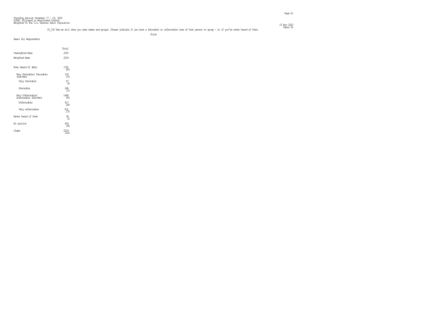#### Table 56 F1\_102 Now we will show you some names and groups. Please indicate if you have a favorable or unfavorable view of that person or group - or if you've never heard of them.

en die staatste konstanting van die beskryf van die staatste konstanting van die staatste konstanting van die <br>Page 61

china a china a china a china a china a china a china a china a china a china a china a china a china a china

| Base: All Respondents                      |                               |
|--------------------------------------------|-------------------------------|
|                                            |                               |
|                                            | Total                         |
| <b>Unveighted Base</b>                     | 2205                          |
| Weighted Base                              | 2224                          |
|                                            |                               |
|                                            |                               |
| Ever Heard Of (Net)                        | $^{1781}_{\,80\%}$            |
|                                            |                               |
| Very Favorable/ Favorable<br>(Sub-Net)     | $\frac{333}{158}$             |
| Very favorable                             | $87\phantom{1}4\phantom{1}8$  |
|                                            |                               |
| Favorable                                  | $^{246}_{11\%}$               |
|                                            |                               |
| Very Unfavorable/<br>Unfavorable (Sub-Net) | $\frac{1448}{65}$             |
| Unfavorable                                | $\underset{28}{\mathbb{S}^7}$ |
|                                            |                               |
| Very unfavorable                           | $\frac{831}{376}$             |
|                                            |                               |
| Never heard of them                        | $\frac{38}{2\%}$              |
| No opinion                                 |                               |
|                                            | $^{404}_{18\%}$               |
| Signa                                      | $\frac{2224}{100\%}$          |
|                                            |                               |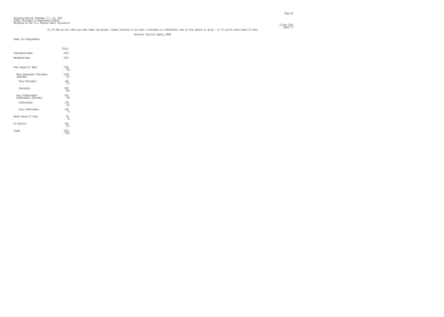#### Table 57 F1\_103 Now we will show you some names and groups. Please indicate if you have a favorable or unfavorable view of that person or group - or if you've never heard of them.

National Security Agency (NSA)

|                                            | Total                  |  |
|--------------------------------------------|------------------------|--|
| Unveighted Base                            | 2205                   |  |
| Weighted Base                              | 222.4                  |  |
| Ever Heard Of (Net)                        | 1700<br>76%            |  |
| Very Favorable/ Favorable<br>(Sub-Net)     | 1278<br>57%            |  |
| Very favorable                             | 383<br>178             |  |
| Favorable                                  | 895<br>408             |  |
| Very Unfavorable/<br>Unfavorable (Sub-Net) | 1%≍                    |  |
| Unfavorable                                | 276<br>12 <sup>°</sup> |  |
| Very unfavorable                           | 146<br>7%              |  |
| Never heard of them                        | 64<br>3%               |  |
| No opinion                                 | 460<br>21%             |  |
| Signa                                      | 100%                   |  |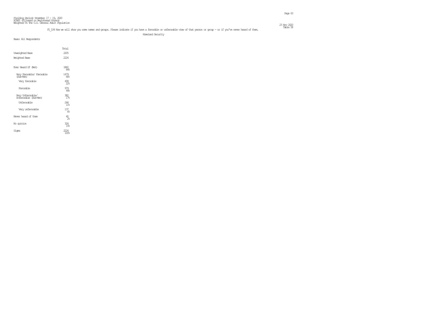| Fielding Period: November $17 - 19$ , 2020                                            |              |
|---------------------------------------------------------------------------------------|--------------|
| HOPS (Filtered on Registered Voters)<br>Weighted To The U.S. General Adult Ropulation |              |
|                                                                                       |              |
|                                                                                       | 23 Nov. 2020 |

#### Table 58 F1\_104 Now we will show you some names and groups. Please indicate if you have a favorable or unfavorable view of that person or group - or if you've never heard of them.

Homeland Security

|                                            | Total             |
|--------------------------------------------|-------------------|
| <b>Unreighted Base</b>                     | 2205              |
| Weighted Base                              | 2224              |
| Ever Heard Of (Net)                        | 1860              |
|                                            | 84%               |
| Very Favorable/ Favorable<br>(Sub-Net)     | 1479<br><u>ଜେ</u> |
| Very favorable                             |                   |
| Favorable                                  | 979<br>44%        |
| Very Unfavorable/<br>Unfavorable (Sub-Net) | 17%               |
| Unfavorable                                | 244<br>11%        |
| Very unfavorable                           | 137<br>୫          |
| Never heard of them                        | 40<br>$2\%$       |
| No opinion                                 | 324<br>15%        |
| Sioma                                      | 100%              |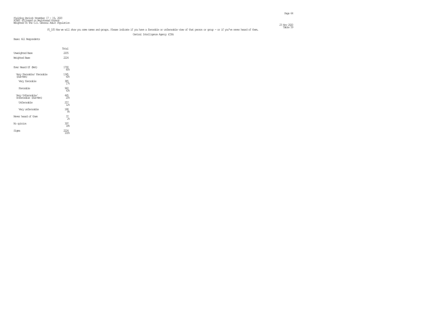#### Table 59 F1\_105 Now we will show you some names and groups. Please indicate if you have a favorable or unfavorable view of that person or group - or if you've never heard of them.

Central Intelligence Agency (CIA)

|                                            | Total                  |
|--------------------------------------------|------------------------|
| Unveighted Base                            | 2205                   |
| Weighted Base                              | 222.4                  |
|                                            |                        |
| Ever Heard Of (Net)                        | 1790<br>80%            |
| Very Favorable/ Favorable<br>(Sub-Net)     | 1345<br>60%            |
| Very favorable                             | 385<br>178             |
| Favorable                                  | 960<br>43%             |
| Very Unfavorable/<br>Unfavorable (Sub-Net) | 445<br>20 <sub>6</sub> |
| Unfavorable                                | 257<br>12 <sup>°</sup> |
| Very unfavorable                           | 188<br>8%              |
| Never heard of them                        | 37<br>$\mathcal{P}_n$  |
| No opinion                                 | 397<br>18 <sub>6</sub> |
| Signa                                      | 100%                   |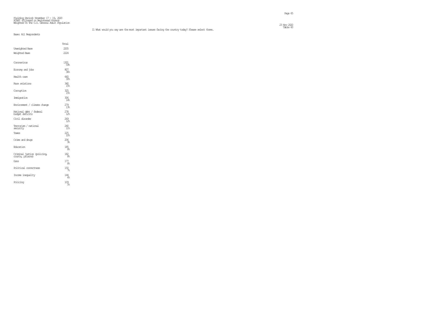#### Fielding Period: November 17 - 19, 2020 HCAPS (Filtered on Registered Voters) Weighted To The U.S. General Adult Population  $23 \text{ Ny}$  2020  $\text{Ny}$  2020  $\text{Nz}$  2020  $\text{Nz}$  2020  $\text{Nz}$  2020  $\text{Nz}$  2020  $\text{Nz}$  2020  $\text{Nz}$  2020  $\text{Nz}$  2020  $\text{Nz}$  2020  $\text{Nz}$  2020  $\text{Nz}$  2020  $\text{Nz}$  2020  $\text{Nz}$  2020  $\text{Nz}$  2020  $\text{Nz}$

Table 60 I1 What would you say are the most important issues facing the country today? Please select three.

Base: All Respondents

Total

| <b>Unreighted Base</b>                          | 2205                                           |
|-------------------------------------------------|------------------------------------------------|
| Weighted Base                                   | 2224                                           |
| Coronavinus                                     | 1301<br>598                                    |
| Economy and jobs                                | 807<br>368                                     |
| Health care                                     | 660<br>30%                                     |
| Race relations                                  | 340<br>15%                                     |
| Comption                                        | 325<br>15%                                     |
| Immigration                                     | 306<br>14%                                     |
| Environment / climate chance                    | $^{279}_{13\%}$                                |
| National obbt / federal<br>budget deficits      | $^{278}_{12}$                                  |
| Civil disorder                                  | $^{269}_{12}$                                  |
| Terrorism / national<br>searity                 | 240<br>11%                                     |
| Taxes                                           | $^{225}_{10}$                                  |
| Crime and drugs                                 | 206<br>98                                      |
| Education                                       | 185<br>88                                      |
| Criminal justice (policing,<br>courts, přísons) | $\begin{array}{c} 182 \\[-4pt] 88 \end{array}$ |
| Guns                                            | 177<br>8%                                      |
| Political correctness                           | $^{150}$                                       |
| Inome inequality                                | 144<br>68                                      |
| Policing                                        | $109$ $58$                                     |
|                                                 |                                                |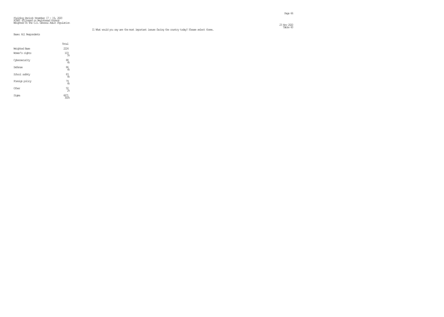#### Fielding Period: November 17 - 19, 2020 HCAPS (Filtered on Registered Voters) Weighted To The U.S. General Adult Population  $23 \text{ Ny}$  2020  $\text{Ny}$  2020  $\text{Nz}$  2020  $\text{Nz}$  2020  $\text{Nz}$  2020  $\text{Nz}$  2020  $\text{Nz}$  2020  $\text{Nz}$  2020  $\text{Nz}$  2020  $\text{Nz}$  2020  $\text{Nz}$  2020  $\text{Nz}$  2020  $\text{Nz}$  2020  $\text{Nz}$  2020  $\text{Nz}$  2020  $\text{Nz}$

|                      | Total                  |
|----------------------|------------------------|
| <b>Weighted Base</b> | 2224                   |
| Women's rights       | 103<br>5%              |
| Cybersearity         | 88<br>4%               |
| Defense              | 86<br>4%               |
| School safety        | 83<br>$\mathcal{A}_6$  |
| Foreign policy       | $^{79}_{4%}$           |
| Other                | $50\!\!\!_{2\!\!\!~8}$ |
| Siqna                |                        |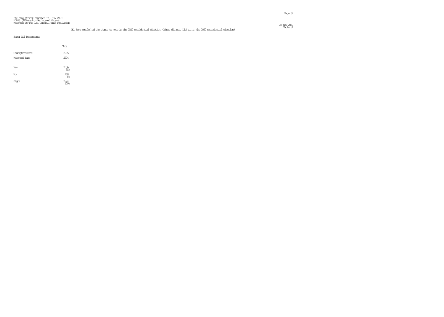#### Fielding Period: November 17 - 19, 2020 HCAPS (Filtered on Registered Voters) Weighted To The U.S. General Adult Population  $23 \text{ Ny}$  2220  $\text{Ny}$  2220  $\text{Ny}$  2220  $\text{Ny}$  2220  $\text{Ny}$  2220  $\text{Ny}$  2220  $\text{Ny}$  2220  $\text{Ny}$  2220  $\text{Ny}$  2220  $\text{Ny}$  2220  $\text{Ny}$  2220  $\text{Ny}$  2220  $\text{Ny}$  2220  $\text{Ny}$  2220  $\text{Ny}$  2220  $\text{Ny}$

#### Table 61 PE1 Some people had the chance to vote in the 2020 presidential election. Others did not. Did you in the 2020 presidential election?

|                        | Total                    |
|------------------------|--------------------------|
| <b>Unveighted Base</b> | 2205                     |
| Weighted Base          | 2224                     |
| Yes                    | 2036                     |
| No                     | 188<br>8 <sup>°</sup>    |
| Signa                  | 2224<br>100 <sub>6</sub> |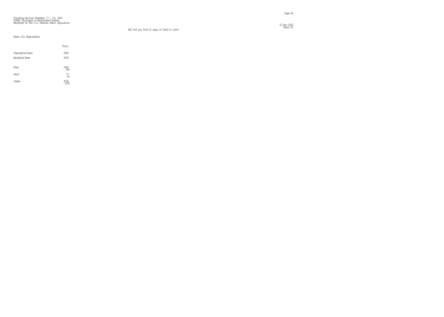# Fielding Period: November 17 - 19, 2020 HCAPS (Filtered on Registered Voters) Weighted To The U.S. General Adult Population

#### PE2 Did you find it easy or hard to vote?

en de la provincia de la provincia de la provincia de la provincia de la provincia de la provincia de la provi<br>Page 68

 $23 \text{ Ny}$  2020  $\text{Ny}$  2020  $\text{Nz}$  2020  $\text{Nz}$  2020  $\text{Nz}$  2020  $\text{Nz}$  2020  $\text{Nz}$  2020  $\text{Nz}$  2020  $\text{Nz}$  2020  $\text{Nz}$  2020  $\text{Nz}$  2020  $\text{Nz}$  2020  $\text{Nz}$  2020  $\text{Nz}$  2020  $\text{Nz}$  2020  $\text{Nz}$  23 Nov 2020<br>Table 62

|                        | Total                      |
|------------------------|----------------------------|
| <b>Unveighted Base</b> | 2040                       |
| Weighted Base          | 2036                       |
| Easy                   | $\frac{1962}{966}$         |
| Hard                   | $\frac{73}{48}$            |
| Signa                  | $\substack{2036 \\ 100\%}$ |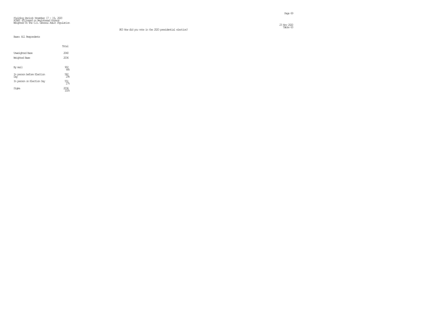# Fielding Period: November 17 - 19, 2020 HCAPS (Filtered on Registered Voters) Weighted To The U.S. General Adult Population

 $23 \text{ Ny}$  2020  $\text{Ny}$  2020  $\text{Nz}$  2020  $\text{Nz}$  2020  $\text{Nz}$  2020  $\text{Nz}$  2020  $\text{Nz}$  2020  $\text{Nz}$  2020  $\text{Nz}$  2020  $\text{Nz}$  2020  $\text{Nz}$  2020  $\text{Nz}$  2020  $\text{Nz}$  2020  $\text{Nz}$  2020  $\text{Nz}$  2020  $\text{Nz}$ 

|                                  | Total             |
|----------------------------------|-------------------|
| <b>Unveighted Base</b>           | 2040              |
| Weighted Base                    | 2036              |
| By mail                          | 902<br>44%        |
| In person before Election<br>Day | $\frac{582}{296}$ |
| In person on Election Day        | $\frac{551}{27}$  |
| Sioma                            | 2036              |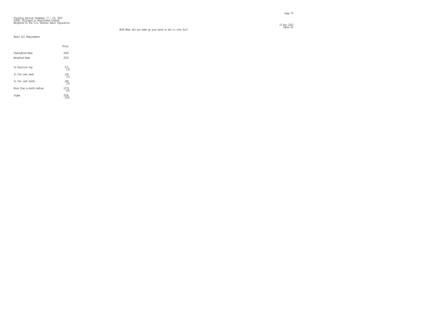# Fielding Period: November 17 - 19, 2020 HCAPS (Filtered on Registered Voters) Weighted To The U.S. General Adult Population

 $23 \text{ Ny}$  2020  $\text{Ny}$  2020  $\text{Nz}$  2020  $\text{Nz}$  2020  $\text{Nz}$  2020  $\text{Nz}$  2020  $\text{Nz}$  2020  $\text{Nz}$  2020  $\text{Nz}$  2020  $\text{Nz}$  2020  $\text{Nz}$  2020  $\text{Nz}$  2020  $\text{Nz}$  2020  $\text{Nz}$  2020  $\text{Nz}$  2020  $\text{Nz}$  23 Nov 2020<br>Table 64

|                          | Total           |
|--------------------------|-----------------|
| Unveighted Base          | 2040            |
| Weighted Base            | 2036            |
|                          |                 |
| On Election Day          | 271<br>1.3%     |
| In the last week         | 218<br>11%      |
| In the last month        | $^{268}_{13\%}$ |
| More than a month before | 1279<br>638     |
| Sioma                    | 2036<br>100%    |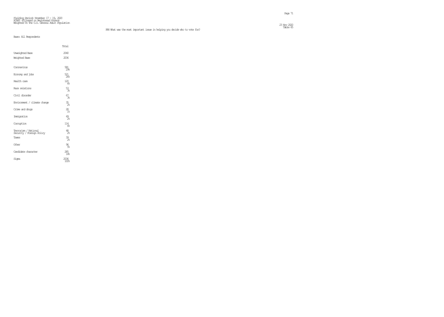## Fielding Period: November 17 - 19, 2020 HCAPS (Filtered on Registered Voters) Weighted To The U.S. General Adult Population

### Table 65 PE4 What was the most important issue in helping you decide who to vote for?

 $\frac{23 \text{ Ny}}{202}$ 

|                                                   | Total              |
|---------------------------------------------------|--------------------|
| <b>Unveighted Base</b>                            | 2040               |
| Weighted Base                                     | 2036               |
| Coronavinus                                       | 581<br>29%         |
| Economy and jobs                                  | $\frac{521}{266}$  |
| Health care                                       | $^{120}_{68}$      |
| Race relations                                    | $\frac{53}{36}$    |
| Civil disorder                                    | <u>ണ്</u>          |
| Environment / climate chance                      | $\frac{35}{28}$    |
| Crime and drugs                                   | $28$ <sub>1%</sub> |
| Immigration                                       | $^{49}_{28}$       |
| Comption                                          | $^{114}_{68}$      |
| Terrorism / National<br>Seourity / Foreign Rolicy | $\frac{48}{28}$    |
| Taxes                                             | $\frac{39}{28}$    |
| Other                                             | 96<br>58           |
| Candidate character                               | $^{285}_{14\%}$    |
| Signa                                             | 2036<br>1008       |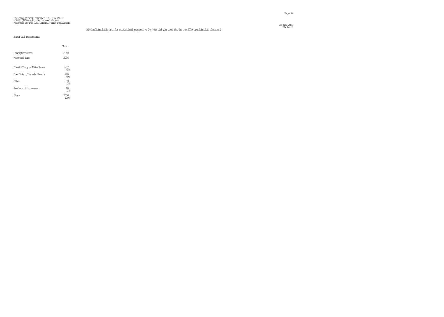Page 72

#### Fielding Period: November 17 - 19, 2020 HCAPS (Filtered on Registered Voters) Weighted To The U.S. General Adult Population  $\frac{23 \text{ Ny}}{220}$

### Table 66 PE5 Confidentially and for statistical purposes only, who did you vote for in the 2020 presidential election?

|                           | Total           |
|---------------------------|-----------------|
| Unveighted Base           | 2040            |
| Weichted Base             | 2036            |
| Donald Trump / Mike Pence | 917             |
| Joe Biden / Kamala Harris | 45%             |
|                           | 999<br>498      |
| Other                     | $5\frac{9}{36}$ |
| Prefer not to answer      | 60<br>ૠ         |
| Sioma                     |                 |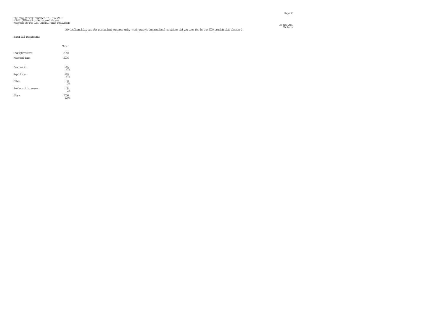#### Fielding Period: November 17 – 19, 2020<br>HCAPS (Filtered on Registered Voters)<br>Weighted To The U.S. General Adult Population  $23 \text{ Ny}$  2020  $\text{Ny}$  2020  $\text{Nz}$  2020  $\text{Nz}$  2020  $\text{Nz}$  2020  $\text{Nz}$  2020  $\text{Nz}$  2020  $\text{Nz}$  2020  $\text{Nz}$  2020  $\text{Nz}$  2020  $\text{Nz}$  2020  $\text{Nz}$  2020  $\text{Nz}$  2020  $\text{Nz}$  2020  $\text{Nz}$  2020  $\text{Nz}$

### Table 67 PE9 Confidentially and for statistical purposes only, which party's Congressional candidate did you vote for in the 2020 presidential election?

|                        | Total                |  |
|------------------------|----------------------|--|
| <b>Unveighted Base</b> | 2040                 |  |
| Weighted Base          | 2036                 |  |
| Democratic             | $\frac{965}{47\!%}$  |  |
| Republican             | $\frac{963}{47}$     |  |
| Other                  | $\frac{58}{36}$      |  |
| Prefer not to answer   | $50\!\!\!_{\rm 2\%}$ |  |
| Signa                  | 2036<br>100%         |  |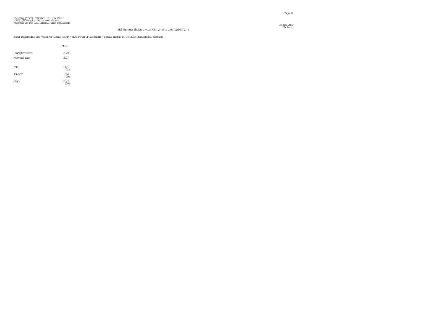Page 74

#### Base: Respondents Who Voted For Donald Trump / Mike Pence Or Joe Biden / Kamala Harris In The 2020 Presidential Election

|                                         | Total             |
|-----------------------------------------|-------------------|
| <b>Unveighted Base</b><br>Weighted Base | 2029<br>2027      |
| FOR.                                    | 1441<br>71%       |
| <b>AGAINST</b>                          | 586<br>298        |
| Signa                                   | $^{2027}_{100\%}$ |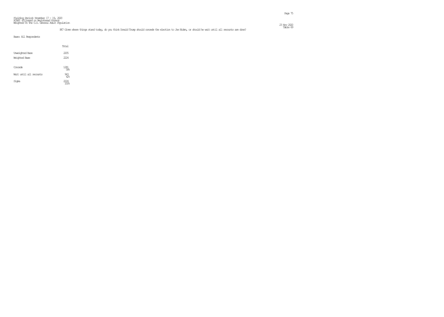#### Fielding Period: November 17 - 19, 2020 HCAPS (Filtered on Registered Voters) Weighted To The U.S. General Adult Population  $23 \text{ Ny}$  2020  $\text{Ny}$  2020  $\text{Nz}$  2020  $\text{Nz}$  2020  $\text{Nz}$  2020  $\text{Nz}$  2020  $\text{Nz}$  2020  $\text{Nz}$  2020  $\text{Nz}$  2020  $\text{Nz}$  2020  $\text{Nz}$  2020  $\text{Nz}$  2020  $\text{Nz}$  2020  $\text{Nz}$  2020  $\text{Nz}$  2020  $\text{Nz}$

### E7 Given where things stand today, do you think Donald Trump should concede the election to Joe Biden, or should he wait until all recounts are done? This is the David Field 69 and the should here things stand today, do yo

|                         | Total                        |  |
|-------------------------|------------------------------|--|
| Unveighted Base         | 2205                         |  |
| Weighted Base           | 2224                         |  |
| Concede                 | $\underset{58}{\text{1281}}$ |  |
| Wait until all recounts | $\frac{943}{428}$            |  |
| Signa                   | 2224                         |  |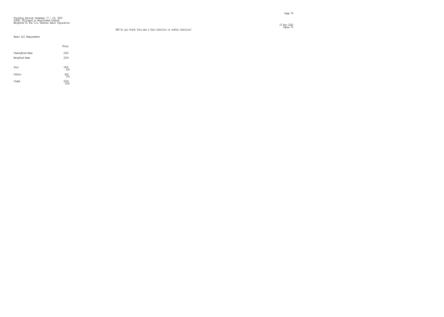Page 76

 $23 \text{ Ny}$  222 23 Nov 2020<br>Table 70

## Fielding Period: November 17 - 19, 2020 HCAPS (Filtered on Registered Voters) Weighted To The U.S. General Adult Population

#### PE8 Do you think this was a fair election or unfair election?

|                                         | Total            |  |
|-----------------------------------------|------------------|--|
| <b>Unveighted Base</b><br>Weighted Base | 2205<br>2224     |  |
| Fair                                    | 1401<br>63%      |  |
| Unfair                                  | $\frac{822}{37}$ |  |
| Signa                                   | 2224             |  |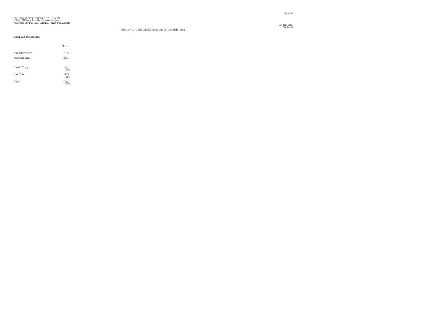## Fielding Period: November 17 - 19, 2020 HCAPS (Filtered on Registered Voters) Weighted To The U.S. General Adult Population

### PE9A Do you think Donald Trump won or Joe Biden won?

. In the case of the case of the case of the case of the case of the case of the case  $77\,$ 

 $23 \text{ Ny}$  2220  $\text{Ny}$  2220  $\text{Nz}$  2220  $\text{Nz}$  2220  $\text{Nz}$  2320  $\text{Nz}$  2320  $\text{Nz}$  2320  $\text{Nz}$  2320  $\text{Nz}$  2320  $\text{Nz}$  2320  $\text{Nz}$  2320  $\text{Nz}$  2320  $\text{Nz}$  2320  $\text{Nz}$  2320  $\text{Nz}$  2320  $\text{Nz}$  23 Nov 2020<br>Table 71

|                                         | Total              |
|-----------------------------------------|--------------------|
| <b>Unveighted Base</b><br>Weighted Base | 2205<br>2224       |
| Donald Trump                            | $\frac{781}{35\%}$ |
| Joe Biden                               | 1443<br>65%        |
| Signa                                   | 774                |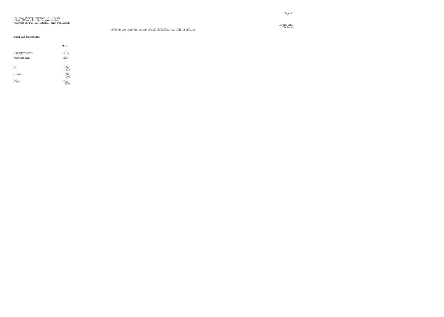## Fielding Period: November 17 - 19, 2020 HCAPS (Filtered on Registered Voters) Weighted To The U.S. General Adult Population

 $23 \text{ Ny}$  222

|                                         | Total             |
|-----------------------------------------|-------------------|
| <b>Unveighted Base</b><br>Weighted Base | 2205<br>2224      |
| Fair                                    | 1364<br>61%       |
| Unfair                                  | $\frac{860}{396}$ |
| Signa                                   | 2224              |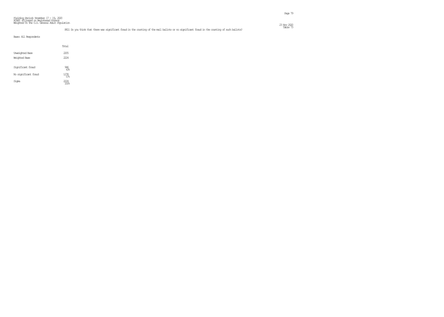#### Fielding Period: November 17 - 19, 2020 HCAPS (Filtered on Registered Voters) Weighted To The U.S. General Adult Population  $\frac{23 \text{ Ny}}{220}$

### Table 73 PE11 Do you think that there was significant fraud in the counting of the mail ballots or no significant fraud in the counting of such ballots?

|                        | Total              |  |
|------------------------|--------------------|--|
| <b>Unveighted Base</b> | 2205               |  |
| Weichted Base          | 2224               |  |
| Significant fraud      | 946<br>43%         |  |
| No significant fraud   | 1278<br>57.5       |  |
| Sioma                  | $\frac{2224}{100}$ |  |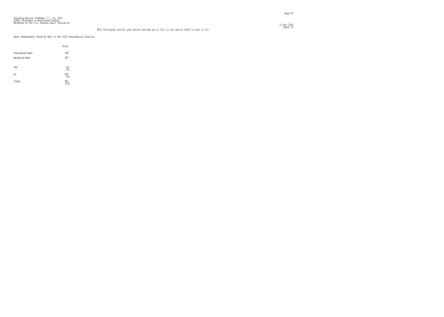#### Fielding Period: November 17 - 19, 2020 HCAPS (Filtered on Registered Voters) Weighted To The U.S. General Adult Population  $\frac{23 \text{ Ny}}{220}$

### Table 74 PE12 Did anyone solicit your ballot and ask you to fill it out and or offer to turn it in?

en de la provincia de la provincia de la provincia de la provincia de la provincia de la provincia de la provi<br>Page 80

Base: Respondents Voted By Mail In The 2020 Presidential Election

|                                         | Total                        |
|-----------------------------------------|------------------------------|
| <b>Unveighted Base</b><br>Weighted Base | 998<br>987                   |
| Yes                                     | $\frac{99}{106}$             |
| No                                      | $\overset{887}{\text{90\%}}$ |
| Signa                                   | 987<br>100%                  |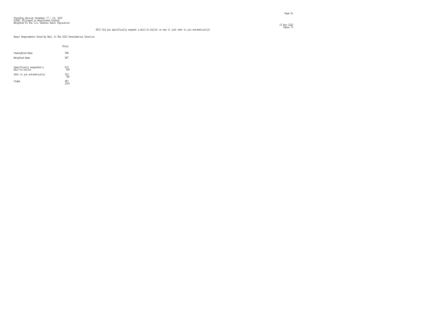Page 81

#### Fielding Period: November 17 - 19, 2020 HCAPS (Filtered on Registered Voters) Weighted To The U.S. General Adult Population  $23 \text{ Ny}$  222

### Table 75 PE13 Did you specifically request a mail-in ballot or was it just sent to you automatically?

Base: Respondents Voted By Mail In The 2020 Presidential Election

|                                            | Total      |  |
|--------------------------------------------|------------|--|
| <b>Unveighted Base</b>                     | 998        |  |
| Weighted Base                              | 987        |  |
| Specifically requested a<br>mail–in ballot | 633<br>648 |  |
| Sent to you automatically                  | 353<br>36% |  |
| Sioma                                      |            |  |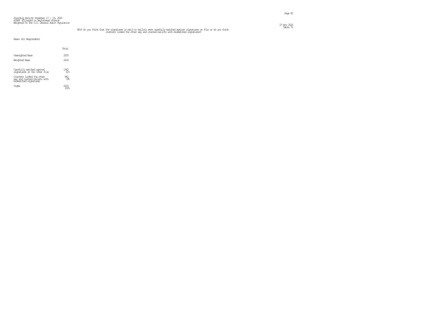## Table 76 يسم PE14 Do you think that the signatures on mail-in ballots were carefully matched against signatures on file or do you think<br>counters looked the other way and counted ballots with mismatched signatures?

Page 82

| Base: All Respondents |  |
|-----------------------|--|
|-----------------------|--|

|                                                                                    | Total                  |
|------------------------------------------------------------------------------------|------------------------|
| <b>Unveighted Base</b>                                                             | 2205                   |
| Weighted Base                                                                      | 2224                   |
| Carefully matched against<br>sionatures on the voter file                          | $^{1362}_{\,\,\,61\%}$ |
| Counters looked the other<br>way and counted ballets with<br>mismatched signatures | 862<br>39%             |
| Sioma                                                                              | 2224                   |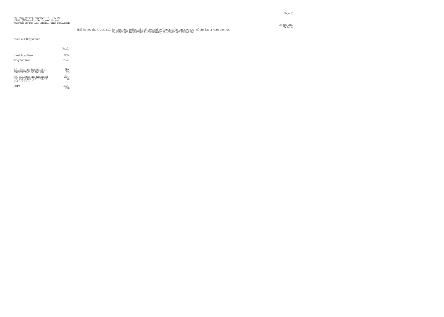#### Fielding Period: November 17 - 19, 2020 HCAPS (Filtered on Registered Voters) Weighted To The U.S. General Adult Population  $23 \text{ Ny}$  2020  $\text{Ny}$  2020  $\text{Nz}$  2020  $\text{Nz}$  2020  $\text{Nz}$  2020  $\text{Nz}$  2020  $\text{Nz}$  2020  $\text{Nz}$  2020  $\text{Nz}$  2020  $\text{Nz}$  2020  $\text{Nz}$  2020  $\text{Nz}$  2020  $\text{Nz}$  2020  $\text{Nz}$  2020  $\text{Nz}$  2020  $\text{Nz}$

## FE15 Do you think that mail in votes were solicited and harvested by Democrats in contravention of the law or were they not and the law or were they not collected and harvested but individually filled out and turned in?

|                                                                             | Total              |  |
|-----------------------------------------------------------------------------|--------------------|--|
| Unveighted Base<br>Weichted Base                                            | 2205<br>2224       |  |
| Solicited and harvested in<br>contravention of the law                      | $\frac{989}{44%}$  |  |
| Not collected and harvested<br>but individually filled out<br>and turned in | $\frac{1234}{568}$ |  |
| Sioma                                                                       | 2224               |  |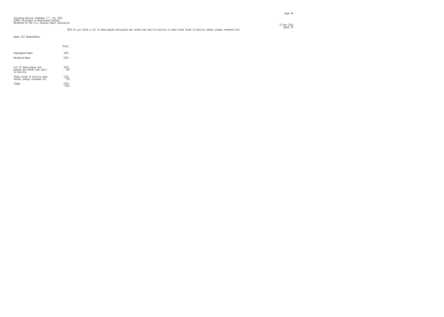#### Fielding Period: November 17 - 19, 2020 HCAPS (Filtered on Registered Voters) Weighted To The U.S. General Adult Population  $\frac{23 \text{ Ny}}{220}$

### Table 78 PE16 Do you think a lot of dead people and people who moved cast mail-in ballots or were those kinds of ballots almost always screened out?

|                                                                     | Total            |  |
|---------------------------------------------------------------------|------------------|--|
| Unveighted Base                                                     | 2205             |  |
| Weichted Base                                                       | 2224             |  |
| Iot of dead people and<br>people who moved cast mail-<br>in ballots | 1003<br>45%      |  |
| These kinds of ballots were<br>almost always screened out           | 55%              |  |
| Signa                                                               | <sup>1</sup> //4 |  |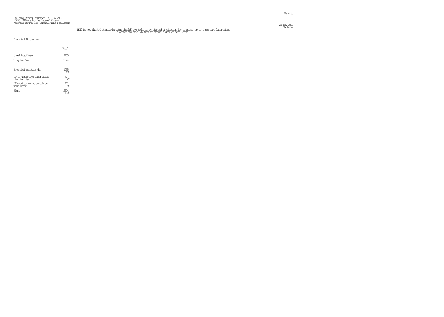#### Fielding Period: November 17 - 19, 2020 HCAPS (Filtered on Registered Voters) Weighted To The U.S. General Adult Population  $\frac{23 \text{ Ny}}{220}$

## ell Do you think that mail-in votes should have to be in by the end of election day to count, up to three days later after the more later?<br>election day or allow them to arrive a week or more later?

|                                              | Total      |
|----------------------------------------------|------------|
| <b>Unveighted Base</b>                       | 2205       |
| Weighted Base                                | 2224       |
|                                              |            |
| By end of election day                       | 1095       |
| Up to three days later after<br>election day | ર૦ર        |
| Allowed to arrive a week or<br>more later    | ¥ZT<br>192 |
| Sioma                                        |            |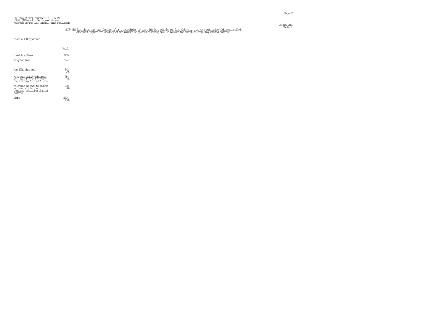## EEDA Thinking about the next election after the pandemic, do you think it should be nun like this one, that we should allow widespread mail-in with the mail of the Bable 80 mill-in ballows of the Ballots or go back to maki

|                                                                                              | Total              |  |
|----------------------------------------------------------------------------------------------|--------------------|--|
| <b>Unveighted Base</b>                                                                       | 2205               |  |
| Weighted Base                                                                                | 222.4              |  |
| Rin like this are                                                                            | 642<br>29≋         |  |
| We should allow widespread<br>mail–in voting but tighten<br>the scrutiny of the ballots      | $\frac{784}{35\%}$ |  |
| We should go back to making<br>mail-in ballots the<br>exception requiring limited<br>exauses | 798<br>36%         |  |
| Sioma                                                                                        |                    |  |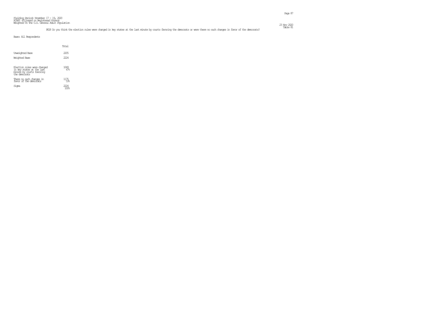|                                                                                                        | Total        |
|--------------------------------------------------------------------------------------------------------|--------------|
| Unveighted Base<br>Weichted Base                                                                       | 2205<br>2224 |
| Election rules were changed<br>in key states at the last<br>minute by courts favoring<br>the democrats | 1049<br>47%  |
| There no such changes in<br>favor of the democrats                                                     | 1175<br>53%  |
| Sioma                                                                                                  |              |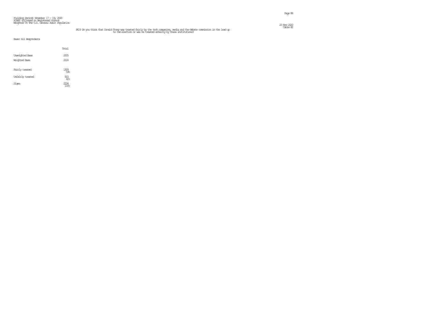#### Fielding Period: November 17 - 19, 2020 HCAPS (Filtered on Registered Voters) Weighted To The U.S. General Adult Population  $23 \text{ Ny}$  2220  $\text{Ny}$  2220  $\text{Ny}$  2220  $\text{Ny}$  2220  $\text{Ny}$  2320  $\text{Ny}$  2320  $\text{Ny}$  2320  $\text{Ny}$  2320  $\text{Ny}$  2320  $\text{Ny}$  2320  $\text{Ny}$  2320  $\text{Ny}$  2320  $\text{Ny}$  2320  $\text{Ny}$  2320  $\text{Ny}$  2320  $\text{Ny}$

## EE19 Do you think that Donald Trump was treated fairly by the tech companies, media and the debate commission in the lead up the state of the election or was he treated unfairly by these institutions?

|                                         | Total        |
|-----------------------------------------|--------------|
| <b>Unveighted Base</b><br>Weighted Base | 2205<br>2224 |
| Fairly treated                          | 1309<br>59%  |
| Unfairly treated                        | 915<br>41%   |
| Signa                                   | 222.4        |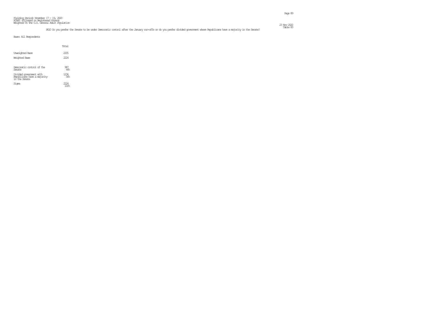### Table 83 PE10 Do you prefer the Senate to be under Democratic control after the January run-offs or do you prefer divided government where Republicans have a majority in the Senate?

|                                                                         | Total              |  |
|-------------------------------------------------------------------------|--------------------|--|
| Unveighted Base<br>Weichted Base                                        | 2205<br>2224       |  |
| Democratic control of the<br>Senate                                     | 987<br>44%         |  |
| Divided government with<br>Republicans have a majority<br>in the Senate | $\frac{1236}{568}$ |  |
| Sioma                                                                   | $^{1/4}$           |  |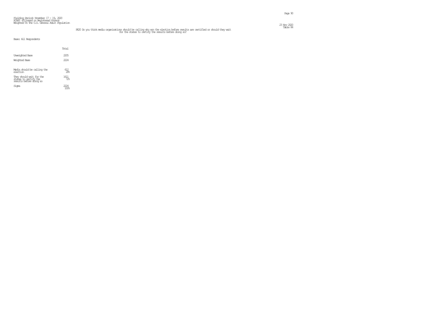#### Fielding Period: November 17 - 19, 2020 HCAPS (Filtered on Registered Voters) Weighted To The U.S. General Adult Population  $23 \text{ Ny}$  220  $\text{Ny}$  220  $\text{Ny}$  220  $\text{Nz}$  230  $\text{Nz}$  230  $\text{Nz}$  230  $\text{Nz}$  230  $\text{Nz}$  230  $\text{Nz}$  230  $\text{Nz}$  230  $\text{Nz}$  230  $\text{Nz}$  230  $\text{Nz}$  230  $\text{Nz}$  230  $\text{Nz}$  230  $\text{Nz}$  230  $\text{Nz}$  23

## FE20 Do you think media organizations should be calling who won the election before results are certified or should they wait<br>for the states to certify the results before ching so?

|                                                                              | Total               |  |
|------------------------------------------------------------------------------|---------------------|--|
| Unveighted Base<br>Weichted Base                                             | 2205<br>2224        |  |
| Media should be calling the<br>election                                      | $\frac{612}{28}$    |  |
| They should wait for the<br>states to certify the<br>results before cbing so | $\frac{1611}{72\%}$ |  |
| Sioma                                                                        | 7/4                 |  |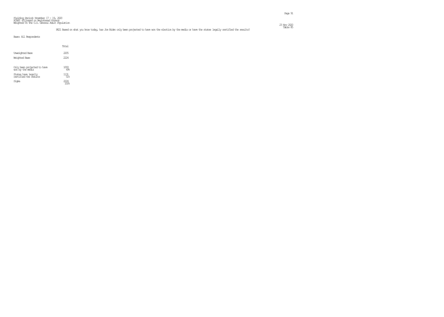#### Fielding Period: November 17 - 19, 2020 HCAPS (Filtered on Registered Voters) Weighted To The U.S. General Adult Population  $\frac{23 \text{ Ny}}{220}$

### Table 85 PE21 Based on what you know today, has Joe Biden only been projected to have won the election by the media or have the states legally certified the results?

|                                                 | Total       |
|-------------------------------------------------|-------------|
| Unveighted Base                                 | 2205        |
| Weichted Base                                   | 2224        |
| Only been projected to have<br>won by the media | 1093<br>4%  |
| States have legally<br>certified the results    | 1131<br>51% |
| Sioma                                           |             |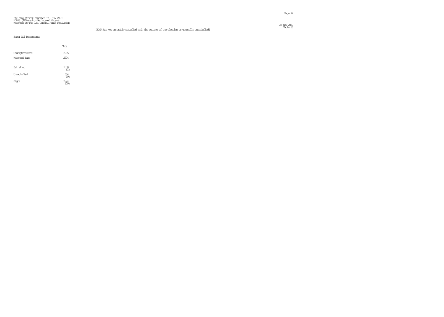#### Fielding Period: November 17 - 19, 2020 HCAPS (Filtered on Registered Voters) Weighted To The U.S. General Adult Population  $\frac{23 \text{ Ny}}{220}$

|                        | Total             |  |
|------------------------|-------------------|--|
| <b>Unveighted Base</b> | 2205              |  |
| <b>Weighted Base</b>   | 2224              |  |
| Satisfied              | 1350<br>61%       |  |
| Unsatisfied            | $\frac{874}{396}$ |  |
| Signa                  | 224               |  |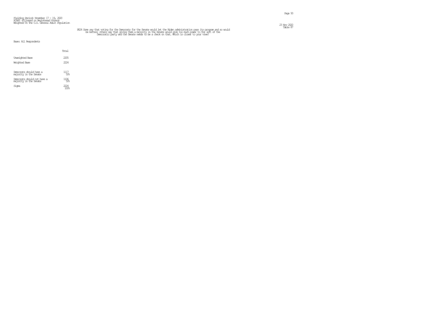#### Fielding Period: November 17 - 19, 2020 HCAPS (Filtered on Registered Voters) Weighted To The U.S. General Adult Population  $23 \text{ Ny}$  2020  $\text{Ny}$  2020  $\text{Nz}$  2020  $\text{Nz}$  2020  $\text{Nz}$  2020  $\text{Nz}$  2020  $\text{Nz}$  2020  $\text{Nz}$  2020  $\text{Nz}$  2020  $\text{Nz}$  2020  $\text{Nz}$  2020  $\text{Nz}$  2020  $\text{Nz}$  2020  $\text{Nz}$  2020  $\text{Nz}$  2020  $\text{Nz}$

# FE24 Sore say that voting for the Democrats for the Senate would let the Biden administration pass its program and so would so would in the better; others say that giving them a majority in the Senate would give too much p

|                                                       | Total        |  |
|-------------------------------------------------------|--------------|--|
| Unveighted Base<br>Weichted Base                      | 2205<br>2224 |  |
| Democrats should have a<br>majority in the Senate     | 1117<br>50%  |  |
| Democrats should not have a<br>majority in the Senate | 1106<br>50%  |  |
| Sioma                                                 | <i>777</i> 4 |  |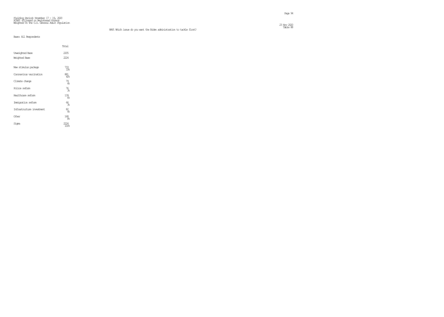## Fielding Period: November 17 - 19, 2020 HCAPS (Filtered on Registered Voters) Weighted To The U.S. General Adult Population

 $23 \text{ Ny}$  222

|                           | Total         |
|---------------------------|---------------|
| Unveighted Base           | 2205          |
| Weighted Base             | 222.4         |
| New stimulus package      | 733<br>33%    |
| Coronavirus vaccination   | 881<br>40%    |
| Climate change            | 79<br>48      |
| Police reform             | 76<br>38      |
| Healthcare reform         | $^{139}_{66}$ |
| Immigration reform        | 66<br>38      |
| Infrastructure investment | 82<br>4%      |
| Other                     | 168<br>8%     |
| Siqna                     |               |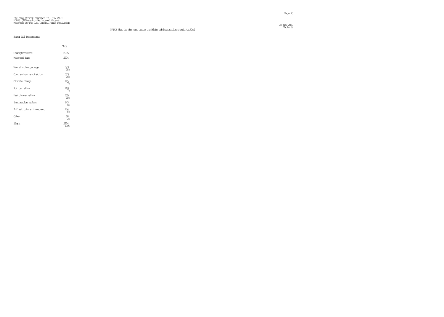## Fielding Period: November 17 - 19, 2020 HCAPS (Filtered on Registered Voters) Weighted To The U.S. General Adult Population

 $23 \text{ Ny}$  222

|                           | Total          |
|---------------------------|----------------|
| Unveighted Base           | 2205           |
| Weighted Base             | 2224           |
| New stimulus package      | 623<br>288     |
| Coronavirus vaccination   | 573<br>268     |
| Climate change            | $^{145}_{7\%}$ |
| Police reform             | $163 \atop 78$ |
| Healthcare reform         | 335<br>15%     |
| Immigration reform        | $^{143}_{68}$  |
| Infrastructure investment | 184<br>88      |
| Other                     | 58<br>38       |
| Signa                     | 100%           |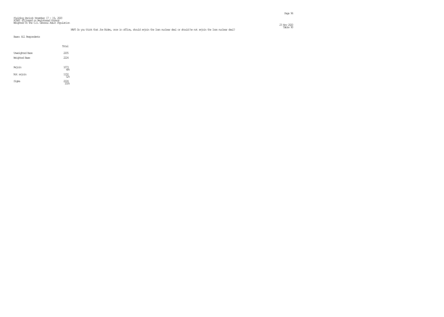#### Fielding Period: November 17 - 19, 2020 HCAPS (Filtered on Registered Voters) Weighted To The U.S. General Adult Population  $23 \text{ Ny}$  222

### naps to you think that Joe Biden, once in office, should rejoin the Iran nuclear deal or should he not rejoin the Iran nuclear deal? This should he not rejoin the Iran nuclear deal?

|                                  | Total                          |
|----------------------------------|--------------------------------|
| Unveighted Base<br>Weighted Base | 2205<br>2224                   |
| Rejoin                           | $\underset{48\%}{\text{1073}}$ |
| Not rejoin                       | $\underset{52}{\textbf{1150}}$ |
| Signa                            | 2224<br>$\overline{100}$ 8     |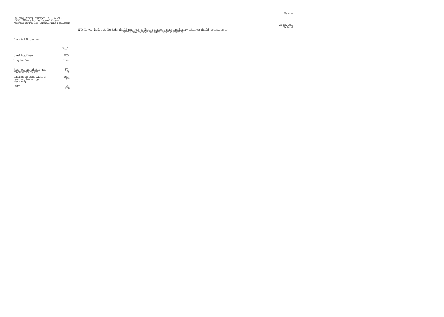#### Fielding Period: November 17 - 19, 2020 HCAPS (Filtered on Registered Voters) Weighted To The U.S. General Adult Population  $23 \text{ Ny}$  2220  $\text{Ny}$  2220  $\text{Ny}$  2220  $\text{Ny}$  2220  $\text{Ny}$  2220  $\text{Ny}$  2220  $\text{Ny}$  2220  $\text{Ny}$  2220  $\text{Ny}$  2220  $\text{Ny}$  2220  $\text{Ny}$  2220  $\text{Ny}$  2220  $\text{Ny}$  2220  $\text{Ny}$  2220  $\text{Ny}$  2220  $\text{Ny}$

## NAP6 Do you think that Joe Biden should reach out to China and adopt a more conciliatory policy or should he continue to main the continue to press China on trade and human rights vigorously?

|                                                                   | Total             |
|-------------------------------------------------------------------|-------------------|
| <b>Unveichted Base</b>                                            | 2205              |
| Weighted Base                                                     | 2224              |
| Reach out and adopt a more<br>conciliatory policy                 | $\frac{871}{396}$ |
| Continue to press China on<br>trade and human right<br>vigorously | 1353<br>ମୈ≋       |
| Sioma                                                             | 1774              |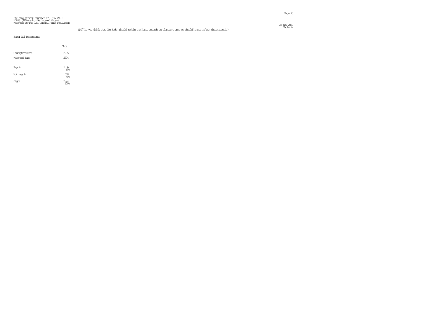Page 98

#### Fielding Period: November 17 – 19, 2020<br>HCAPS (Filtered on Registered Voters)<br>Weighted To The U.S. General Adult Population  $23 \text{ Ny}$  222

### Table 92 NAP7 Do you think that Joe Biden should rejoin the Paris accords on climate change or should he not rejoin those accords?

|                                         | Total                                   |
|-----------------------------------------|-----------------------------------------|
| Unveighted Base<br><b>Weighted Base</b> | 2205<br>2224                            |
| Rejoin                                  | 1336<br>608                             |
| Not rejoin                              | $\begin{array}{c} 888 \\ 40\end{array}$ |
| Signa                                   | 2224                                    |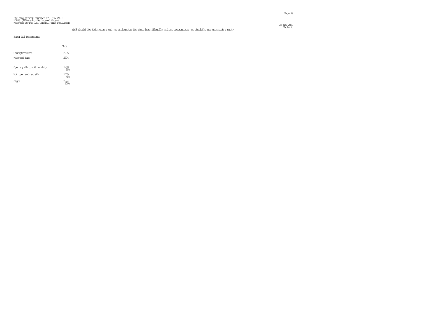#### Fielding Period: November 17 – 19, 2020<br>HCAPS (Filtered on Registered Voters)<br>Weighted To The U.S. General Adult Population  $23 \text{ Ny}$  222

### Table 93 NAP8 Should Joe Biden open a path to citizenship for those here illegally without documentation or should he not open such a path?

|                                  | Total        |
|----------------------------------|--------------|
| Unveighted Base<br>Weighted Base | 2205<br>2224 |
| Open a path to citizenship       | 1218<br>55%  |
| Not open such a path             | 1005<br>45%  |
| Siqna                            | 774          |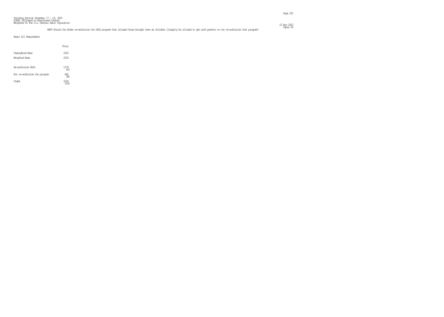|                                         | Total                  |  |
|-----------------------------------------|------------------------|--|
| <b>Unveighted Base</b><br>Weichted Base | 2205<br>2224           |  |
| Re-authorize DACA                       | 1379<br>62%            |  |
| Not re-authorize the program            | $\underset{30\%}{845}$ |  |
| Signa                                   | 224                    |  |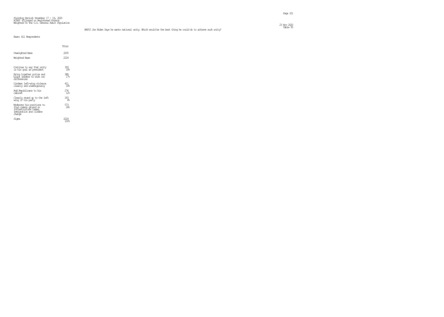Page 101

#### Fielding Period: November 17 – 19, 2020<br>HCAPS (Filtered on Registered Voters)<br>Weighted To The U.S. General Adult Population  $\frac{23 \text{ Ny}}{220}$

### Table 95 NAP10 Joe Biden Says he wants national unity. Which would be the best thing he could do to achieve such unity?

|  |  | Base: All Respondents |
|--|--|-----------------------|
|--|--|-----------------------|

|                                                                                                                   | Total                  |
|-------------------------------------------------------------------------------------------------------------------|------------------------|
| Unveighted Base                                                                                                   | 2205                   |
| Weighted Base                                                                                                     | 2224                   |
| Continue to say that unity<br>is his goal as president                                                            | 393<br>18 <sub>6</sub> |
| Bring together police and<br>black leaders to work out<br>differences                                             | 388<br>17 <sup>°</sup> |
| Condam left-wing violence<br>clearly and unanbiguously                                                            | 411<br>18 <sub>6</sub> |
| Add Republicans to his<br>cabinet                                                                                 | 276<br>12 <sup>°</sup> |
| Clearly stand up to the left<br>wing if his party                                                                 | 183<br>୫               |
| Moderate his positions to<br>find common ground on<br>infrastructure taxes,<br>immigration and climate<br>chancie | 573<br>26              |
| Siqna                                                                                                             |                        |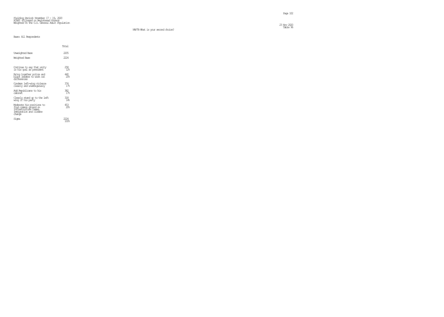Page 102

 $23 \text{ Ny}$  222 23 Nov 2020<br>Table 96

## Fielding Period: November 17 - 19, 2020 HCAPS (Filtered on Registered Voters) Weighted To The U.S. General Adult Population

#### NAP7B What is your second choice?

|  |  | Base: All Respondents |
|--|--|-----------------------|
|--|--|-----------------------|

|                                                                                                                  | Total                                   |
|------------------------------------------------------------------------------------------------------------------|-----------------------------------------|
| Unveichted Base                                                                                                  | 2205                                    |
| Weichted Base                                                                                                    | 2224                                    |
| Continue to say that unity<br>is his goal as president<br>Bring together police and<br>black leaders to work out | $^{258}_{12}$<br>440<br>20 <sub>6</sub> |
| di fferences<br>Condam left-wing violence<br>clearly and unanbiguously                                           | 374<br>17 <sub>8</sub>                  |
| Add Republicans to his<br><i>c</i> abineे†                                                                       | 382<br>17 <sup>°</sup>                  |
| Clearly stand up to the left<br>wing if his party                                                                | 318<br>14%                              |
| Moderate his positions to<br>find common ground on<br>infrastructure taxes,<br>immigration and climate<br>change | 453<br>20%                              |
| Signa                                                                                                            |                                         |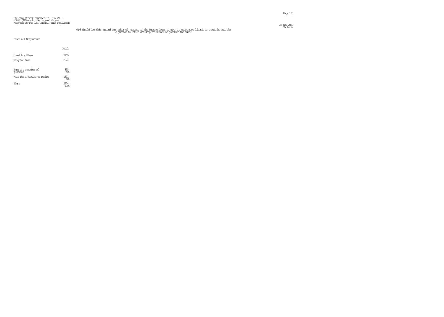#### Fielding Period: November 17 – 19, 2020<br>HCAPS (Filtered on Registered Voters)<br>Weighted To The U.S. General Adult Population  $23 \text{ Ny}$  2020  $\text{Ny}$  2020  $\text{Nz}$  2020  $\text{Nz}$  2020  $\text{Nz}$  2020  $\text{Nz}$  2020  $\text{Nz}$  2020  $\text{Nz}$  2020  $\text{Nz}$  2020  $\text{Nz}$  2020  $\text{Nz}$  2020  $\text{Nz}$  2020  $\text{Nz}$  2020  $\text{Nz}$  2020  $\text{Nz}$  2020  $\text{Nz}$

## NAP3 Should Joe Biden expand the number of justices in the Supreme Count to make the count more liberal or should he wait for and show the make the same?<br>a justice to retire and keep the number of justices the same?

|                                         | Total                                   |  |
|-----------------------------------------|-----------------------------------------|--|
| <b>Unveighted Base</b><br>Weichted Base | 2205<br>2224                            |  |
| Expand the number of<br>justices        | $\begin{array}{c} 893 \\ 40\end{array}$ |  |
| Wait for a justice to retire            | 1331<br><b>FM</b>                       |  |
| Sioma                                   | 774                                     |  |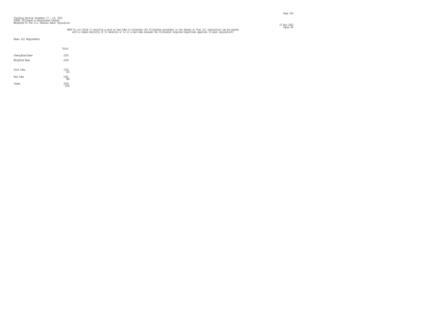## NAPID you think it would be a good or bad idea to eliminate the fillibuster procedure in the Senate so that all legislation can be passed. The massed with a simple majority of 51 senators or is it a bad idea because the fi

|                                         | Total                   |
|-----------------------------------------|-------------------------|
| <b>Unveighted Base</b><br>Weighted Base | 2205<br>2224            |
| Good idea                               | $^{1163}_{52\%}$        |
| Bad idea                                | $\frac{1061}{48^\circ}$ |
| Signa                                   | 2224<br>100%            |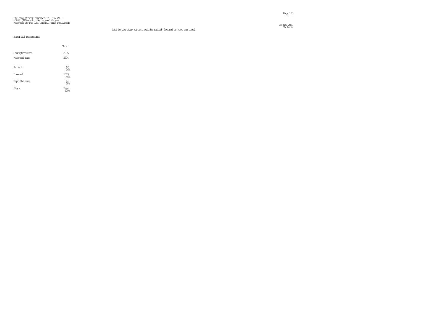## Fielding Period: November 17 - 19, 2020 HCAPS (Filtered on Registered Voters) Weighted To The U.S. General Adult Population

 $23 \text{ Ny}$  222

|                        | Total             |
|------------------------|-------------------|
| <b>Unveighted Base</b> | 2205              |
| Weighted Base          | 2224              |
| Raised                 | 367<br>16%        |
| Lowered                | 1013<br>46%       |
| Kept the sarre         | $\frac{844}{386}$ |
| Signa                  |                   |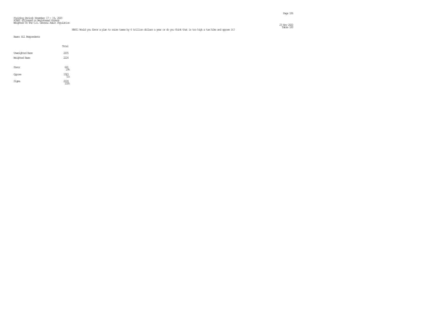#### Fielding Period: November 17 – 19, 2020<br>HCAPS (Filtered on Registered Voters)<br>Weighted To The U.S. General Adult Population  $\frac{23 \text{ Ny}}{220}$

### Table 100 NAP11 Would you favor a plan to raise taxes by 4 trillion dollars a year or do you think that is too high a tax hike and oppose it?

Page 106

|  |  | Base: All Respondents |
|--|--|-----------------------|
|--|--|-----------------------|

|                        | Total                  |
|------------------------|------------------------|
| <b>Unveighted Base</b> | 2205                   |
| Weighted Base          | 2224                   |
| Favor                  | $\frac{641}{296}$      |
| daase                  | $^{1583}_{\  \, 71\%}$ |
| Signa                  | 2224<br>100%           |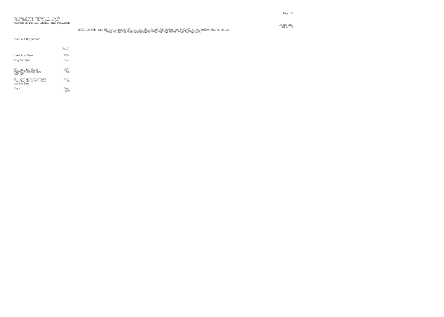## NAP12 Joe Biden says his tax increases will hit only those households making over \$400,000. Do you believe that or do you<br>think it would wind up being broader than that and affect those earning less?

Page 107

|                                                                          | Total         |  |
|--------------------------------------------------------------------------|---------------|--|
| Unveighted Base<br>Weichted Base                                         | 2205<br>222.4 |  |
| Will only hit those<br>households making over<br>\$400,000               | 1067<br>48%   |  |
| Will wind up being broader<br>than that and affect those<br>earning less | 1157<br>52%   |  |
| Signa                                                                    |               |  |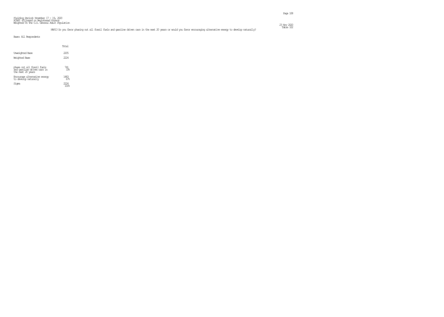### Table 102 naps wou favor phasing out all fossil fuels and gasoline driven cars in the next 20 years or would you favor encouraging alternative energy to develop naturally?

|                                                                                | Total        |
|--------------------------------------------------------------------------------|--------------|
| Unveighted Base<br>Weighted Base                                               | 2205<br>2224 |
| phase out all fossil fuels<br>and gasoline driven cars in<br>the next 20 years | 741<br>3%    |
| Encourage alternative energy<br>to develop naturally                           | 1483<br>672  |
| Sioma                                                                          | 224          |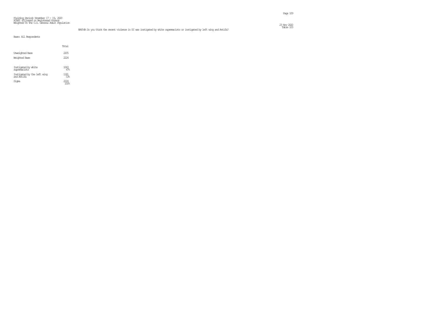#### Fielding Period: November 17 - 19, 2020 HCAPS (Filtered on Registered Voters) Weighted To The U.S. General Adult Population  $\frac{23 \text{ Ny}}{220}$

Table 103 NAP14A Do you think the recent violence in DC was instigated by white supremacists or instigated by left wing and Antifa?

|  |  | Base: All Respondents |
|--|--|-----------------------|
|--|--|-----------------------|

|                                           | Total       |
|-------------------------------------------|-------------|
| Unveighted Base                           | 2205        |
| Weichted Base                             | 2224        |
|                                           |             |
| Instigated by white<br>supremacists       | 1043<br>47% |
| Instigated by the left wing<br>and Antifa | 1181<br>53% |
| Sioma                                     | ")4         |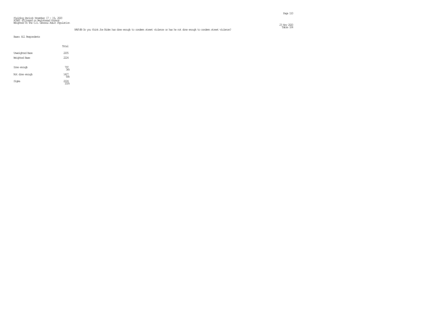#### Fielding Period: November 17 - 19, 2020 HCAPS (Filtered on Registered Voters) Weighted To The U.S. General Adult Population  $\frac{23 \text{ Ny}}{220}$

### Table 104 NAP14B Do you think Joe Biden has done enough to condemn street violence or has he not done enough to condemn street violence?

|  |  | Base: All Respondents |
|--|--|-----------------------|
|--|--|-----------------------|

|                        | Total       |  |
|------------------------|-------------|--|
| <b>Unveighted Base</b> | 2205        |  |
| Weighted Base          | 2224        |  |
|                        |             |  |
| Done encuch            | 797<br>368  |  |
| Not done enough        | 1427<br>64% |  |
| Signa                  | 2224        |  |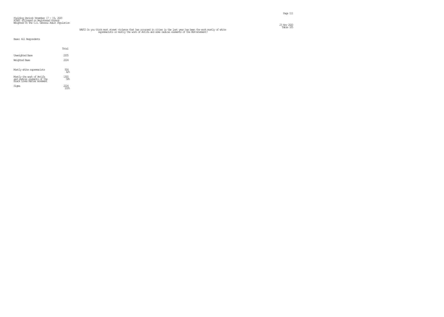#### Fielding Period: November 17 - 19, 2020 HCAPS (Filtered on Registered Voters) Weighted To The U.S. General Adult Population  $\frac{23 \text{ Ny}}{220}$

## NAP15 Do you think most street violence that has coounted in cities in the last year has been the work mostly of white<br>supremacists or mostly the work of Antifa and some radical elements of the BLM movement?

|                                                                                          | Total                 |
|------------------------------------------------------------------------------------------|-----------------------|
| <b>Unveighted Base</b>                                                                   | 2205                  |
| Weichted Base                                                                            | 2224                  |
| Mostly white supremacists                                                                | $\frac{924}{42}$      |
| Mostly the work of Antifa<br>and radical elements of the<br>Black Lives Matter movement. | $\underset{58}{1300}$ |
| Sioma                                                                                    | 774                   |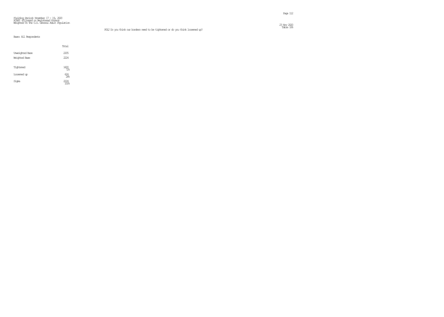$\frac{23 \text{ Ny}}{220}$ 

# Fielding Period: November 17 – 19, 2020<br>HCAPS (Filtered on Registered Voters)<br>Weighted To The U.S. General Adult Population

|                        | Total           |
|------------------------|-----------------|
| <b>Unveighted Base</b> | 2205            |
| Weighted Base          | 2224            |
| Tightened              | 1600            |
| Loosened up            | $^{624}_{28\%}$ |
| Sioma                  | $^{7/4}$        |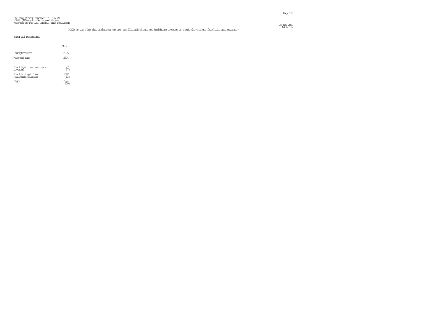### Table 107 POL3A Do you think that immigrants who are here illegally should get healthcare coverage or should they not get free healthcare coverage?

|                                            | Total        |  |
|--------------------------------------------|--------------|--|
| Unveighted Base<br>Weichted Base           | 2205<br>2224 |  |
| Should get free healthcare<br>coverage     | 827<br>37%   |  |
| Should not get free<br>healthcare coverage | 1397<br>638  |  |
| Siqna                                      | 1774         |  |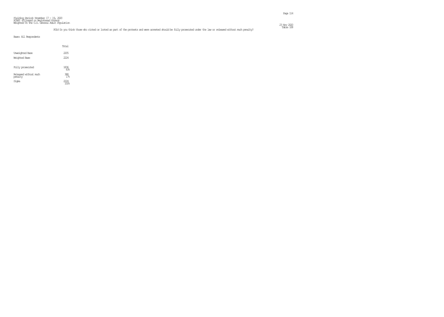|                                         | Total                  |  |
|-----------------------------------------|------------------------|--|
| <b>Unveighted Base</b><br>Weichted Base | 2205<br>2224           |  |
| Fully prosecuted                        | 1836<br>83.5           |  |
| Released without much<br>penalty        | 388<br>17 <sup>°</sup> |  |
| Signa                                   | 1774                   |  |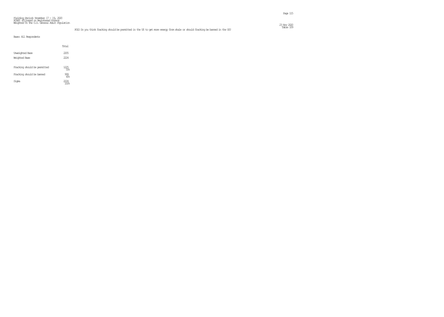### Table 109 POL5 Do you think fracking should be permitted in the US to get more energy from shale or should fracking be banned in the US?

Page 115

|                                  | Total         |  |
|----------------------------------|---------------|--|
| Unveighted Base<br>Weichted Base | 2205<br>222.4 |  |
| Fracking should be permitted     | 1225<br>55%   |  |
| Fracking should be banned        | 999<br>45%    |  |
| Sioma                            |               |  |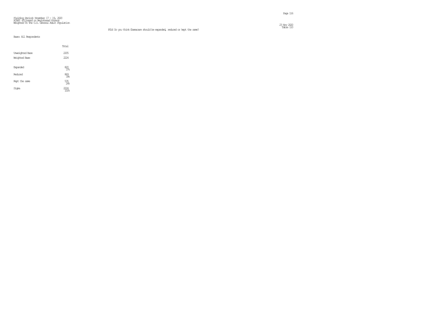Table 110 POL6 Do you think Obamacare should be expanded, reduced or kept the same?

 $\frac{23 \text{ Ny}}{220}$ 

|                 | Total              |
|-----------------|--------------------|
| Unveighted Base | 2205               |
| Weighted Base   | 2224               |
| Expanded        | 820<br>37%         |
| Redured         | 869<br>396         |
| Kept the same   | $\frac{535}{24\%}$ |
| Signa           |                    |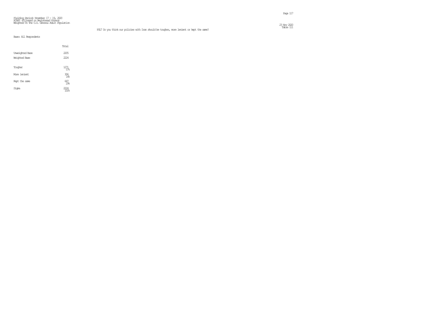|                                         | Total             |
|-----------------------------------------|-------------------|
| <b>Unveighted Base</b><br>Weighted Base | 2205<br>2224      |
| Tougher                                 | 1271<br>57%       |
| More lenient                            | $\frac{306}{148}$ |
| Kept the same                           | $647_{29\%}$      |
| Signa                                   |                   |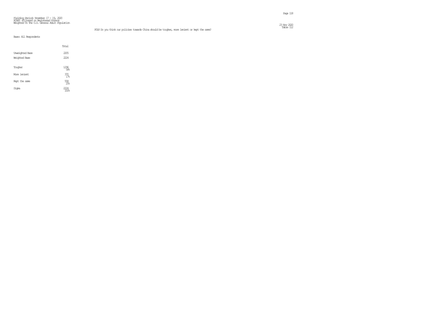$\frac{23 \text{ Ny}}{220}$ 

# Fielding Period: November 17 - 19, 2020 HCAPS (Filtered on Registered Voters) Weighted To The U.S. General Adult Population

### Table 112 POL8 Do you think our policies towards China should be tougher, more lenient or kept the same?

|                        | Total             |
|------------------------|-------------------|
| <b>Unveighted Base</b> | 2205              |
| Weighted Base          | 2224              |
| Tougher                | 1296<br>58%       |
| More lenient           | 370<br>17%        |
| Kept the same          | $\frac{558}{256}$ |
| Sioma                  |                   |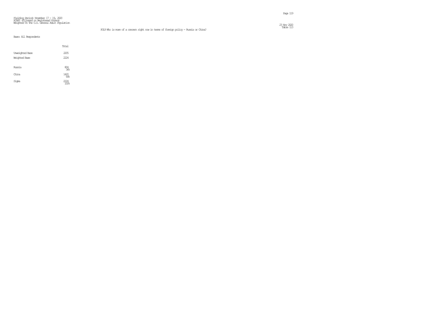Table 113 POL9 Who is more of a concern right now in terms of foreign policy - Russia or China?

 $\frac{23 \text{ Ny}}{220}$ 

|                                         | Total               |
|-----------------------------------------|---------------------|
| <b>Unveighted Base</b><br>Weighted Base | 2205<br>2224        |
| Russia                                  | $\frac{804}{366}$   |
| China                                   | $\frac{1420}{64\%}$ |
| Signa                                   | 2224                |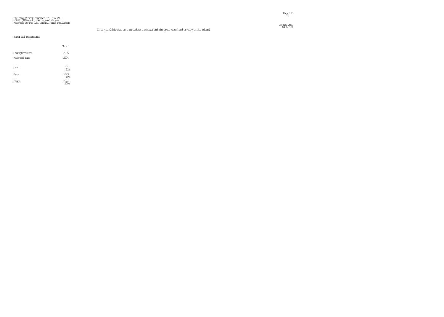Table 114 C1 Do you think that as a candidate the media and the press were hard or easy on Joe Biden?

 $\frac{23 \text{ Ny}}{220}$ 

|                                         | Total              |
|-----------------------------------------|--------------------|
| <b>Unveighted Base</b><br>Weighted Base | 2205<br>2224       |
| Hard                                    | $\frac{681}{31\%}$ |
| Easy                                    | 1543<br>698        |
| Signa                                   | 74                 |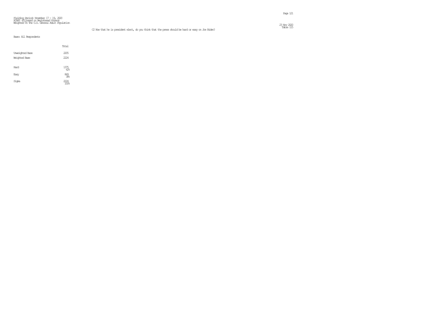#### Fielding Period: November 17 - 19, 2020 HCAPS (Filtered on Registered Voters) Weighted To The U.S. General Adult Population  $\frac{23 \text{ Ny}}{220}$

|                                         | Total                      |
|-----------------------------------------|----------------------------|
| <b>Unveighted Base</b><br>Weighted Base | 2205<br>2224               |
| Hard                                    | $\frac{1375}{62\%}$        |
| Easy                                    | $\frac{849}{386}$          |
| Signa                                   | 2224<br>$\overline{100}$ 8 |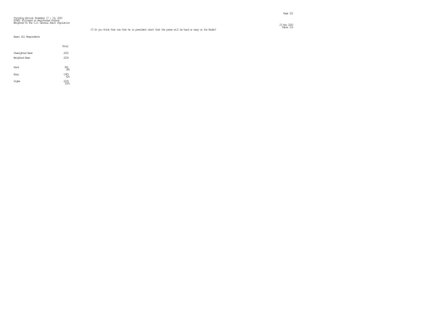### Table 116 C3 Do you think that now that he is president elect that the press will be hard or easy on Joe Biden?

Page 122

|                                         | Total                  |
|-----------------------------------------|------------------------|
| <b>Unveighted Base</b><br>Weighted Base | 2205<br>2224           |
| Hard                                    | $\frac{841}{38^\circ}$ |
| Easy                                    | $\frac{1383}{626}$     |
| Signa                                   | 2224                   |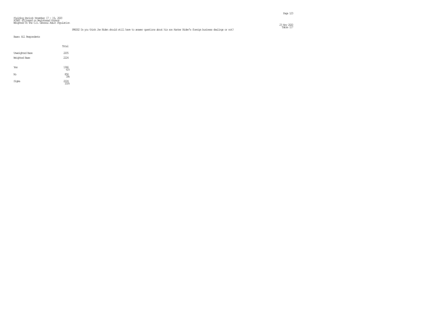### Table 117 PRESS2 Do you think Joe Biden should still have to answer questions about his son Hunter Biden's foreign business dealings or not?

|                        | Total                    |
|------------------------|--------------------------|
| <b>Unveighted Base</b> | 2205                     |
| Weighted Base          | 2224                     |
| Yes                    | $\underset{61}{^{1366}}$ |
| No                     | 858<br>398               |
| Signa                  | $\frac{2224}{100\%}$     |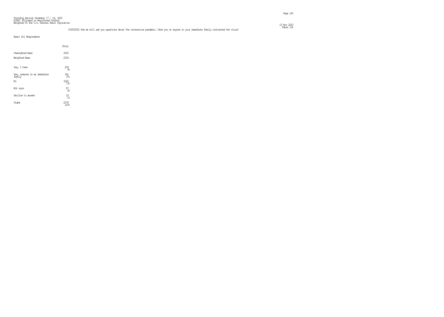### Table 118 COV032001 Now we will ask you questions about the coronavirus pandemic. Have you or anyone in your immediate family contracted the virus?

|                                        | Total           |  |
|----------------------------------------|-----------------|--|
| <b>Unveighted Base</b>                 | 2205            |  |
| Weighted Base                          | 222.4           |  |
| Yes, I have                            | 209<br>98       |  |
| Yes, someone in my immediate<br>family | 341<br>1.5%     |  |
| No                                     | 1620<br>7?≳     |  |
| Not sure                               | 87<br>4%        |  |
| Decline to answer                      | $^{19}_{\ 1\%}$ |  |
| Siqna                                  | 2274<br>102%    |  |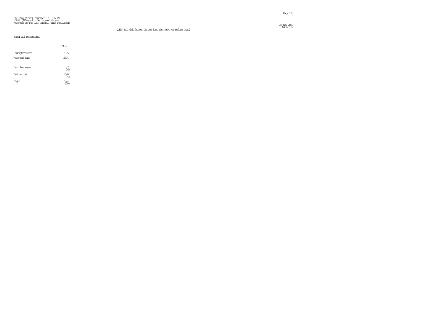$\frac{23 \text{ Ny}}{220}$ 

# Fielding Period: November 17 - 19, 2020 HCAPS (Filtered on Registered Voters) Weighted To The U.S. General Adult Population

### Table 119 QNEWA Did this happen in the last few weeks or before that?

|                        | Total             |
|------------------------|-------------------|
| <b>Unveighted Base</b> | 2205              |
| Weighted Base          | 2224              |
| Last few weeks         | $\frac{577}{266}$ |
| Before that            | 1646<br>74%       |
| Signa                  | 11) 4             |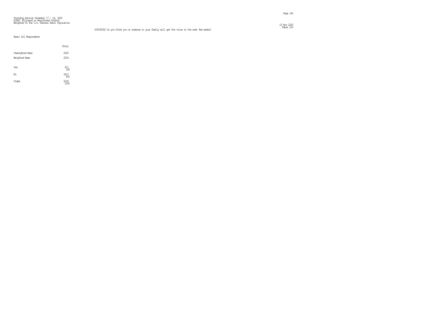$\frac{23 \text{ Ny}}{220}$ 

# Fielding Period: November 17 – 19, 2020<br>HCAPS (Filtered on Registered Voters)<br>Weighted To The U.S. General Adult Population

### Table 120 COV032002 Do you think you or someone in your family will get the virus in the next few weeks?

|                                         | Total                                           |  |
|-----------------------------------------|-------------------------------------------------|--|
| <b>Unveighted Base</b><br>Weighted Base | 2205<br>2224                                    |  |
| Yes                                     | $\underset{18}{\overset{411}{\scriptstyle 18}}$ |  |
| No                                      | 1813<br>82%                                     |  |
| Signa                                   | $^{1/24}$                                       |  |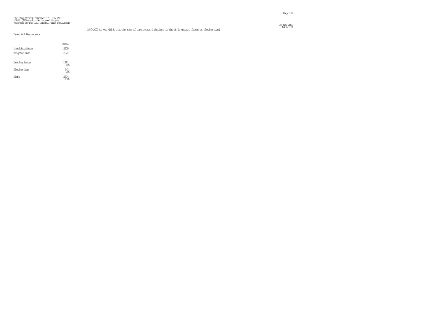Table 121 COV042001 Do you think that the rate of coronavirus infections in the US is growing faster or slowing down?

#### Fielding Period: November 17 – 19, 2020<br>HCAPS (Filtered on Registered Voters)<br>Weighted To The U.S. General Adult Population  $\frac{23 \text{ Ny}}{220}$

|                 | Total          |
|-----------------|----------------|
| Unveighted Base | 2205           |
| Weichted Base   | 2224           |
|                 |                |
| Growing faster  | 1781<br>80%    |
| Slowing Down    | $^{443}_{208}$ |
| Sioma           | 774            |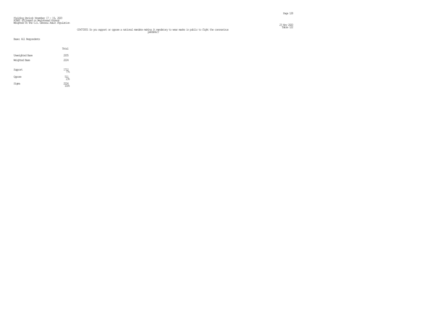## Table 122<br>Table 122 pandemic? to wear masks in public to fight the coronavirus<br>pandemic?

|                                         | Total            |
|-----------------------------------------|------------------|
| <b>Unveighted Base</b><br>Weighted Base | 2205<br>2224     |
| Support                                 | 1712             |
| <b><u></u>Copose</b>                    | $\frac{511}{23}$ |
| Signa                                   | 2224<br>100%     |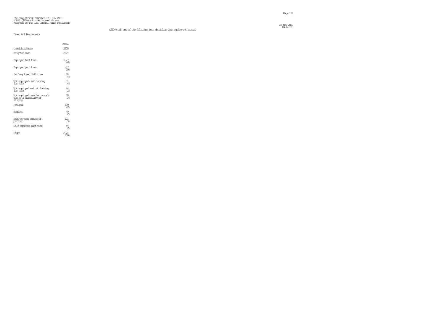|                                                                   | Total                  |
|-------------------------------------------------------------------|------------------------|
| Unveighted Base                                                   | 2205                   |
| Weighted Base                                                     | 222.4                  |
| Employed full time                                                | 1027<br>46%            |
| Eimployed part time                                               | 217<br>10 <sub>5</sub> |
| Self-employed full time                                           | 80<br>4%               |
| Not employed, but looking<br>for work                             | $\frac{81}{48}$        |
| Not employed and not looking<br>for work                          | $^{44}_{2\%}$          |
| Not employed, unable to work<br>due to a disability or<br>illness | $\frac{10}{36}$        |
| Retired                                                           | $^{499}_{22}$          |
| Student                                                           | 40<br>22               |
| Stay-at-horre spouse or<br>partner                                | 21<br>5%               |
| Self-employed part time                                           | 44<br>28               |
| Signa                                                             |                        |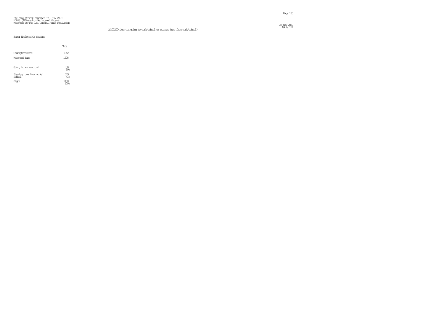Table 124 COV032004 Are you going to work/school or staying home from work/school?

 $\frac{23 \text{ No}}{220}$ 

#### Base: Employed Or Student

|                                          | Total      |
|------------------------------------------|------------|
| <b>Unveichted Base</b>                   | 1342       |
| Weighted Base                            | 1408       |
| Going to work/school                     | 830<br>59% |
| Staying hore from work/<br>$\frac{1}{2}$ | 579<br>41% |
| Sioma                                    | 1408       |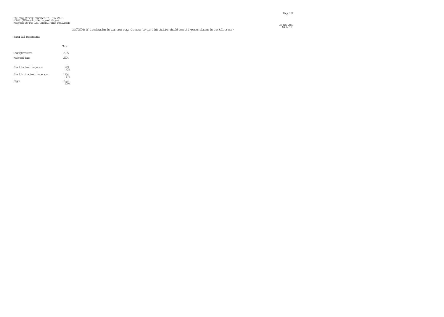### Table 125 COV072004B If the situation in your area stays the same, do you think children should attend in-person classes in the Fall or not?

|                                         | Total             |  |
|-----------------------------------------|-------------------|--|
| <b>Unveighted Base</b><br>Weichted Base | 2205<br>2224      |  |
| Should attend in-person                 | $\frac{949}{436}$ |  |
| Should not attend in-person             | 12.74<br>57%      |  |
| Siqna                                   | 2224              |  |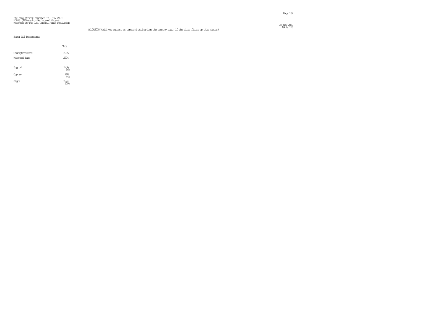### Table 126 COV082010 Would you support or oppose shutting down the economy again if the virus flairs up this winter?

Page 132

|                                  | Total                    |
|----------------------------------|--------------------------|
| Unveighted Base<br>Weighted Base | 2205<br>2224             |
| Support                          | 1256<br>568              |
| Oppose                           | $\frac{968}{44%}$        |
| Signa                            | 2224<br>$\overline{100}$ |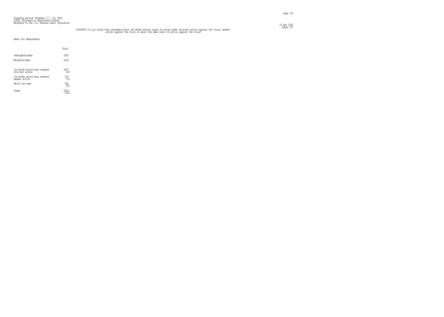## Table 127 COV082013 Do you think that president-elect Joe Biden should signal he would order stricter action against the virus, weaker action against the virus or about the same level of action against the virus?

|                                                 | Total              |
|-------------------------------------------------|--------------------|
| <b>Unveighted Base</b>                          | 2205               |
| Weichted Base                                   | 2224               |
|                                                 |                    |
| Joe Biden would have ordered<br>stricter action | $\frac{1407}{636}$ |
| Joe Biden would have ordered<br>weaker action   | $253 \atop 11\%$   |
| About the same                                  | 563<br>25%         |
| Sioma                                           |                    |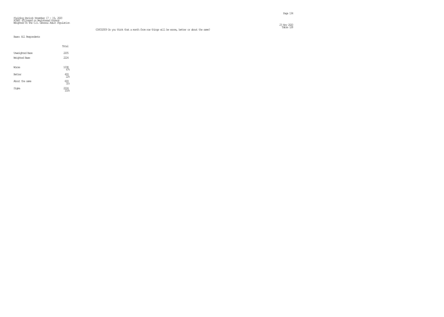$\frac{23 \text{ Ny}}{220}$ 

# Fielding Period: November 17 – 19, 2020<br>HCAPS (Filtered on Registered Voters)<br>Weighted To The U.S. General Adult Population

### Table 128 COV032009 Do you think that a month from now things will be worse, better or about the same?

|                      | Total             |
|----------------------|-------------------|
| Unveighted Base      | 2205              |
| <b>Weighted Base</b> | 2224              |
| Worse                | $\frac{1038}{47}$ |
| Better               | $^{493}_{228}$    |
| About the same       | $693 \atop 31\%$  |
| Signa                |                   |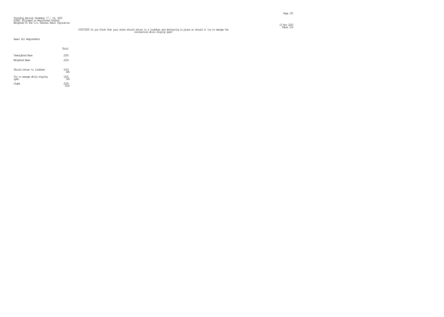## Table 129 COV072005 Do you think that your state should return to a lockdown and sheltering in place or should it try to manage the coronavirus while staying open?

|                                   | Total        |
|-----------------------------------|--------------|
| <b>Unveighted Base</b>            | 2205         |
| Weichted Base                     | 2224         |
| Shaild return to lockdown         | 1019<br>46%  |
| Try to manage while staying<br>æm | 1205<br>54%  |
| Sioma                             | <i>777</i> 4 |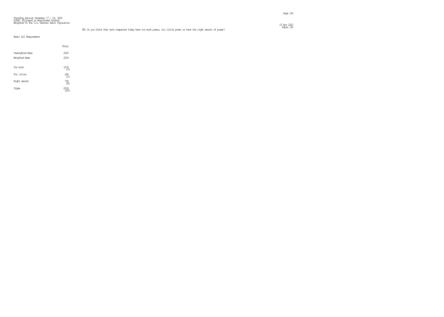#### Fielding Period: November 17 – 19, 2020<br>HCAPS (Filtered on Registered Voters)<br>Weighted To The U.S. General Adult Population  $\frac{23 \text{ Ny}}{220}$

### Table 130 TE1 Do you think that tech companies today have too much power, too little power or have the right amount of power?

|                        | Total                  |  |
|------------------------|------------------------|--|
| <b>Unveighted Base</b> | 2205                   |  |
| Weighted Base          | 2224                   |  |
| Too mich               | 1274<br>57%            |  |
| Too little             | 240<br>11 <sup>8</sup> |  |
| Right amount           | $\frac{709}{32\%}$     |  |
| Signa                  |                        |  |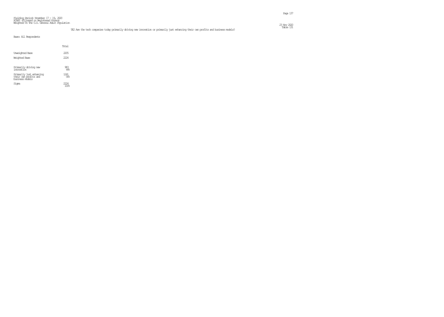### Table 131 TE2 Are the tech companies today primarily driving new innovation or primarily just enhancing their own profits and business models?

|                                                                      | Total        |
|----------------------------------------------------------------------|--------------|
| <b>Unveichted Base</b><br>Weighted Base                              | 2205<br>2224 |
| Primarily driving new<br>innovat.ion                                 | 983<br>44%   |
| Primarily just enhancing<br>their own profits and<br>business models | 1241<br>56%  |
| Siqna                                                                | 7774         |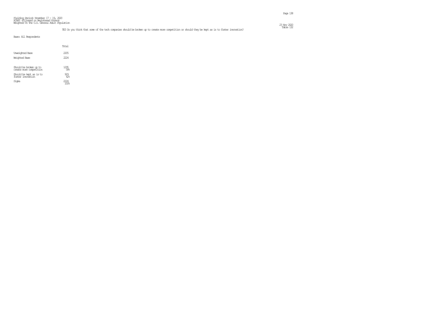### TE3 Do you think that some of the tech companies should be broken up to create more competition or should they be kept as is to foster innovation? This is to foster innovation?

|                                                                                                  | Total              |
|--------------------------------------------------------------------------------------------------|--------------------|
| <b>Unveighted Base</b>                                                                           | 2205               |
| Weichted Base                                                                                    | 2224               |
| Should be broken up to<br>create more competition<br>Should be kept as is to<br>foster imovation | 1295<br>58%<br>929 |
| Sioma                                                                                            | 42%                |
|                                                                                                  |                    |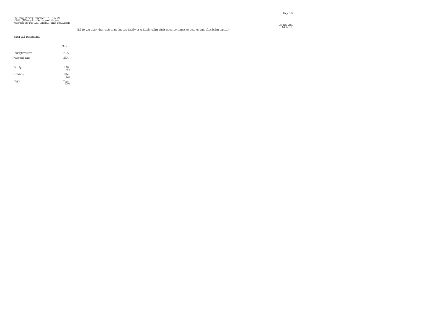#### Fielding Period: November 17 - 19, 2020 HCAPS (Filtered on Registered Voters) Weighted To The U.S. General Adult Population  $\frac{23 \text{ Ny}}{220}$

### Table 133 TE4 Do you think that tech companies are fairly or unfairly using their power to censor or stop content from being posted?

|  |  | Base: All Respondents |
|--|--|-----------------------|
|--|--|-----------------------|

|                                         | Total        |
|-----------------------------------------|--------------|
| <b>Unveighted Base</b><br>Weighted Base | 2205<br>2224 |
| Fairly                                  | 1060<br>48%  |
| Unfairly                                | 1164<br>52   |
| Signa                                   | 7774         |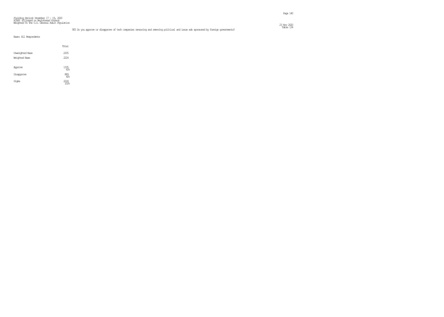### Table 134 TE5 Do you approve or disapprove of tech companies censoring and removing political and issue ads sponsored by foreign governments?

|                                         | Total                          |
|-----------------------------------------|--------------------------------|
| <b>Unveighted Base</b><br>Weighted Base | 2205<br>2224                   |
| Approve                                 | $\underset{\text{60\%}}{1335}$ |
| Disapprove                              | $\overset{889}{40^{\circ}}$    |
| Signa                                   | 2224<br>100%                   |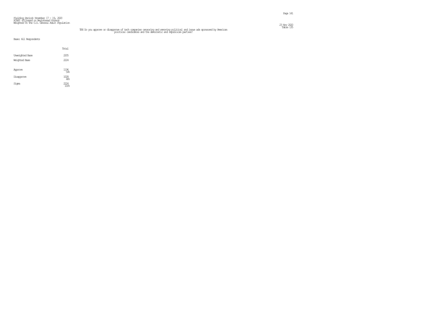## TE6 Do you approve or disapprove of tech companies censoring and removing political and issue ads sponsored by American<br>political candidates and the democratic and republican parties?

|                                         | Total               |
|-----------------------------------------|---------------------|
| Unveighted Base<br><b>Weighted Base</b> | 2205<br>2224        |
| Approve                                 | $^{1196}_{54\%}$    |
| Disapprove                              | $\frac{1028}{46\%}$ |
| Signa                                   | 2224<br>100%        |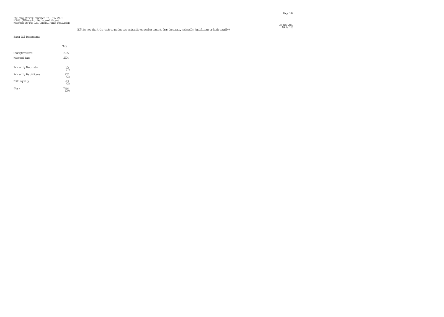### Table 136 TE7A Do you think the tech companies are primarily censoring content from Democrats, primarily Republicans or both equally?

|                        | Total                  |  |
|------------------------|------------------------|--|
| <b>Unveighted Base</b> | 2205                   |  |
| Weighted Base          | 2224                   |  |
| Primarily Democrats    | 375<br>17 <sup>°</sup> |  |
| Primarily Republicans  | $^{907}_{41\%}$        |  |
| Both equally           | $\frac{943}{42\%}$     |  |
| Sioma                  |                        |  |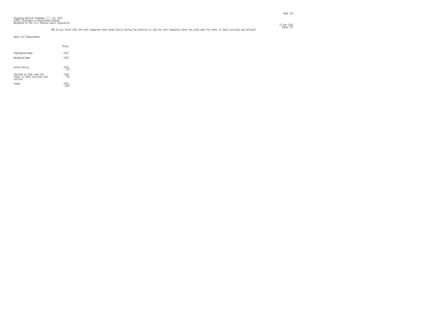### Fielding Period: November 17 – 19, 2020<br>HCAPS (Filtered on Registered Voters)<br>Weighted To The U.S. General Adult Population  $\frac{23 \text{ Ny}}{220}$

### TE8 Do you think that the tech companies have acted fairly during the election or did the tech companies favor one side over the other in their policies and actions? This is the other in the other in the side sourch their

|                                                                    | Total          |  |
|--------------------------------------------------------------------|----------------|--|
| Unveighted Base<br>Weighted Base                                   | 2205<br>222.4  |  |
| Acted fairly                                                       | 1034<br>47%    |  |
| Favored on side over the<br>other in their policies and<br>actions | 1189<br>53%    |  |
| Siqna                                                              | $\frac{7}{24}$ |  |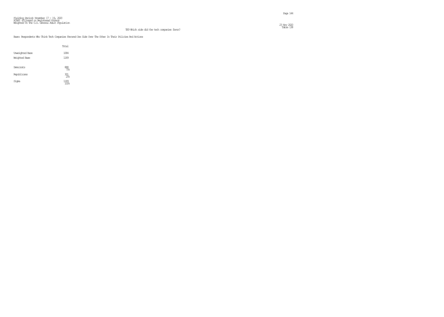#### Base: Respondents Who Think Tech Companies Favored One Side Over The Other In Their Policies And Actions

|                                         | Total              |
|-----------------------------------------|--------------------|
| <b>Unveighted Base</b><br>Weighted Base | 1084<br>1189       |
| Democrats                               | $\frac{888}{75\%}$ |
| Republicans                             | 301<br>25.5        |
| Signa                                   | 1189<br>100%       |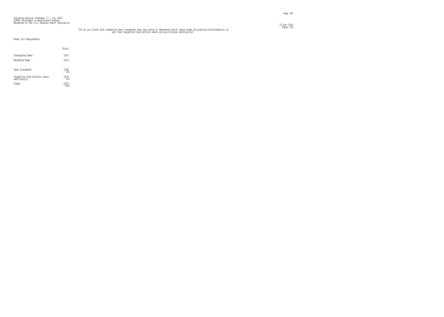# T10 Do you think tech companies have standards they are using to determine which users might be posting misinformation or and politicians arbitrarily? In this case of the wears and politicians arbitrarily?

Page 145

|                                             | Total       |
|---------------------------------------------|-------------|
| <b>Unveighted Base</b>                      | 2205        |
| Weichted Base                               | 2224        |
| Have standards                              | 1188        |
| Targeting high profile users<br>arbitrarily | 1036<br>47% |
| Sioma                                       | 7774        |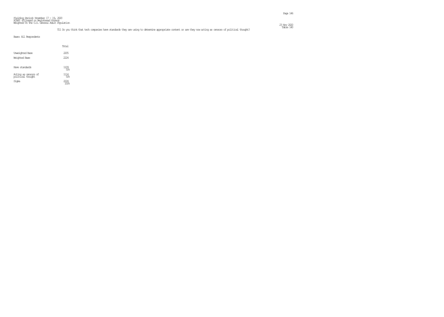### T11 Do you think that tech companies have standards they are using to determine appropriate content or are they now acting as censors of political thought? This is the manner of political thought?

|                                          | Total        |  |
|------------------------------------------|--------------|--|
| Unveighted Base<br>Weighted Base         | 2205<br>2224 |  |
| Have standards                           | 1109<br>50%  |  |
| Acting as œnsors of<br>political thought | 1114<br>50%  |  |
| Siqna                                    | 2224         |  |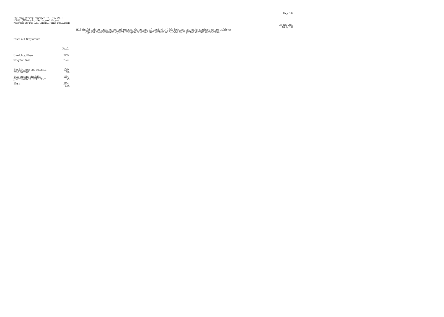# TE12 Should tech companies censor and restrict the content of people who think lockdowns and masks requirements are unfair or content of masks in the masks of the model of the masks requirements are unfair or applied to di

|                                                      | Total        |  |
|------------------------------------------------------|--------------|--|
| <b>Unveighted Base</b><br>Weichted Base              | 2205<br>2224 |  |
| Should censor and restrict<br>this content           | 1069<br>48%  |  |
| This content should be<br>posted without restriction | 1154<br>52%  |  |
| Signa                                                | 7774         |  |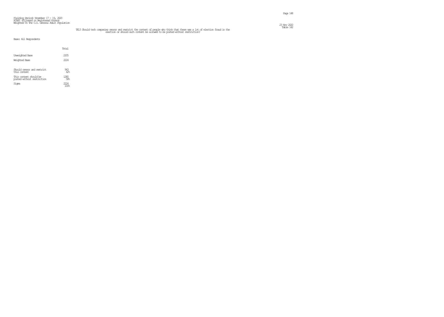#### Fielding Period: November 17 – 19, 2020<br>HCAPS (Filtered on Registered Voters)<br>Weighted To The U.S. General Adult Population  $\frac{23 \text{ No}}{220}$

# TE13 Should tech companies censor and restrict, the content of people who think that there was a lot of election fraud in the content of election or should such content be allowed to be posted without restriction?

|                                                      | Total            |
|------------------------------------------------------|------------------|
| <b>Unveighted Base</b>                               | 2205             |
| Weichted Base                                        | 2224             |
| Should censor and restrict<br>this content.          | $\frac{943}{42}$ |
| This content should be<br>posted without restriction | ⁄xi<br>58%       |
| Sioma                                                | 114              |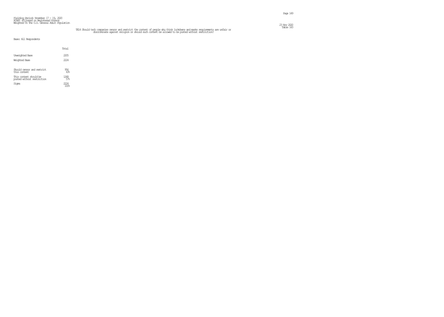# TE14 Should tech companies censor and restrict the content of people who think lockdowns and masks requirements are unfair or content of Table 143<br>discriminate against religion or should such content be allowed to be poste

Page 149

|                                                      | Total              |  |
|------------------------------------------------------|--------------------|--|
| <b>Unveighted Base</b>                               | 2205               |  |
| Weichted Base                                        | 2224               |  |
| Should censor and restrict<br>this content           | $\frac{956}{43\%}$ |  |
| This content should be<br>posted without restriction | 1268<br>57%        |  |
| Sioma                                                | 7774               |  |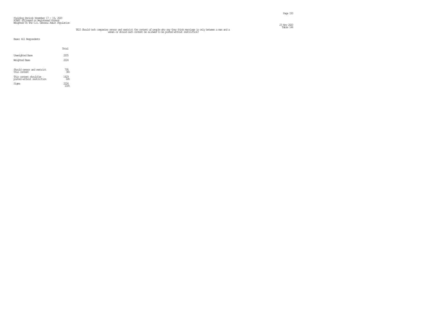#### Fielding Period: November 17 – 19, 2020<br>HCAPS (Filtered on Registered Voters)<br>Weighted To The U.S. General Adult Population  $\frac{23 \text{ No}}{220}$

# TE15 Should tech companies censor and restrict the content of people who say they think marriage is only between a man and a<br>woman or should such content be allowed to be posted without restriction?

|                                                      | Total       |
|------------------------------------------------------|-------------|
| Unveichted Base                                      | 2205        |
| Weichted Base                                        | 2224        |
| Should censor and restrict<br>this content           | 795<br>36%  |
| This content should be<br>posted without restriction | 1429<br>64% |
| Sioma                                                | 7724        |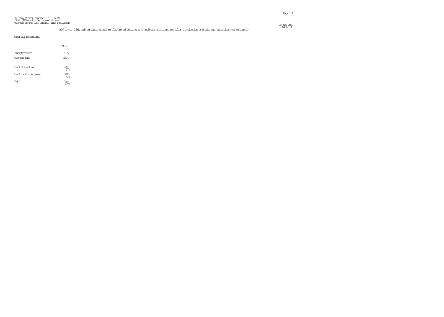### Fielding Period: November 17 – 19, 2020<br>HCAPS (Filtered on Registered Voters)<br>Weighted To The U.S. General Adult Population  $\frac{23 \text{ Ny}}{220}$

### TE16 Do you think tech companies should be allowing advertisements on politics and issues now after the election or should such advertisements be banned? The TEAT of The TEAT of the allowing advertisements on politics and

|                                         | Total             |
|-----------------------------------------|-------------------|
| <b>Unveighted Base</b><br>Weighted Base | 2205<br>2224      |
| Should be allowed                       | 1261<br>57%       |
| Should still be barred                  | $\frac{962}{436}$ |
| Signa                                   | 11) 4             |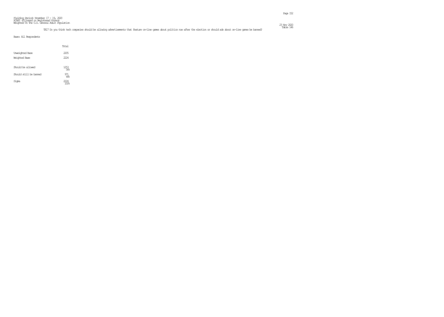Page 152

TE17 Do you think tech companies should be allowing advertisements that feature on-line games about politics now after the election or should ads about on-line games be banned? Table 146

|                                         | Total             |  |
|-----------------------------------------|-------------------|--|
| <b>Unveighted Base</b><br>Weighted Base | 2205<br>222.4     |  |
| Should be allowed                       | $\frac{1253}{56}$ |  |
| Should still be barred                  | 971<br>44%        |  |
| Siqna                                   | 724               |  |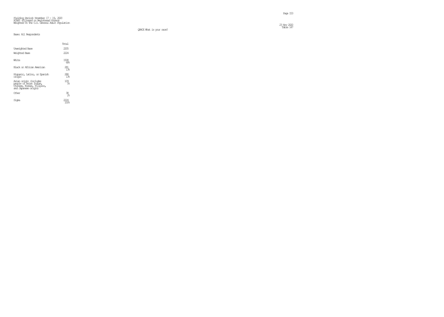$\frac{23 \text{ No}}{220}$ 23 Nov 2020<br>Table 147

|                                                                                                         | Total                 |
|---------------------------------------------------------------------------------------------------------|-----------------------|
| Unveighted Base                                                                                         | 2205                  |
| Weichted Base                                                                                           | 222.4                 |
| White                                                                                                   | 1508<br>ଝେନ           |
| Black or African American                                                                               | 281<br>$1\%$          |
| Hispanic, Latino, or Spanish<br>origin                                                                  | 288<br>1.38           |
| Asian origin (includes<br>people of Asian Indian,<br>Chinese, Korean, Filipino,<br>and Japanese origin) | $^{109}$              |
| Other                                                                                                   | 38<br>$\mathcal{P}_n$ |
| Sioma                                                                                                   |                       |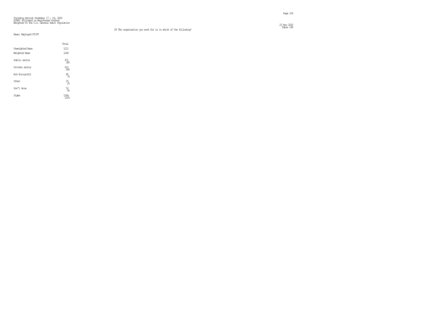$\frac{23 \text{ Ny}}{220}$ 23 Nov 2020<br>Table 148

### Base: Employed FT/PT

|                        | Total               |  |
|------------------------|---------------------|--|
| <b>Unveighted Base</b> | 1211                |  |
| Weighted Base          | 1244                |  |
| Public sector          | 471<br>38%          |  |
| Private sector         | $\frac{612}{496}$   |  |
| Not-for-profit         | $\frac{85}{76}$     |  |
| Other                  | $25\atop \text{28}$ |  |
| Don't know             | $\frac{52}{48}$     |  |
| Siqna                  | 1244                |  |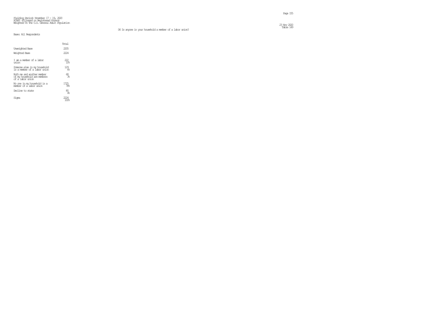$\frac{23 \text{ No}}{220}$ 23 Nov 2020<br>Table 149

|                                                                               | Total                   |
|-------------------------------------------------------------------------------|-------------------------|
| Unveichted Base                                                               | 2205                    |
| Weichted Base                                                                 | 2224                    |
| I am a member of a labor<br>ınian                                             | 222<br>10%              |
| Someone else in my household<br>is a member of a labor union                  | 129<br>68               |
| Both me and another member<br>of my household are members<br>of a labor union | 68<br>3%                |
| No one in my household is a<br>member of a labor union                        | 1725<br>78 <sub>5</sub> |
| Decline to state                                                              | 80<br>4%                |
|                                                                               |                         |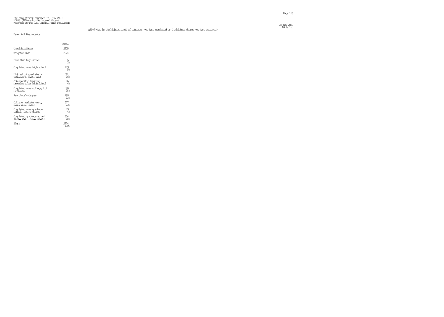Table 150 Q2146 What is the highest level of education you have completed or the highest degree you have received?

|  | Base: All Respondents |  |
|--|-----------------------|--|

|                                                        | Total                  |
|--------------------------------------------------------|------------------------|
| Unveighted Base                                        | 2205                   |
| Weighted Base                                          | 2224                   |
| Less than high school.                                 | $\frac{35}{28}$        |
| Completed some high school                             | 119<br>5%              |
| High school graduate or<br>equivalent (é.g., GED)      | 361<br>16 <sup>°</sup> |
| Job-specific training<br>programs after high school.   | 96<br>4%               |
| Completed some colleop, but<br>no õlegree              | 390<br>18%             |
| Associate's degree                                     | $293$<br>$138$         |
| College graduate (e.g.,<br>B.A., A.B., B.S.)           | 517<br>23%             |
| Completed sorre graduate<br>school, but no degree      | 79<br>4%               |
| Completed graduate school<br>(e.q., M.S., M.D., Fh.D.) | 334<br>15%             |
| Signa                                                  | 100%                   |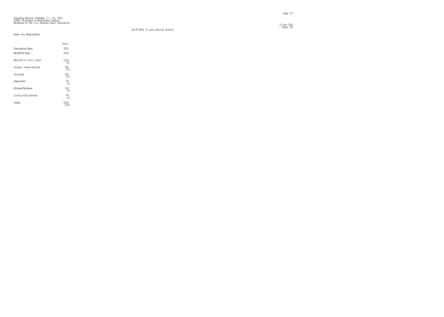$\frac{23 \text{ Ny}}{220}$ 

|                        | Total                  |
|------------------------|------------------------|
| <b>Unveighted Base</b> | 2205                   |
| Weighted Base          | 222.4                  |
| Married or civil union | 1129<br>51%            |
| Single, never married  | 590<br>27.5            |
| Divorced               | 236<br>11 <sup>°</sup> |
| Separated              | $^{45}_{2%}$           |
| Widowed/Widower        | $^{124}_{68}$          |
| Living with partner    | $\frac{99}{48}$        |
| Sioma                  |                        |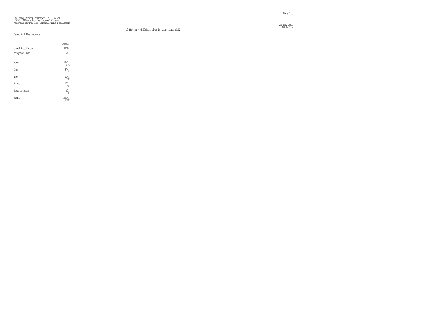$\frac{23 \text{ Ny}}{220}$ 

|                        | Total              |  |
|------------------------|--------------------|--|
| <b>Unveighted Base</b> | 2205               |  |
| Weighted Base          | 2224               |  |
|                        |                    |  |
| None                   | $\frac{1262}{578}$ |  |
| <b>One</b>             | $374 \atop 178$    |  |
| Two                    | $^{404}_{18}$      |  |
| Three                  | $\frac{121}{5\%}$  |  |
| Four or more           | ഭൂ                 |  |
| Signa                  | 2224<br>100%       |  |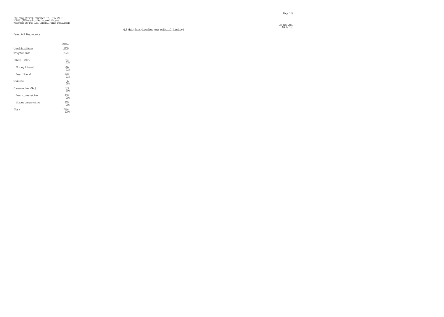$\frac{23 \text{ Ny}}{220}$ Table 153 M12 Which best describes your political ideology?

|                        | Total                  |
|------------------------|------------------------|
| <b>Unveighted Base</b> | 2205                   |
| Weighted Base          | 222.4                  |
| Liberal (Net)          | 514<br>23%             |
| Strong liberal         | 266<br>12 <sup>°</sup> |
| Iean liberal           | 248<br>11 <sup>°</sup> |
| Moderate               | 836<br>38 <sub>6</sub> |
| Conservative (Net)     | 873<br>398             |
| Iean conservative      | 438<br>20 <sub>6</sub> |
| Strong conservative    | 435<br>20 <sub>6</sub> |
| Sioma                  | 17)4<br>100%           |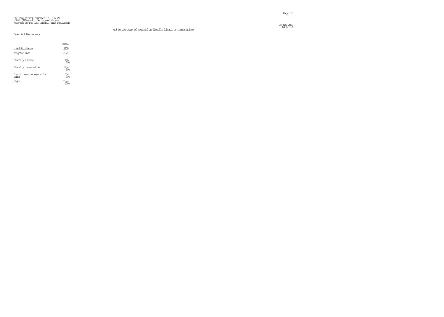M13 Do you think of yourself as fiscally liberal or conservative?

 $\frac{23 \text{ Ny}}{220}$ 23 Nov 2020<br>Table 154

|                                     | Total                  |
|-------------------------------------|------------------------|
| Unveichted Base                     | 2205                   |
| Weichted Base                       | 2224                   |
| Fiscally liberal                    | 446<br>20 <sub>6</sub> |
| Fiscally conservative               | 1104<br>50%            |
| Do not lean one way or the<br>other | 674<br>30 <sup>8</sup> |
| Sioma                               |                        |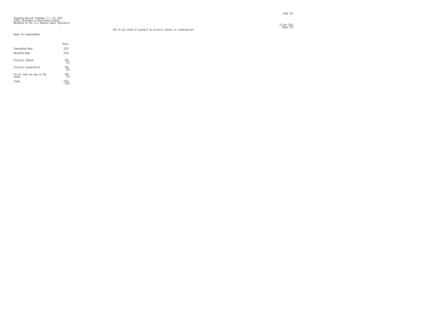Table 155 M14 Do you think of yourself as socially liberal or conservative?

 $\frac{23 \text{ Ny}}{220}$ 

|                                     | Total      |
|-------------------------------------|------------|
| <b>Unveighted Base</b>              | 2205       |
| Weichted Base                       | 2224       |
| Socially liberal                    | 683<br>318 |
| Socially conservative               | 946<br>43% |
| Do not lean one way or the<br>other | 594<br>27  |
| Sioma                               |            |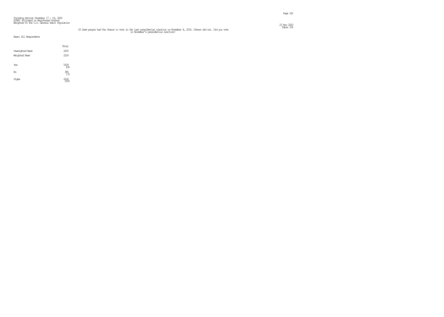#### Fielding Period: November 17 – 19, 2020<br>HCAPS (Filtered on Registered Voters)<br>Weighted To The U.S. General Adult Population  $\frac{23 \text{ Ny}}{220}$

# Table 156 S3 Some people had the chance to vote in the last presidential election on November 8, 2016. Others did not. Did you vote in November's presidential election?

|                        | Total                    |  |
|------------------------|--------------------------|--|
| <b>Unveighted Base</b> | 2205                     |  |
| Weighted Base          | 2224                     |  |
|                        |                          |  |
| Yes                    | $\underset{83}{^{1839}}$ |  |
|                        |                          |  |
| No                     | $\frac{385}{178}$        |  |
| Signa                  | 2224                     |  |
|                        | 100%                     |  |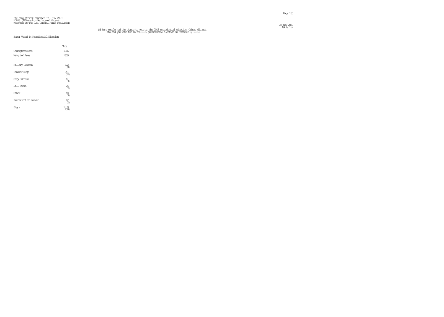# $\frac{23 \text{ Ny}}{220}$

# Fielding Period: November 17 - 19, 2020 HCAPS (Filtered on Registered Voters) Weighted To The U.S. General Adult Population

Table 157 S4 Some people had the chance to vote in the 2016 presidential election. Others did not. Who did you vote for in the 2016 presidential election on November 8, 2016?

### Base: Voted In Presidential Election

|                        | Total                             |
|------------------------|-----------------------------------|
| <b>Unveighted Base</b> | 1866                              |
| Weighted Base          | 1839                              |
|                        |                                   |
| Hillary Clinton        | $\frac{722}{396}$                 |
| Donald Trump           | 941<br>51%                        |
| Gary Johnson           | $\underset{\text{36}}{\text{61}}$ |
| Jill Stein             | $25$ <sub>1%</sub>                |
| Other                  | $\frac{48}{36}$                   |
| Prefer not to answer   | $\frac{42}{26}$                   |
| Signa                  | 1839                              |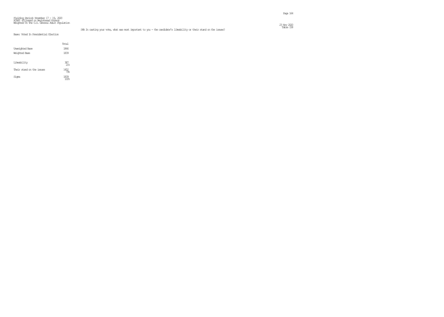#### Fielding Period: November 17 – 19, 2020<br>HCAPS (Filtered on Registered Voters)<br>Weighted To The U.S. General Adult Population  $\frac{23 \text{ Ny}}{220}$

### Base: Voted In Presidential Election

|                           | Total             |
|---------------------------|-------------------|
| <b>Unveighted Base</b>    | 1866              |
| Weichted Base             | 1839              |
|                           |                   |
| Likeability               | $\frac{387}{218}$ |
| Their stand on the issues | 1452              |
| Sioma                     | 1839              |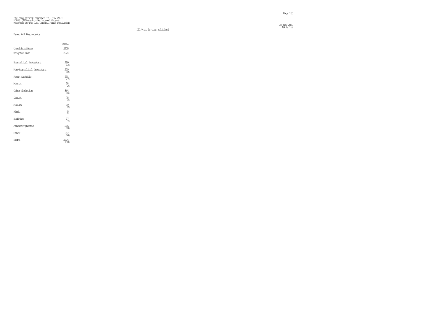D11 What is your religion?

23 Nov 2020<br>Table 159

|                            | Total             |
|----------------------------|-------------------|
| <b>Unveighted Base</b>     | 2205              |
| Weighted Base              | 2224              |
| Evangelical Protestant     | 299<br>13%        |
| Non-Evangelical Protestant | $^{220}_{10}$     |
| Roman Catholic             | $\frac{591}{27}$  |
| Mommon                     | $\frac{38}{28}$   |
| Other Christian            | 364<br>16%        |
| Jewish                     | $\frac{78}{48}$   |
| Muslim                     | $\frac{39}{26}$   |
| Hindu                      | $\frac{5}{\star}$ |
| <b>Buthist</b>             | $\frac{17}{18}$   |
| Atheist/Agnostic           | $^{216}_{10}$     |
| Other                      | 357<br>168        |
| Siqna                      | 224<br>1008       |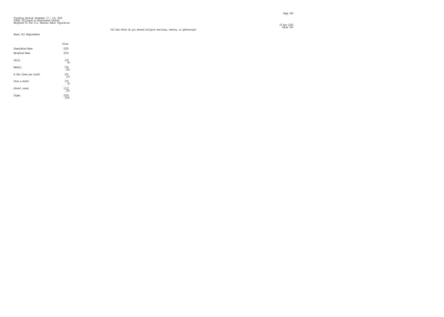### Base: All Respondents

|                        | Total                  |  |
|------------------------|------------------------|--|
| <b>Unveighted Base</b> | 2205                   |  |
| Weighted Base          | 222.4                  |  |
| Daily                  | 129<br>68              |  |
| Weekly                 | 534<br>24%             |  |
| A few times per month  | 251<br>11 <sup>°</sup> |  |
| Once a month           | 197<br>98              |  |
| Almost never           | 1113<br>50%            |  |
| Sioma                  |                        |  |

 $\frac{23 \text{ Ny}}{220}$ 23 Nov 2020<br>Table 160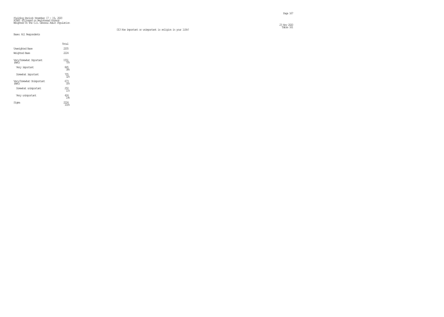$\frac{23 \text{ Ny}}{220}$ 23 Nov 2020<br>Table 161

|                                     | Total                  |
|-------------------------------------|------------------------|
| <b>Unveichted Base</b>              | 2205                   |
| Weichted Base                       | 222.4                  |
| Very/Somewhat Important<br>(Net.)   | 1551<br>70%            |
| Very important                      | 845<br>38%             |
| Somewhat important                  | 705<br>32 <sub>5</sub> |
| Very/Sorrewhat Unimportant<br>(Net) | 673<br>.R              |
| Sorrewhat unimportant               | 250<br>11%             |
| Very unimportant                    |                        |
| Sioma                               |                        |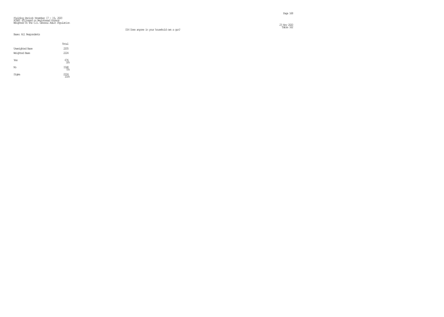$\frac{23 \text{ Ny}}{220}$ Table 162

|                        | Total                    |
|------------------------|--------------------------|
| <b>Unveighted Base</b> | 2205                     |
| Weighted Base          | 2224                     |
| Yes                    | 676<br>308               |
| No                     | $\frac{1548}{70\%}$      |
| Signa                  | 2224<br>100 <sub>k</sub> |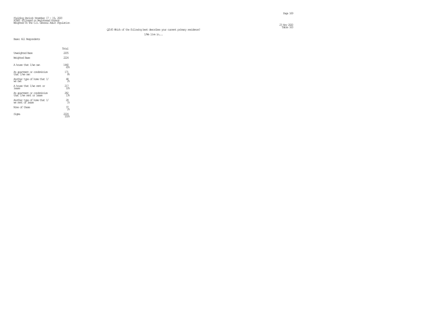# Table 163 Q2145 Which of the following best describes your current primary residence?

I/We live in...

|                                                       | Total                  |
|-------------------------------------------------------|------------------------|
| Unveichted Base                                       | 2205                   |
| Weichted Base                                         | 2224                   |
| A house that I/we own                                 | 1440<br>65%            |
| An apartment or condominium<br>that I/we own          | 171<br>8%              |
| Another type of hore that I/<br>we awn                | 48<br>$\mathcal{P}_n$  |
| A house that I/we rent or<br>lease.                   | 217<br>10 <sub>5</sub> |
| An apartment or condminium<br>that I/we rent or lease | 282.<br>$1\%$          |
| Another type of hore that I/<br>ve rent of lease      | 28<br>1 <sup>°</sup>   |
| None of these                                         | 37<br>22               |
| Sioma                                                 |                        |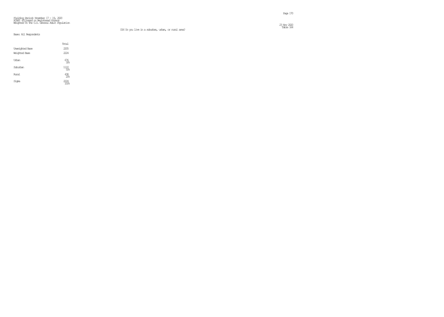Page 170

#### Fielding Period: November 17 - 19, 2020 HCAPS (Filtered on Registered Voters) Weighted To The U.S. General Adult Population  $\frac{23 \text{ Ny}}{220}$

#### D16 Do you live in a suburban, urban, or rural area?

### Base: All Respondents

|                        | Total                                       |  |
|------------------------|---------------------------------------------|--|
| <b>Unveighted Base</b> | 2205                                        |  |
| Weighted Base          | 2224                                        |  |
| Urban                  | 676<br>30%                                  |  |
| Suburban               | $\begin{array}{c} 1110 \\ 50\% \end{array}$ |  |
| Rıral                  | $^{438}_{20\%}$                             |  |
| Signa                  | 2224                                        |  |

23 Nov 2020<br>Table 164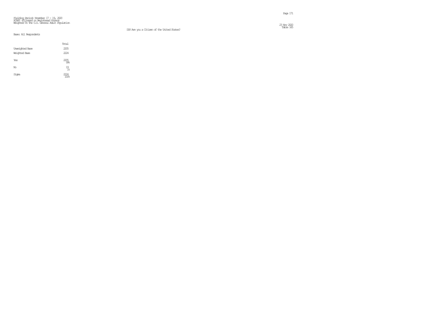$\frac{23 \text{ Ny}}{220}$ 23 Nov 2020<br>Table 165

|                        | Total            |  |
|------------------------|------------------|--|
| <b>Unveighted Base</b> | 2205             |  |
| Weighted Base          | 2224             |  |
| Yes                    | $^{2205}_{99\%}$ |  |
| No                     | $^{19}_{18}$     |  |
| Signa                  | 2224             |  |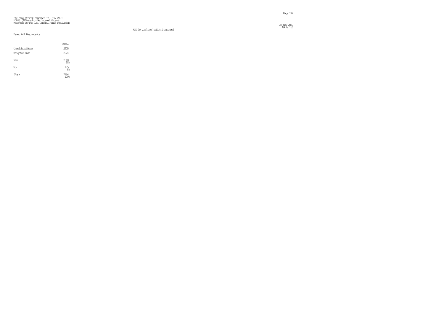$\frac{23 \text{ Ny}}{220}$ 23 Nov 2020<br>Table 166

|                        | Total                    |
|------------------------|--------------------------|
| <b>Unveighted Base</b> | 2205                     |
| Weighted Base          | 2224                     |
| Yes                    | $^{2048}_{92\%}$         |
| No                     | 175<br>8%                |
| Signa                  | 2224<br>100 <sub>6</sub> |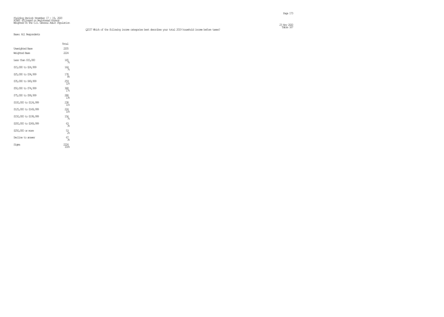|                        | Total                            |
|------------------------|----------------------------------|
| Unveighted Base        | 2205                             |
| Weighted Base          | 2224                             |
| Less than \$15,000     | $\frac{165}{76}$                 |
| \$15,000 to \$24,999   | $\frac{164}{78}$                 |
| \$25,000 to \$34,999   | $^{178}_{86}$                    |
| \$35,000 to \$49,999   | $^{259}_{12}$                    |
| \$50,000 to \$74,999   | $\frac{368}{17}$                 |
| \$75,000 to \$99,999   | $288$<br>138                     |
| \$100,000 to \$124,999 | $^{238}_{11\%}$                  |
| \$125,000 to \$149,999 | $^{224}_{10\%}$                  |
| \$150,000 to \$199,999 | $^{156}_{\phantom{1}\!\!-\!\!8}$ |
| \$200,000 to \$249,999 | ക്ട്ടു                           |
| \$250,000 or more      | $\frac{53}{28}$                  |
| Decline to answer      | 67<br>Be                         |
| Siqna                  | 24<br>008                        |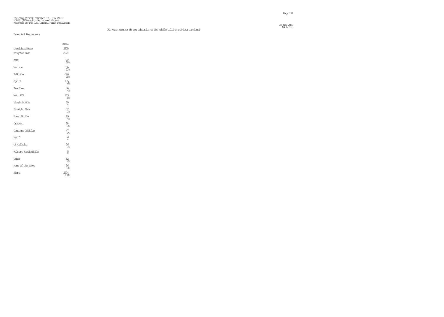### Table 168 CA1 Which carrier do you subscribe to for mobile calling and data services?

 $\frac{23 \text{ Ny}}{220}$ 

# Fielding Period: November 17 – 19, 2020<br>HCAPS (Filtered on Registered Voters)<br>Weighted To The U.S. General Adult Population

|                        | Total              |
|------------------------|--------------------|
| <b>Unveighted Base</b> | 2205               |
| <b>Weighted Base</b>   | 2224               |
| <b>AT&amp;T</b>        | 622<br>28%         |
| Verizon                | 506<br>23%         |
| T-Mobile               | 326<br>15%         |
| Sprint                 | $^{135}_{68}$      |
| TracFore               | 86<br>4%           |
| MetroPCS               | $113$ $5%$         |
| Virgin Mbile           | $\frac{10}{\star}$ |
| Straight Talk          | $\frac{57}{36}$    |
| <b>Boost Mbile</b>     | $\frac{89}{48}$    |
| Cricket                | 58<br>3%           |
| Consurer Cellular      | $^{47}_{28}$       |
| Net10                  | $\frac{6}{x}$      |
| US Cellular            | $^{26}_{18}$       |
| Walmart FamilyMobile   | $\frac{5}{x}$      |
| Other                  | $\frac{82}{48}$    |
| None of the above      | 56<br>3%           |
| Signa                  | 2224<br>100%       |